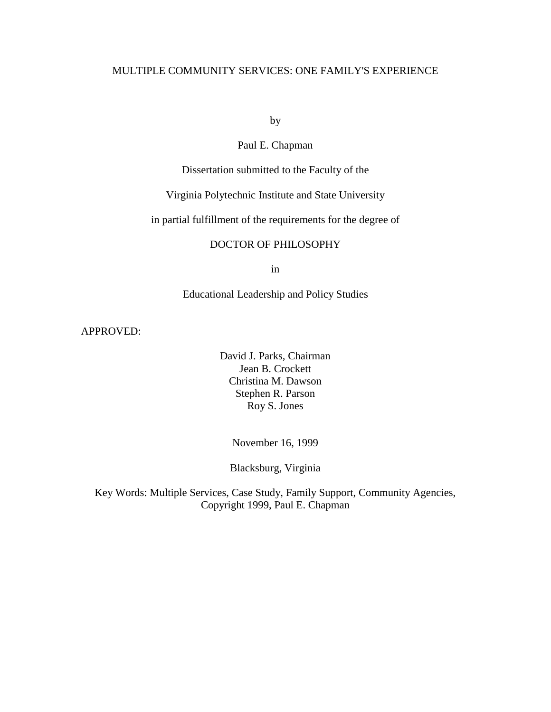## MULTIPLE COMMUNITY SERVICES: ONE FAMILY'S EXPERIENCE

by

## Paul E. Chapman

Dissertation submitted to the Faculty of the

## Virginia Polytechnic Institute and State University

in partial fulfillment of the requirements for the degree of

## DOCTOR OF PHILOSOPHY

in

## Educational Leadership and Policy Studies

APPROVED:

David J. Parks, Chairman Jean B. Crockett Christina M. Dawson Stephen R. Parson Roy S. Jones

November 16, 1999

Blacksburg, Virginia

Key Words: Multiple Services, Case Study, Family Support, Community Agencies, Copyright 1999, Paul E. Chapman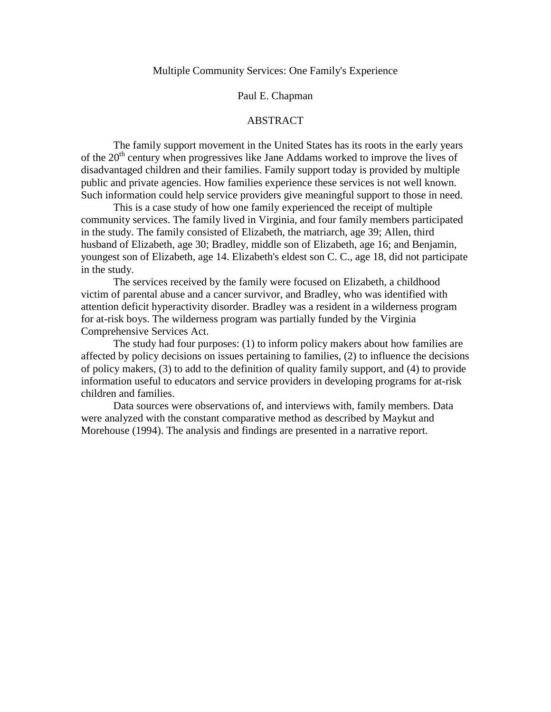#### Multiple Community Services: One Family's Experience

#### Paul E. Chapman

#### ABSTRACT

The family support movement in the United States has its roots in the early years of the  $20<sup>th</sup>$  century when progressives like Jane Addams worked to improve the lives of disadvantaged children and their families. Family support today is provided by multiple public and private agencies. How families experience these services is not well known. Such information could help service providers give meaningful support to those in need.

This is a case study of how one family experienced the receipt of multiple community services. The family lived in Virginia, and four family members participated in the study. The family consisted of Elizabeth, the matriarch, age 39; Allen, third husband of Elizabeth, age 30; Bradley, middle son of Elizabeth, age 16; and Benjamin, youngest son of Elizabeth, age 14. Elizabeth's eldest son C. C., age 18, did not participate in the study.

The services received by the family were focused on Elizabeth, a childhood victim of parental abuse and a cancer survivor, and Bradley, who was identified with attention deficit hyperactivity disorder. Bradley was a resident in a wilderness program for at-risk boys. The wilderness program was partially funded by the Virginia Comprehensive Services Act.

The study had four purposes: (1) to inform policy makers about how families are affected by policy decisions on issues pertaining to families, (2) to influence the decisions of policy makers, (3) to add to the definition of quality family support, and (4) to provide information useful to educators and service providers in developing programs for at-risk children and families.

Data sources were observations of, and interviews with, family members. Data were analyzed with the constant comparative method as described by Maykut and Morehouse (1994). The analysis and findings are presented in a narrative report.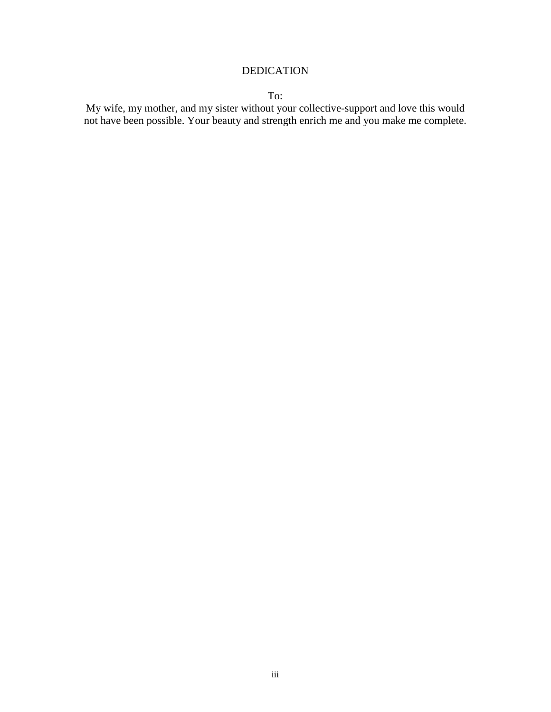## DEDICATION

To:

My wife, my mother, and my sister without your collective-support and love this would not have been possible. Your beauty and strength enrich me and you make me complete.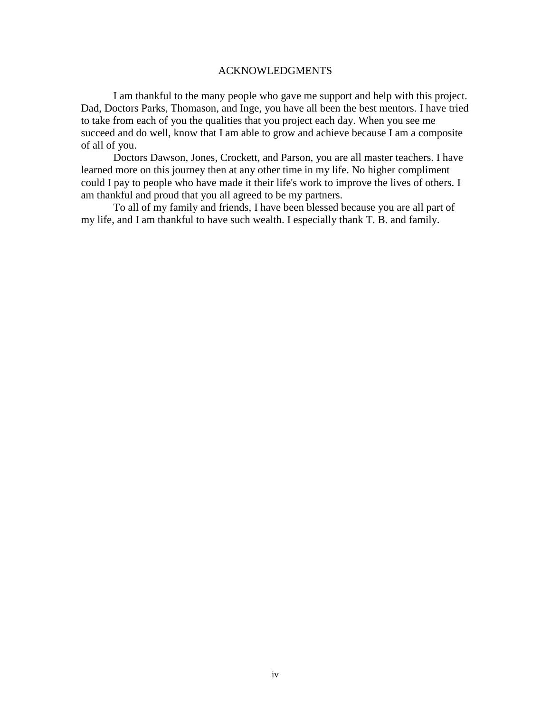#### ACKNOWLEDGMENTS

I am thankful to the many people who gave me support and help with this project. Dad, Doctors Parks, Thomason, and Inge, you have all been the best mentors. I have tried to take from each of you the qualities that you project each day. When you see me succeed and do well, know that I am able to grow and achieve because I am a composite of all of you.

Doctors Dawson, Jones, Crockett, and Parson, you are all master teachers. I have learned more on this journey then at any other time in my life. No higher compliment could I pay to people who have made it their life's work to improve the lives of others. I am thankful and proud that you all agreed to be my partners.

To all of my family and friends, I have been blessed because you are all part of my life, and I am thankful to have such wealth. I especially thank T. B. and family.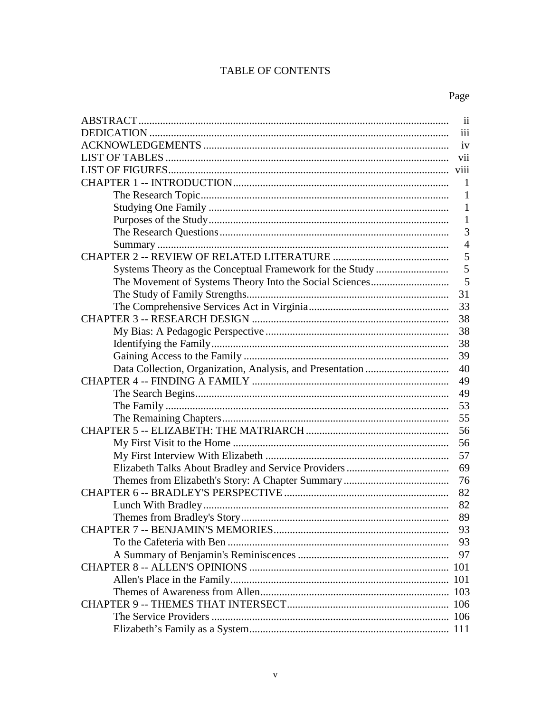## **TABLE OF CONTENTS**

| $\overline{\mathbf{i}}$ |
|-------------------------|
| iii                     |
| iv                      |
| vii                     |
| viii                    |
| -1                      |
| 1                       |
| $\mathbf{1}$            |
| 1                       |
| 3                       |
| $\overline{4}$          |
| 5                       |
| 5                       |
| 5                       |
| 31                      |
| 33                      |
| 38                      |
| 38                      |
| 38                      |
| 39                      |
| 40                      |
| 49                      |
| 49                      |
| 53                      |
| 55                      |
| 56                      |
| 56                      |
| 57                      |
| 69                      |
| 76                      |
| 82                      |
| 82                      |
| 89                      |
| 93                      |
| 93                      |
| 97                      |
|                         |
|                         |
|                         |
|                         |
|                         |
|                         |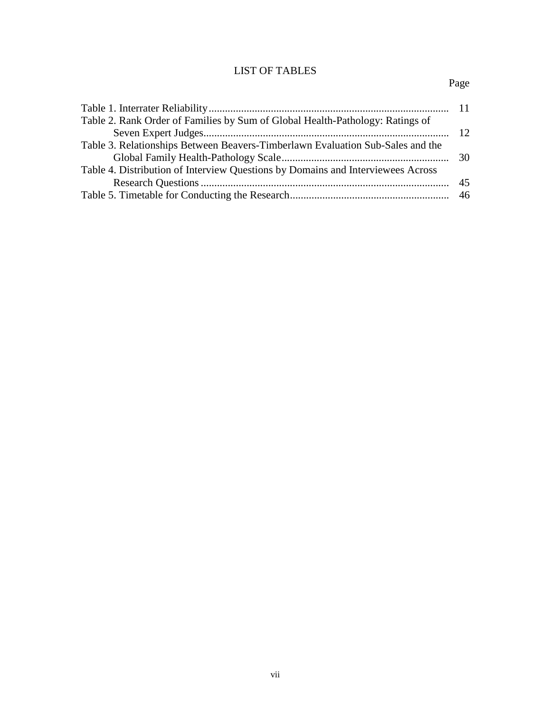# LIST OF TABLES

# Page

| Table 2. Rank Order of Families by Sum of Global Health-Pathology: Ratings of   |  |
|---------------------------------------------------------------------------------|--|
|                                                                                 |  |
| Table 3. Relationships Between Beavers-Timberlawn Evaluation Sub-Sales and the  |  |
|                                                                                 |  |
| Table 4. Distribution of Interview Questions by Domains and Interviewees Across |  |
|                                                                                 |  |
|                                                                                 |  |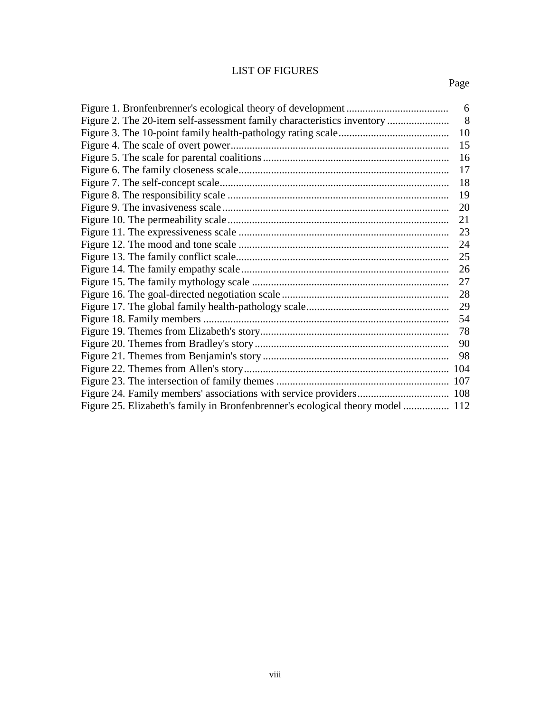## LIST OF FIGURES

|                                                                                | 6  |
|--------------------------------------------------------------------------------|----|
| Figure 2. The 20-item self-assessment family characteristics inventory         | 8  |
|                                                                                | 10 |
|                                                                                | 15 |
|                                                                                | 16 |
|                                                                                | 17 |
|                                                                                | 18 |
|                                                                                | 19 |
|                                                                                | 20 |
|                                                                                | 21 |
|                                                                                | 23 |
|                                                                                | 24 |
|                                                                                | 25 |
|                                                                                | 26 |
|                                                                                | 27 |
|                                                                                | 28 |
|                                                                                | 29 |
|                                                                                | 54 |
|                                                                                | 78 |
|                                                                                | 90 |
|                                                                                | 98 |
|                                                                                |    |
|                                                                                |    |
|                                                                                |    |
| Figure 25. Elizabeth's family in Bronfenbrenner's ecological theory model  112 |    |
|                                                                                |    |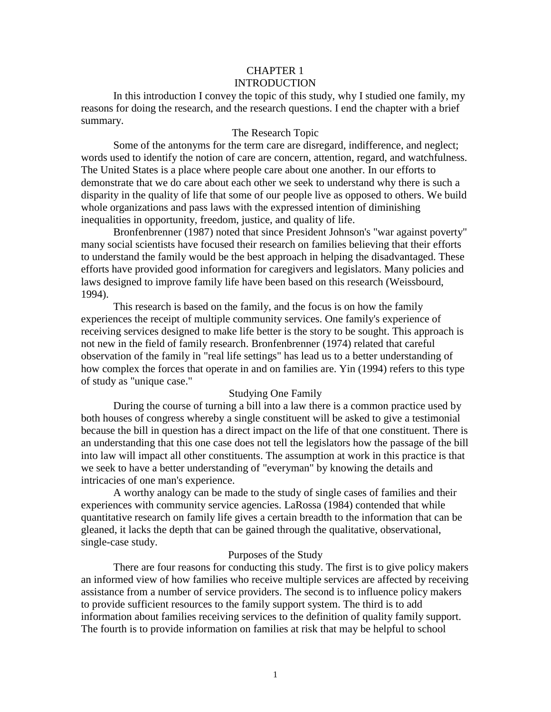### CHAPTER 1 INTRODUCTION

In this introduction I convey the topic of this study, why I studied one family, my reasons for doing the research, and the research questions. I end the chapter with a brief summary.

#### The Research Topic

Some of the antonyms for the term care are disregard, indifference, and neglect; words used to identify the notion of care are concern, attention, regard, and watchfulness. The United States is a place where people care about one another. In our efforts to demonstrate that we do care about each other we seek to understand why there is such a disparity in the quality of life that some of our people live as opposed to others. We build whole organizations and pass laws with the expressed intention of diminishing inequalities in opportunity, freedom, justice, and quality of life.

Bronfenbrenner (1987) noted that since President Johnson's "war against poverty" many social scientists have focused their research on families believing that their efforts to understand the family would be the best approach in helping the disadvantaged. These efforts have provided good information for caregivers and legislators. Many policies and laws designed to improve family life have been based on this research (Weissbourd, 1994).

This research is based on the family, and the focus is on how the family experiences the receipt of multiple community services. One family's experience of receiving services designed to make life better is the story to be sought. This approach is not new in the field of family research. Bronfenbrenner (1974) related that careful observation of the family in "real life settings" has lead us to a better understanding of how complex the forces that operate in and on families are. Yin (1994) refers to this type of study as "unique case."

#### Studying One Family

During the course of turning a bill into a law there is a common practice used by both houses of congress whereby a single constituent will be asked to give a testimonial because the bill in question has a direct impact on the life of that one constituent. There is an understanding that this one case does not tell the legislators how the passage of the bill into law will impact all other constituents. The assumption at work in this practice is that we seek to have a better understanding of "everyman" by knowing the details and intricacies of one man's experience.

A worthy analogy can be made to the study of single cases of families and their experiences with community service agencies. LaRossa (1984) contended that while quantitative research on family life gives a certain breadth to the information that can be gleaned, it lacks the depth that can be gained through the qualitative, observational, single-case study.

#### Purposes of the Study

There are four reasons for conducting this study. The first is to give policy makers an informed view of how families who receive multiple services are affected by receiving assistance from a number of service providers. The second is to influence policy makers to provide sufficient resources to the family support system. The third is to add information about families receiving services to the definition of quality family support. The fourth is to provide information on families at risk that may be helpful to school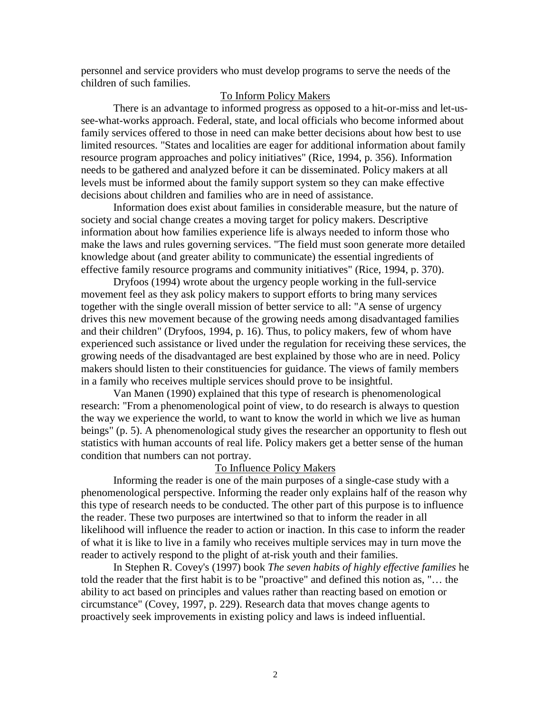personnel and service providers who must develop programs to serve the needs of the children of such families.

### To Inform Policy Makers

There is an advantage to informed progress as opposed to a hit-or-miss and let-ussee-what-works approach. Federal, state, and local officials who become informed about family services offered to those in need can make better decisions about how best to use limited resources. "States and localities are eager for additional information about family resource program approaches and policy initiatives" (Rice, 1994, p. 356). Information needs to be gathered and analyzed before it can be disseminated. Policy makers at all levels must be informed about the family support system so they can make effective decisions about children and families who are in need of assistance.

Information does exist about families in considerable measure, but the nature of society and social change creates a moving target for policy makers. Descriptive information about how families experience life is always needed to inform those who make the laws and rules governing services. "The field must soon generate more detailed knowledge about (and greater ability to communicate) the essential ingredients of effective family resource programs and community initiatives" (Rice, 1994, p. 370).

Dryfoos (1994) wrote about the urgency people working in the full-service movement feel as they ask policy makers to support efforts to bring many services together with the single overall mission of better service to all: "A sense of urgency drives this new movement because of the growing needs among disadvantaged families and their children" (Dryfoos, 1994, p. 16). Thus, to policy makers, few of whom have experienced such assistance or lived under the regulation for receiving these services, the growing needs of the disadvantaged are best explained by those who are in need. Policy makers should listen to their constituencies for guidance. The views of family members in a family who receives multiple services should prove to be insightful.

Van Manen (1990) explained that this type of research is phenomenological research: "From a phenomenological point of view, to do research is always to question the way we experience the world, to want to know the world in which we live as human beings" (p. 5). A phenomenological study gives the researcher an opportunity to flesh out statistics with human accounts of real life. Policy makers get a better sense of the human condition that numbers can not portray.

#### To Influence Policy Makers

Informing the reader is one of the main purposes of a single-case study with a phenomenological perspective. Informing the reader only explains half of the reason why this type of research needs to be conducted. The other part of this purpose is to influence the reader. These two purposes are intertwined so that to inform the reader in all likelihood will influence the reader to action or inaction. In this case to inform the reader of what it is like to live in a family who receives multiple services may in turn move the reader to actively respond to the plight of at-risk youth and their families.

In Stephen R. Covey's (1997) book *The seven habits of highly effective families* he told the reader that the first habit is to be "proactive" and defined this notion as, "… the ability to act based on principles and values rather than reacting based on emotion or circumstance" (Covey, 1997, p. 229). Research data that moves change agents to proactively seek improvements in existing policy and laws is indeed influential.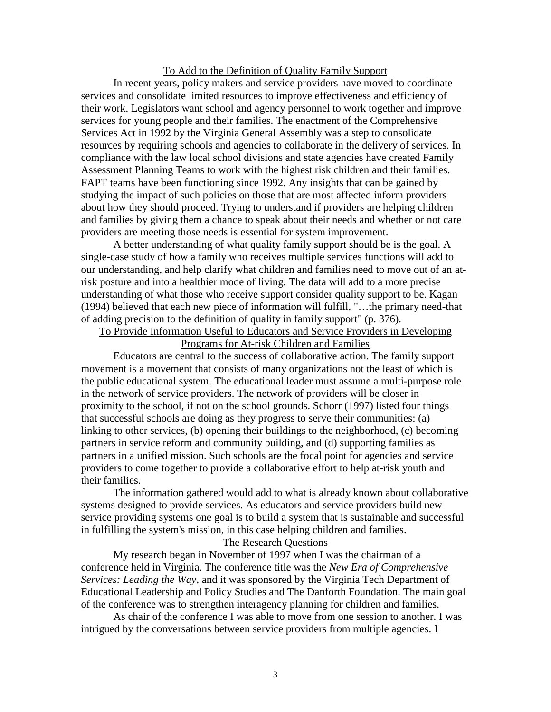#### To Add to the Definition of Quality Family Support

In recent years, policy makers and service providers have moved to coordinate services and consolidate limited resources to improve effectiveness and efficiency of their work. Legislators want school and agency personnel to work together and improve services for young people and their families. The enactment of the Comprehensive Services Act in 1992 by the Virginia General Assembly was a step to consolidate resources by requiring schools and agencies to collaborate in the delivery of services. In compliance with the law local school divisions and state agencies have created Family Assessment Planning Teams to work with the highest risk children and their families. FAPT teams have been functioning since 1992. Any insights that can be gained by studying the impact of such policies on those that are most affected inform providers about how they should proceed. Trying to understand if providers are helping children and families by giving them a chance to speak about their needs and whether or not care providers are meeting those needs is essential for system improvement.

A better understanding of what quality family support should be is the goal. A single-case study of how a family who receives multiple services functions will add to our understanding, and help clarify what children and families need to move out of an atrisk posture and into a healthier mode of living. The data will add to a more precise understanding of what those who receive support consider quality support to be. Kagan (1994) believed that each new piece of information will fulfill, "…the primary need-that of adding precision to the definition of quality in family support" (p. 376).

To Provide Information Useful to Educators and Service Providers in Developing Programs for At-risk Children and Families

Educators are central to the success of collaborative action. The family support movement is a movement that consists of many organizations not the least of which is the public educational system. The educational leader must assume a multi-purpose role in the network of service providers. The network of providers will be closer in proximity to the school, if not on the school grounds. Schorr (1997) listed four things that successful schools are doing as they progress to serve their communities: (a) linking to other services, (b) opening their buildings to the neighborhood, (c) becoming partners in service reform and community building, and (d) supporting families as partners in a unified mission. Such schools are the focal point for agencies and service providers to come together to provide a collaborative effort to help at-risk youth and their families.

The information gathered would add to what is already known about collaborative systems designed to provide services. As educators and service providers build new service providing systems one goal is to build a system that is sustainable and successful in fulfilling the system's mission, in this case helping children and families.

The Research Questions

My research began in November of 1997 when I was the chairman of a conference held in Virginia. The conference title was the *New Era of Comprehensive Services: Leading the Way,* and it was sponsored by the Virginia Tech Department of Educational Leadership and Policy Studies and The Danforth Foundation. The main goal of the conference was to strengthen interagency planning for children and families.

As chair of the conference I was able to move from one session to another. I was intrigued by the conversations between service providers from multiple agencies. I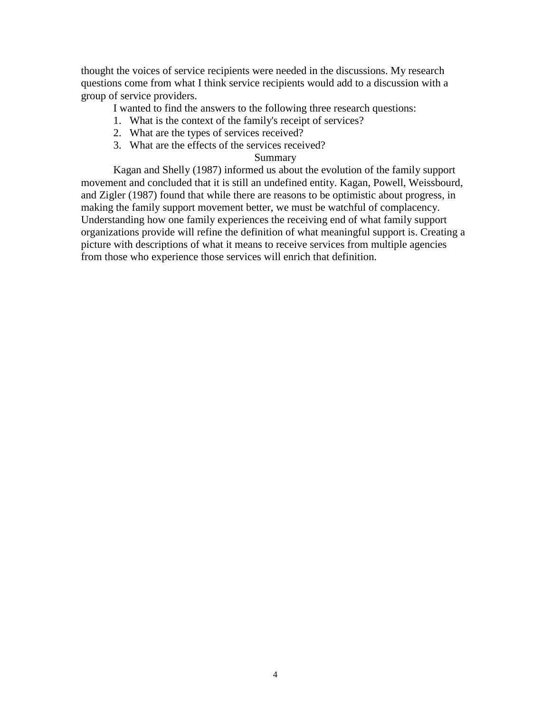thought the voices of service recipients were needed in the discussions. My research questions come from what I think service recipients would add to a discussion with a group of service providers.

I wanted to find the answers to the following three research questions:

- 1. What is the context of the family's receipt of services?
- 2. What are the types of services received?
- 3. What are the effects of the services received?

### Summary

Kagan and Shelly (1987) informed us about the evolution of the family support movement and concluded that it is still an undefined entity. Kagan, Powell, Weissbourd, and Zigler (1987) found that while there are reasons to be optimistic about progress, in making the family support movement better, we must be watchful of complacency. Understanding how one family experiences the receiving end of what family support organizations provide will refine the definition of what meaningful support is. Creating a picture with descriptions of what it means to receive services from multiple agencies from those who experience those services will enrich that definition.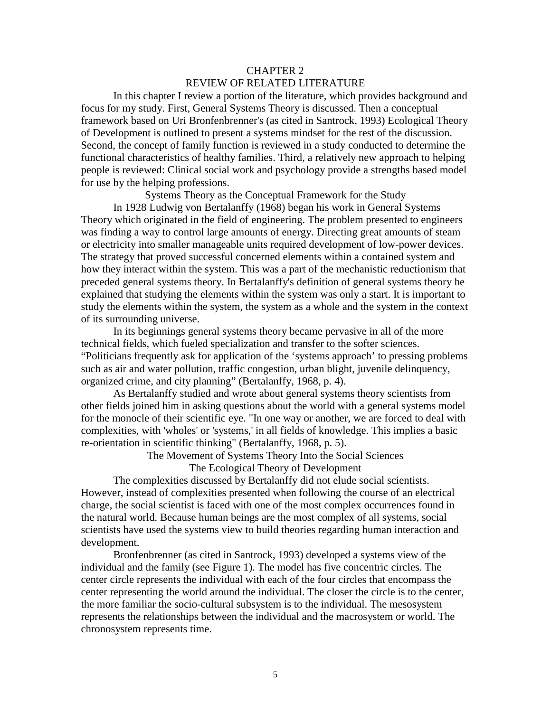## CHAPTER 2 REVIEW OF RELATED LITERATURE

In this chapter I review a portion of the literature, which provides background and focus for my study. First, General Systems Theory is discussed. Then a conceptual framework based on Uri Bronfenbrenner's (as cited in Santrock, 1993) Ecological Theory of Development is outlined to present a systems mindset for the rest of the discussion. Second, the concept of family function is reviewed in a study conducted to determine the functional characteristics of healthy families. Third, a relatively new approach to helping people is reviewed: Clinical social work and psychology provide a strengths based model for use by the helping professions.

Systems Theory as the Conceptual Framework for the Study

In 1928 Ludwig von Bertalanffy (1968) began his work in General Systems Theory which originated in the field of engineering. The problem presented to engineers was finding a way to control large amounts of energy. Directing great amounts of steam or electricity into smaller manageable units required development of low-power devices. The strategy that proved successful concerned elements within a contained system and how they interact within the system. This was a part of the mechanistic reductionism that preceded general systems theory. In Bertalanffy's definition of general systems theory he explained that studying the elements within the system was only a start. It is important to study the elements within the system, the system as a whole and the system in the context of its surrounding universe.

In its beginnings general systems theory became pervasive in all of the more technical fields, which fueled specialization and transfer to the softer sciences. "Politicians frequently ask for application of the 'systems approach' to pressing problems such as air and water pollution, traffic congestion, urban blight, juvenile delinquency, organized crime, and city planning" (Bertalanffy, 1968, p. 4).

As Bertalanffy studied and wrote about general systems theory scientists from other fields joined him in asking questions about the world with a general systems model for the monocle of their scientific eye. "In one way or another, we are forced to deal with complexities, with 'wholes' or 'systems,' in all fields of knowledge. This implies a basic re-orientation in scientific thinking" (Bertalanffy, 1968, p. 5).

The Movement of Systems Theory Into the Social Sciences

The Ecological Theory of Development

The complexities discussed by Bertalanffy did not elude social scientists. However, instead of complexities presented when following the course of an electrical charge, the social scientist is faced with one of the most complex occurrences found in the natural world. Because human beings are the most complex of all systems, social scientists have used the systems view to build theories regarding human interaction and development.

Bronfenbrenner (as cited in Santrock, 1993) developed a systems view of the individual and the family (see Figure 1). The model has five concentric circles. The center circle represents the individual with each of the four circles that encompass the center representing the world around the individual. The closer the circle is to the center, the more familiar the socio-cultural subsystem is to the individual. The mesosystem represents the relationships between the individual and the macrosystem or world. The chronosystem represents time.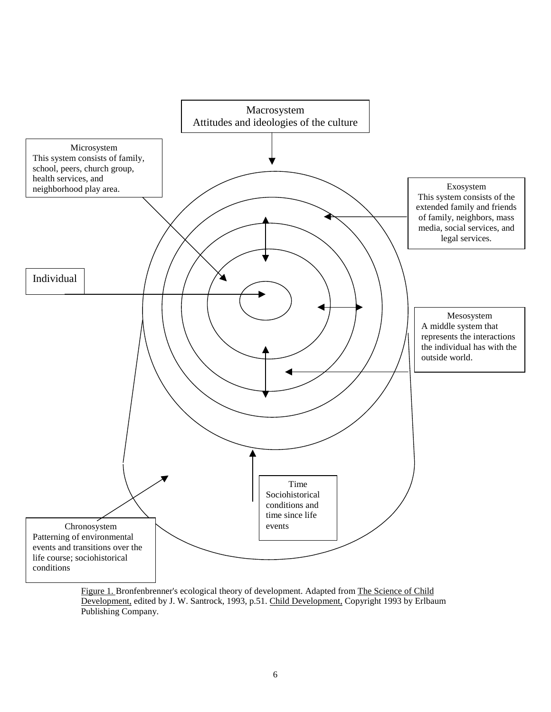

Figure 1. Bronfenbrenner's ecological theory of development. Adapted from The Science of Child Development, edited by J. W. Santrock, 1993, p.51. Child Development, Copyright 1993 by Erlbaum Publishing Company.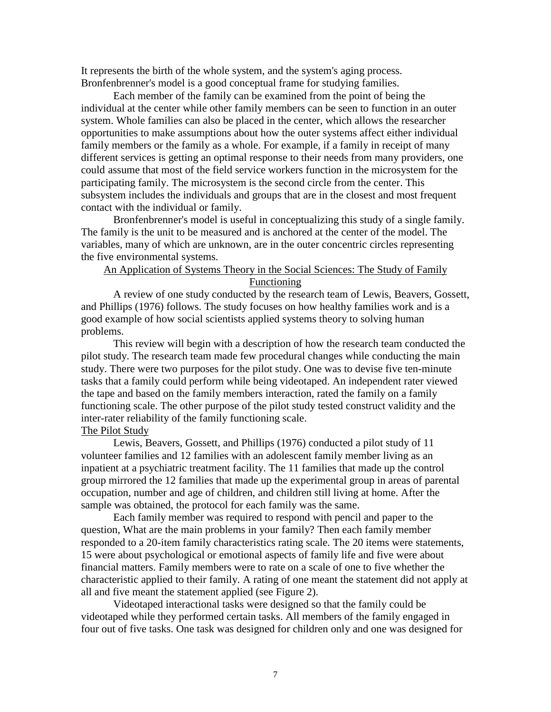It represents the birth of the whole system, and the system's aging process. Bronfenbrenner's model is a good conceptual frame for studying families.

Each member of the family can be examined from the point of being the individual at the center while other family members can be seen to function in an outer system. Whole families can also be placed in the center, which allows the researcher opportunities to make assumptions about how the outer systems affect either individual family members or the family as a whole. For example, if a family in receipt of many different services is getting an optimal response to their needs from many providers, one could assume that most of the field service workers function in the microsystem for the participating family. The microsystem is the second circle from the center. This subsystem includes the individuals and groups that are in the closest and most frequent contact with the individual or family.

Bronfenbrenner's model is useful in conceptualizing this study of a single family. The family is the unit to be measured and is anchored at the center of the model. The variables, many of which are unknown, are in the outer concentric circles representing the five environmental systems.

## An Application of Systems Theory in the Social Sciences: The Study of Family Functioning

A review of one study conducted by the research team of Lewis, Beavers, Gossett, and Phillips (1976) follows. The study focuses on how healthy families work and is a good example of how social scientists applied systems theory to solving human problems.

This review will begin with a description of how the research team conducted the pilot study. The research team made few procedural changes while conducting the main study. There were two purposes for the pilot study. One was to devise five ten-minute tasks that a family could perform while being videotaped. An independent rater viewed the tape and based on the family members interaction, rated the family on a family functioning scale. The other purpose of the pilot study tested construct validity and the inter-rater reliability of the family functioning scale.

#### The Pilot Study

Lewis, Beavers, Gossett, and Phillips (1976) conducted a pilot study of 11 volunteer families and 12 families with an adolescent family member living as an inpatient at a psychiatric treatment facility. The 11 families that made up the control group mirrored the 12 families that made up the experimental group in areas of parental occupation, number and age of children, and children still living at home. After the sample was obtained, the protocol for each family was the same.

Each family member was required to respond with pencil and paper to the question, What are the main problems in your family? Then each family member responded to a 20-item family characteristics rating scale. The 20 items were statements, 15 were about psychological or emotional aspects of family life and five were about financial matters. Family members were to rate on a scale of one to five whether the characteristic applied to their family. A rating of one meant the statement did not apply at all and five meant the statement applied (see Figure 2).

Videotaped interactional tasks were designed so that the family could be videotaped while they performed certain tasks. All members of the family engaged in four out of five tasks. One task was designed for children only and one was designed for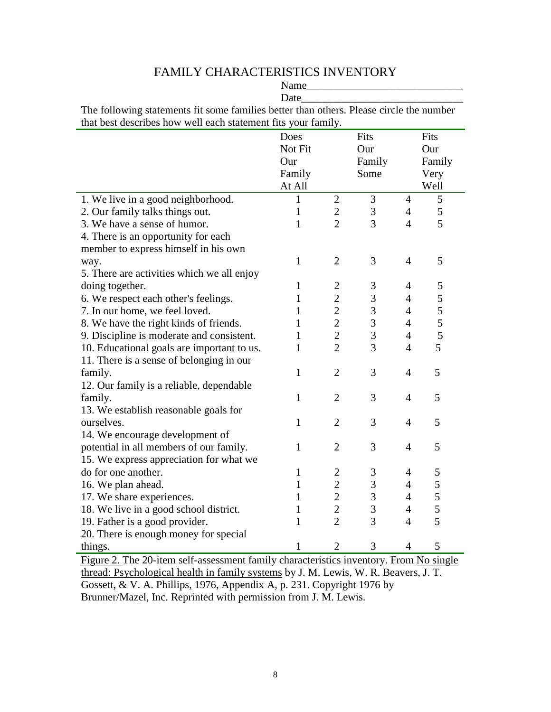# FAMILY CHARACTERISTICS INVENTORY

|                                                                                         | Name         |                         |                |                |               |
|-----------------------------------------------------------------------------------------|--------------|-------------------------|----------------|----------------|---------------|
|                                                                                         | Date         |                         |                |                |               |
| The following statements fit some families better than others. Please circle the number |              |                         |                |                |               |
| that best describes how well each statement fits your family.                           |              |                         |                |                |               |
|                                                                                         | Does         |                         | Fits           |                | Fits          |
|                                                                                         | Not Fit      |                         | Our            |                | Our           |
|                                                                                         | Our          |                         | Family         |                | Family        |
|                                                                                         | Family       |                         | Some           |                | Very          |
|                                                                                         | At All       |                         |                |                | Well          |
| 1. We live in a good neighborhood.                                                      | 1            | $\mathbf{2}$            | 3              | $\overline{4}$ | 5             |
| 2. Our family talks things out.                                                         | $\mathbf{1}$ | $\overline{2}$          | $\mathfrak{Z}$ | $\overline{4}$ | $\mathfrak s$ |
| 3. We have a sense of humor.                                                            | 1            | $\overline{2}$          | 3              | $\overline{4}$ | 5             |
| 4. There is an opportunity for each                                                     |              |                         |                |                |               |
| member to express himself in his own                                                    |              |                         |                |                |               |
| way.                                                                                    | 1            | $\overline{2}$          | 3              | $\overline{4}$ | 5             |
| 5. There are activities which we all enjoy                                              |              |                         |                |                |               |
| doing together.                                                                         | $\mathbf{1}$ | $\overline{\mathbf{c}}$ | 3              | $\overline{4}$ | 5             |
| 6. We respect each other's feelings.                                                    | 1            | $\overline{c}$          | $\mathfrak{Z}$ | $\overline{4}$ | 5             |
| 7. In our home, we feel loved.                                                          | 1            | $\overline{c}$          | $\mathfrak{Z}$ | $\overline{4}$ | 5             |
| 8. We have the right kinds of friends.                                                  | 1            | $\overline{2}$          | $\mathfrak{Z}$ | $\overline{4}$ | 5             |
| 9. Discipline is moderate and consistent.                                               | 1            | $\overline{2}$          | 3              | $\overline{4}$ | 5             |
| 10. Educational goals are important to us.                                              | $\mathbf{1}$ | $\overline{2}$          | 3              | $\overline{4}$ | 5             |
| 11. There is a sense of belonging in our                                                |              |                         |                |                |               |
| family.                                                                                 | $\mathbf{1}$ | $\overline{2}$          | 3              | $\overline{4}$ | 5             |
| 12. Our family is a reliable, dependable                                                |              |                         |                |                |               |
| family.                                                                                 | $\mathbf{1}$ | $\overline{2}$          | 3              | $\overline{4}$ | 5             |
| 13. We establish reasonable goals for                                                   |              |                         |                |                |               |
| ourselves.                                                                              | $\mathbf{1}$ | $\overline{2}$          | 3              | $\overline{4}$ | 5             |
| 14. We encourage development of                                                         |              |                         |                |                |               |
| potential in all members of our family.                                                 | $\mathbf{1}$ | $\overline{2}$          | 3              | $\overline{4}$ | 5             |
| 15. We express appreciation for what we                                                 |              |                         |                |                |               |
| do for one another.                                                                     | $\mathbf{1}$ | $\overline{c}$          | 3              | 4              | 5             |
| 16. We plan ahead.                                                                      | 1            | $\overline{c}$          | 3              | 4              | 5             |
| 17. We share experiences.                                                               | $\mathbf{1}$ | $\overline{c}$          | $\overline{3}$ | $\overline{4}$ | 5             |
| 18. We live in a good school district.                                                  | 1            | $\overline{c}$          | 3              | $\overline{4}$ | 5             |
| 19. Father is a good provider.                                                          | 1            | $\overline{2}$          | 3              | $\overline{4}$ | 5             |
| 20. There is enough money for special                                                   |              |                         |                |                |               |
| things.                                                                                 | $\mathbf{1}$ | $\overline{2}$          | 3              | $\overline{4}$ | 5             |

Figure 2. The 20-item self-assessment family characteristics inventory. From No single thread: Psychological health in family systems by J. M. Lewis, W. R. Beavers, J. T. Gossett, & V. A. Phillips, 1976, Appendix A, p. 231. Copyright 1976 by Brunner/Mazel, Inc. Reprinted with permission from J. M. Lewis.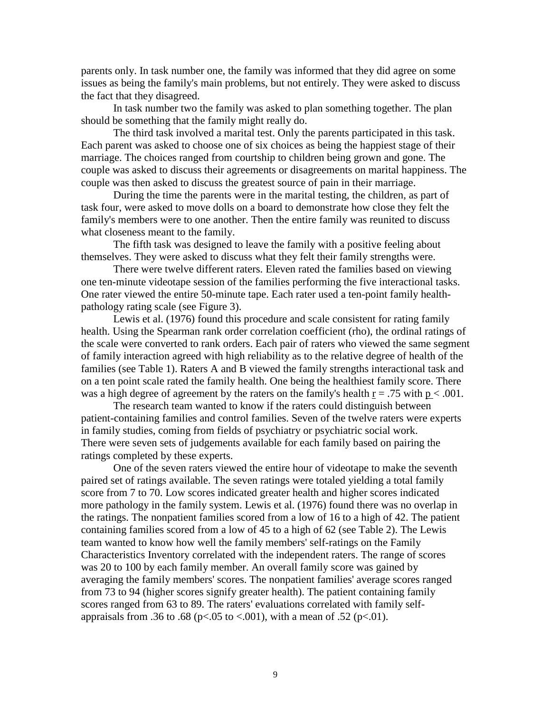parents only. In task number one, the family was informed that they did agree on some issues as being the family's main problems, but not entirely. They were asked to discuss the fact that they disagreed.

In task number two the family was asked to plan something together. The plan should be something that the family might really do.

The third task involved a marital test. Only the parents participated in this task. Each parent was asked to choose one of six choices as being the happiest stage of their marriage. The choices ranged from courtship to children being grown and gone. The couple was asked to discuss their agreements or disagreements on marital happiness. The couple was then asked to discuss the greatest source of pain in their marriage.

During the time the parents were in the marital testing, the children, as part of task four, were asked to move dolls on a board to demonstrate how close they felt the family's members were to one another. Then the entire family was reunited to discuss what closeness meant to the family.

The fifth task was designed to leave the family with a positive feeling about themselves. They were asked to discuss what they felt their family strengths were.

There were twelve different raters. Eleven rated the families based on viewing one ten-minute videotape session of the families performing the five interactional tasks. One rater viewed the entire 50-minute tape. Each rater used a ten-point family healthpathology rating scale (see Figure 3).

Lewis et al. (1976) found this procedure and scale consistent for rating family health. Using the Spearman rank order correlation coefficient (rho), the ordinal ratings of the scale were converted to rank orders. Each pair of raters who viewed the same segment of family interaction agreed with high reliability as to the relative degree of health of the families (see Table 1). Raters A and B viewed the family strengths interactional task and on a ten point scale rated the family health. One being the healthiest family score. There was a high degree of agreement by the raters on the family's health  $r = .75$  with  $p < .001$ .

The research team wanted to know if the raters could distinguish between patient-containing families and control families. Seven of the twelve raters were experts in family studies, coming from fields of psychiatry or psychiatric social work. There were seven sets of judgements available for each family based on pairing the ratings completed by these experts.

One of the seven raters viewed the entire hour of videotape to make the seventh paired set of ratings available. The seven ratings were totaled yielding a total family score from 7 to 70. Low scores indicated greater health and higher scores indicated more pathology in the family system. Lewis et al. (1976) found there was no overlap in the ratings. The nonpatient families scored from a low of 16 to a high of 42. The patient containing families scored from a low of 45 to a high of 62 (see Table 2). The Lewis team wanted to know how well the family members' self-ratings on the Family Characteristics Inventory correlated with the independent raters. The range of scores was 20 to 100 by each family member. An overall family score was gained by averaging the family members' scores. The nonpatient families' average scores ranged from 73 to 94 (higher scores signify greater health). The patient containing family scores ranged from 63 to 89. The raters' evaluations correlated with family selfappraisals from .36 to .68 (p<.05 to <.001), with a mean of .52 (p<.01).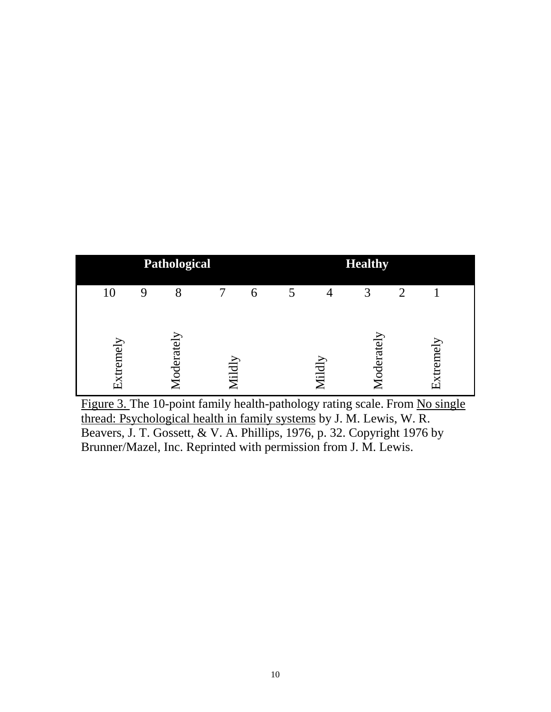

Figure 3. The 10-point family health-pathology rating scale. From No single thread: Psychological health in family systems by J. M. Lewis, W. R. Beavers, J. T. Gossett, & V. A. Phillips, 1976, p. 32. Copyright 1976 by Brunner/Mazel, Inc. Reprinted with permission from J. M. Lewis.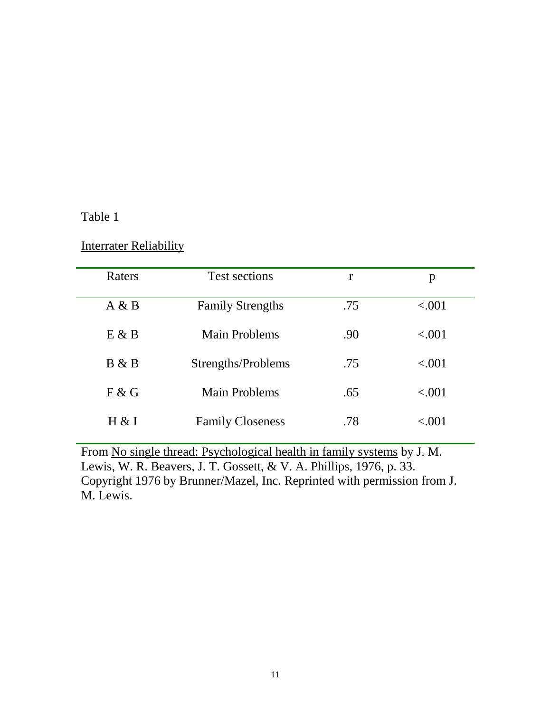# Table 1

## **Interrater Reliability**

| Raters | Test sections           | r   | p                        |
|--------|-------------------------|-----|--------------------------|
| A & B  | <b>Family Strengths</b> | .75 | < .001                   |
| E & B  | <b>Main Problems</b>    | .90 | < .001                   |
| B & B  | Strengths/Problems      | .75 | < 0.01                   |
| F & G  | <b>Main Problems</b>    | .65 | < .001                   |
| H & I  | <b>Family Closeness</b> | .78 | $\langle .(0) 1 \rangle$ |

From No single thread: Psychological health in family systems by J. M. Lewis, W. R. Beavers, J. T. Gossett, & V. A. Phillips, 1976, p. 33. Copyright 1976 by Brunner/Mazel, Inc. Reprinted with permission from J. M. Lewis.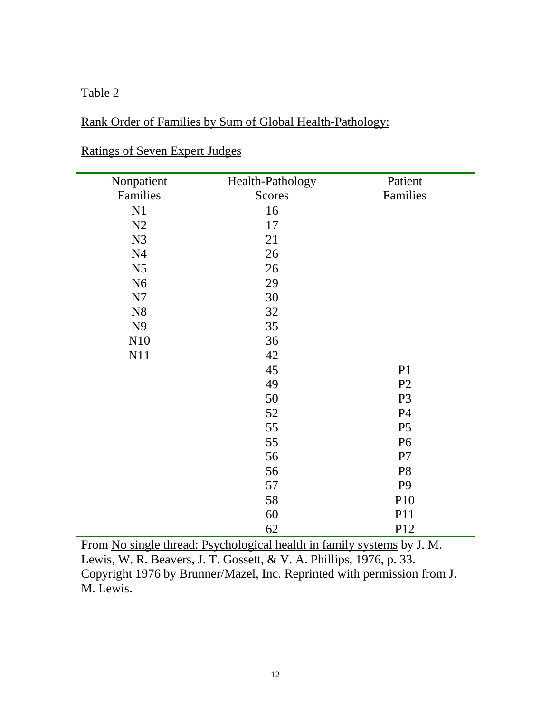# Table 2

# Rank Order of Families by Sum of Global Health-Pathology:

| Nonpatient     | Health-Pathology | Patient        |
|----------------|------------------|----------------|
| Families       | Scores           | Families       |
| N1             | 16               |                |
| N2             | 17               |                |
| N3             | 21               |                |
| N <sub>4</sub> | 26               |                |
| N <sub>5</sub> | 26               |                |
| N <sub>6</sub> | 29               |                |
| N7             | 30               |                |
| N8             | 32               |                |
| N <sub>9</sub> | 35               |                |
| N10            | 36               |                |
| N11            | 42               |                |
|                | 45               | P1             |
|                | 49               | P <sub>2</sub> |
|                | 50               | P <sub>3</sub> |
|                | 52               | <b>P4</b>      |
|                | 55               | P <sub>5</sub> |
|                | 55               | <b>P6</b>      |
|                | 56               | P7             |
|                | 56               | P <sub>8</sub> |
|                | 57               | P <sub>9</sub> |
|                | 58               | P10            |
|                | 60               | P11            |
|                | 62               | P12            |

# Ratings of Seven Expert Judges

From No single thread: Psychological health in family systems by J. M. Lewis, W. R. Beavers, J. T. Gossett, & V. A. Phillips, 1976, p. 33. Copyright 1976 by Brunner/Mazel, Inc. Reprinted with permission from J. M. Lewis.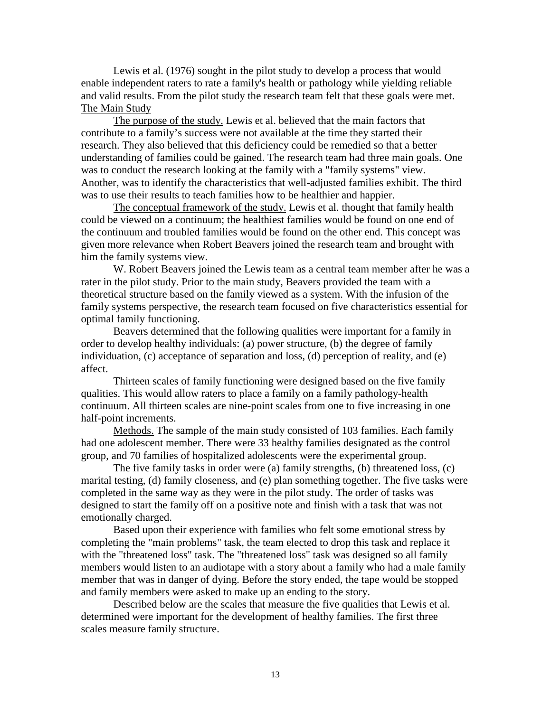Lewis et al. (1976) sought in the pilot study to develop a process that would enable independent raters to rate a family's health or pathology while yielding reliable and valid results. From the pilot study the research team felt that these goals were met. The Main Study

The purpose of the study. Lewis et al. believed that the main factors that contribute to a family's success were not available at the time they started their research. They also believed that this deficiency could be remedied so that a better understanding of families could be gained. The research team had three main goals. One was to conduct the research looking at the family with a "family systems" view. Another, was to identify the characteristics that well-adjusted families exhibit. The third was to use their results to teach families how to be healthier and happier.

The conceptual framework of the study. Lewis et al. thought that family health could be viewed on a continuum; the healthiest families would be found on one end of the continuum and troubled families would be found on the other end. This concept was given more relevance when Robert Beavers joined the research team and brought with him the family systems view.

W. Robert Beavers joined the Lewis team as a central team member after he was a rater in the pilot study. Prior to the main study, Beavers provided the team with a theoretical structure based on the family viewed as a system. With the infusion of the family systems perspective, the research team focused on five characteristics essential for optimal family functioning.

Beavers determined that the following qualities were important for a family in order to develop healthy individuals: (a) power structure, (b) the degree of family individuation, (c) acceptance of separation and loss, (d) perception of reality, and (e) affect.

Thirteen scales of family functioning were designed based on the five family qualities. This would allow raters to place a family on a family pathology-health continuum. All thirteen scales are nine-point scales from one to five increasing in one half-point increments.

Methods. The sample of the main study consisted of 103 families. Each family had one adolescent member. There were 33 healthy families designated as the control group, and 70 families of hospitalized adolescents were the experimental group.

The five family tasks in order were (a) family strengths, (b) threatened loss, (c) marital testing, (d) family closeness, and (e) plan something together. The five tasks were completed in the same way as they were in the pilot study. The order of tasks was designed to start the family off on a positive note and finish with a task that was not emotionally charged.

Based upon their experience with families who felt some emotional stress by completing the "main problems" task, the team elected to drop this task and replace it with the "threatened loss" task. The "threatened loss" task was designed so all family members would listen to an audiotape with a story about a family who had a male family member that was in danger of dying. Before the story ended, the tape would be stopped and family members were asked to make up an ending to the story.

Described below are the scales that measure the five qualities that Lewis et al. determined were important for the development of healthy families. The first three scales measure family structure.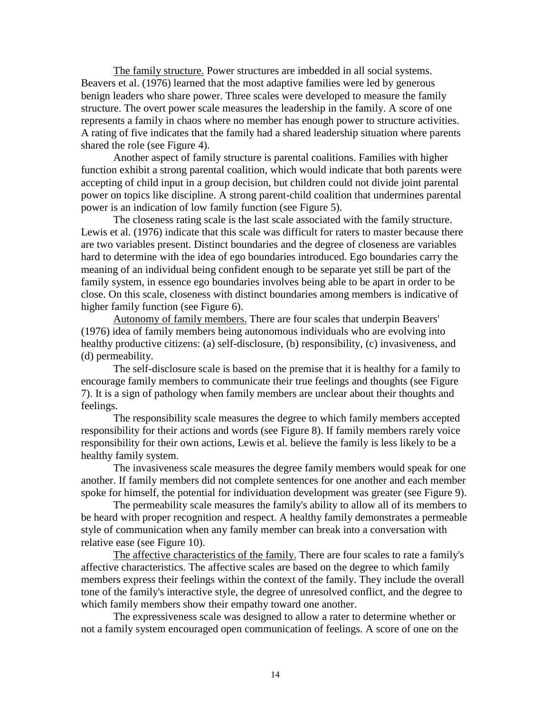The family structure. Power structures are imbedded in all social systems. Beavers et al. (1976) learned that the most adaptive families were led by generous benign leaders who share power. Three scales were developed to measure the family structure. The overt power scale measures the leadership in the family. A score of one represents a family in chaos where no member has enough power to structure activities. A rating of five indicates that the family had a shared leadership situation where parents shared the role (see Figure 4).

Another aspect of family structure is parental coalitions. Families with higher function exhibit a strong parental coalition, which would indicate that both parents were accepting of child input in a group decision, but children could not divide joint parental power on topics like discipline. A strong parent-child coalition that undermines parental power is an indication of low family function (see Figure 5).

The closeness rating scale is the last scale associated with the family structure. Lewis et al. (1976) indicate that this scale was difficult for raters to master because there are two variables present. Distinct boundaries and the degree of closeness are variables hard to determine with the idea of ego boundaries introduced. Ego boundaries carry the meaning of an individual being confident enough to be separate yet still be part of the family system, in essence ego boundaries involves being able to be apart in order to be close. On this scale, closeness with distinct boundaries among members is indicative of higher family function (see Figure 6).

Autonomy of family members. There are four scales that underpin Beavers' (1976) idea of family members being autonomous individuals who are evolving into healthy productive citizens: (a) self-disclosure, (b) responsibility, (c) invasiveness, and (d) permeability.

The self-disclosure scale is based on the premise that it is healthy for a family to encourage family members to communicate their true feelings and thoughts (see Figure 7). It is a sign of pathology when family members are unclear about their thoughts and feelings.

The responsibility scale measures the degree to which family members accepted responsibility for their actions and words (see Figure 8). If family members rarely voice responsibility for their own actions, Lewis et al. believe the family is less likely to be a healthy family system.

The invasiveness scale measures the degree family members would speak for one another. If family members did not complete sentences for one another and each member spoke for himself, the potential for individuation development was greater (see Figure 9).

The permeability scale measures the family's ability to allow all of its members to be heard with proper recognition and respect. A healthy family demonstrates a permeable style of communication when any family member can break into a conversation with relative ease (see Figure 10).

The affective characteristics of the family. There are four scales to rate a family's affective characteristics. The affective scales are based on the degree to which family members express their feelings within the context of the family. They include the overall tone of the family's interactive style, the degree of unresolved conflict, and the degree to which family members show their empathy toward one another.

The expressiveness scale was designed to allow a rater to determine whether or not a family system encouraged open communication of feelings. A score of one on the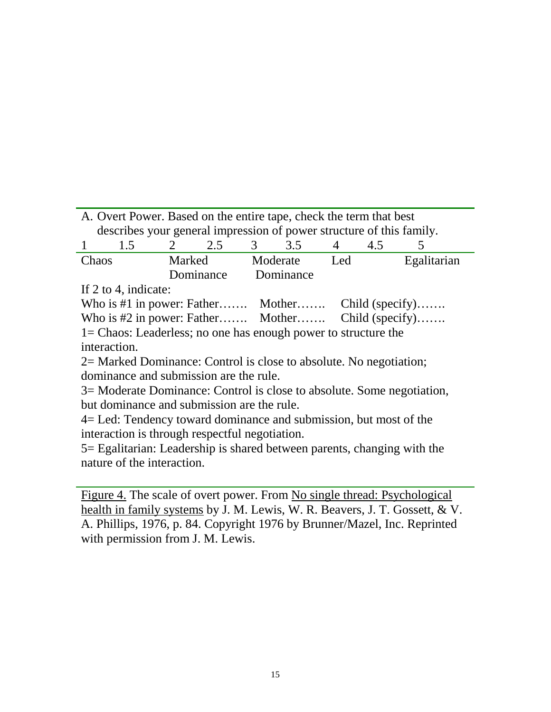|                                                   | A. Overt Power. Based on the entire tape, check the term that best   |  |        |  |                 |  |     |             |  |  |
|---------------------------------------------------|----------------------------------------------------------------------|--|--------|--|-----------------|--|-----|-------------|--|--|
|                                                   | describes your general impression of power structure of this family. |  |        |  |                 |  |     |             |  |  |
| $1 \quad \blacksquare$                            | 1.5                                                                  |  | 2 2.5  |  | $3 \t 3.5 \t 4$ |  | 4.5 |             |  |  |
| Chaos                                             |                                                                      |  | Marked |  | Moderate Led    |  |     | Egalitarian |  |  |
| Dominance Dominance                               |                                                                      |  |        |  |                 |  |     |             |  |  |
|                                                   | If 2 to 4, indicate:                                                 |  |        |  |                 |  |     |             |  |  |
| Who is #1 in power: Father Mother Child (specify) |                                                                      |  |        |  |                 |  |     |             |  |  |
| Who is #2 in power: Father Mother Child (specify) |                                                                      |  |        |  |                 |  |     |             |  |  |
|                                                   | $1 =$ Chaos: Leaderless; no one has enough power to structure the    |  |        |  |                 |  |     |             |  |  |
|                                                   |                                                                      |  |        |  |                 |  |     |             |  |  |

interaction.

2= Marked Dominance: Control is close to absolute. No negotiation; dominance and submission are the rule.

3= Moderate Dominance: Control is close to absolute. Some negotiation, but dominance and submission are the rule.

4= Led: Tendency toward dominance and submission, but most of the interaction is through respectful negotiation.

5= Egalitarian: Leadership is shared between parents, changing with the nature of the interaction.

Figure 4. The scale of overt power. From No single thread: Psychological health in family systems by J. M. Lewis, W. R. Beavers, J. T. Gossett, & V. A. Phillips, 1976, p. 84. Copyright 1976 by Brunner/Mazel, Inc. Reprinted with permission from J. M. Lewis.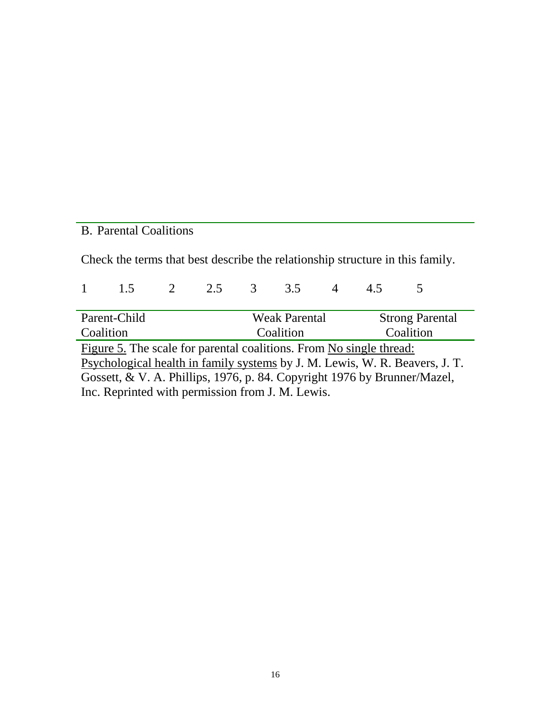# B. Parental Coalitions

Check the terms that best describe the relationship structure in this family.

|                                                                             | 1.5                                                                 | $\overline{2}$ | 2.5 3                  |  | 3.5       |  |  |           |  |
|-----------------------------------------------------------------------------|---------------------------------------------------------------------|----------------|------------------------|--|-----------|--|--|-----------|--|
|                                                                             |                                                                     |                |                        |  |           |  |  |           |  |
|                                                                             | Parent-Child                                                        |                | <b>Strong Parental</b> |  |           |  |  |           |  |
|                                                                             | Coalition                                                           |                |                        |  | Coalition |  |  | Coalition |  |
|                                                                             | Figure 5. The scale for parental coalitions. From No single thread: |                |                        |  |           |  |  |           |  |
| Psychological health in family systems by J. M. Lewis, W. R. Beavers, J. T. |                                                                     |                |                        |  |           |  |  |           |  |
| Gossett, & V. A. Phillips, 1976, p. 84. Copyright 1976 by Brunner/Mazel,    |                                                                     |                |                        |  |           |  |  |           |  |
| Inc. Reprinted with permission from J. M. Lewis.                            |                                                                     |                |                        |  |           |  |  |           |  |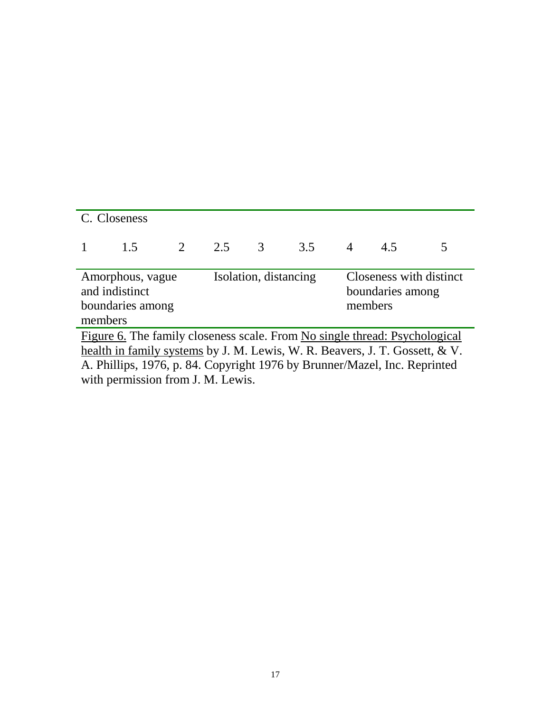| C. Closeness                                                                                                                                                                                                                           |     |  |         |                       |     |                |                                                        |  |  |  |
|----------------------------------------------------------------------------------------------------------------------------------------------------------------------------------------------------------------------------------------|-----|--|---------|-----------------------|-----|----------------|--------------------------------------------------------|--|--|--|
|                                                                                                                                                                                                                                        | 1.5 |  | 2 2.5 3 |                       | 3.5 | $\overline{4}$ | 4.5                                                    |  |  |  |
| Amorphous, vague<br>and indistinct<br>boundaries among<br>members                                                                                                                                                                      |     |  |         | Isolation, distancing |     |                | Closeness with distinct<br>boundaries among<br>members |  |  |  |
| Figure 6. The family closeness scale. From No single thread: Psychological<br>health in family systems by J. M. Lewis, W. R. Beavers, J. T. Gossett, & V.<br>A. Phillips, 1976, p. 84. Copyright 1976 by Brunner/Mazel, Inc. Reprinted |     |  |         |                       |     |                |                                                        |  |  |  |

with permission from J. M. Lewis.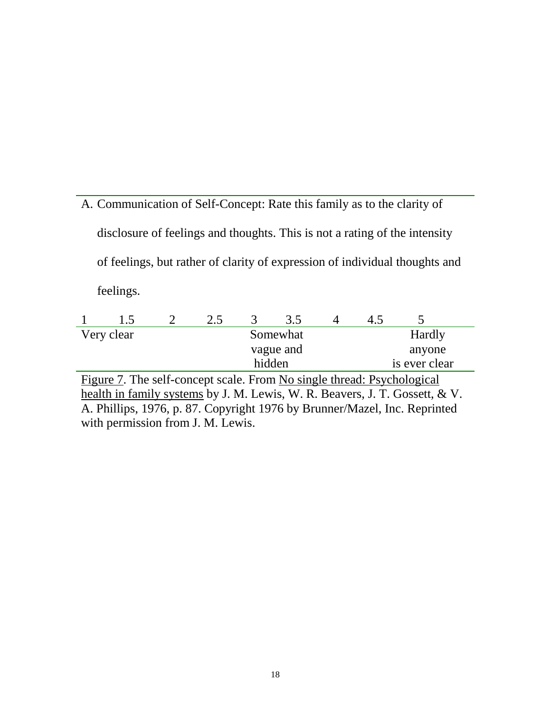A. Communication of Self-Concept: Rate this family as to the clarity of disclosure of feelings and thoughts. This is not a rating of the intensity of feelings, but rather of clarity of expression of individual thoughts and feelings.

|                                                                        | $\mathsf{L}$ |  | 2.5 |          | 35        |        | 45     |  |  |
|------------------------------------------------------------------------|--------------|--|-----|----------|-----------|--------|--------|--|--|
|                                                                        | Very clear   |  |     | Somewhat |           | Hardly |        |  |  |
|                                                                        |              |  |     |          | vague and |        | anyone |  |  |
| is ever clear<br>hidden                                                |              |  |     |          |           |        |        |  |  |
| Figure 7. The self-concept scale. From No single thread: Psychological |              |  |     |          |           |        |        |  |  |

health in family systems by J. M. Lewis, W. R. Beavers, J. T. Gossett, & V. A. Phillips, 1976, p. 87. Copyright 1976 by Brunner/Mazel, Inc. Reprinted with permission from J. M. Lewis.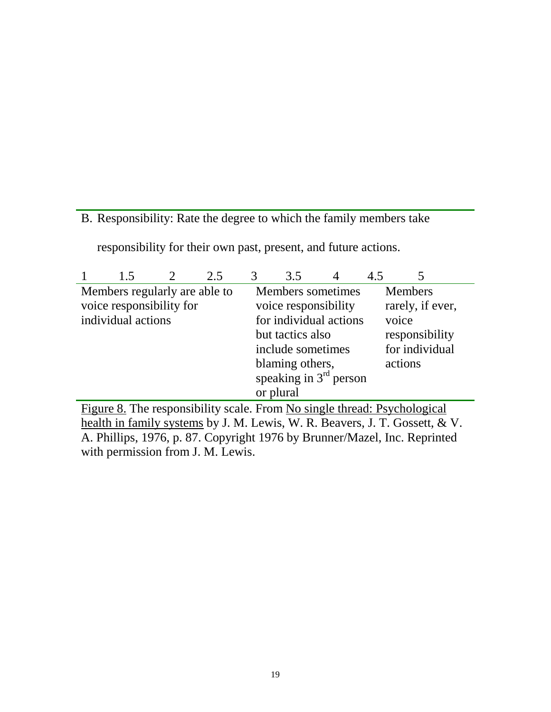# B. Responsibility: Rate the degree to which the family members take

responsibility for their own past, present, and future actions.

|                                                                             | 1.5                           |  | 2.5 | 3                        | 3.5                    | 4 | 4.5 |                                                                          |  |
|-----------------------------------------------------------------------------|-------------------------------|--|-----|--------------------------|------------------------|---|-----|--------------------------------------------------------------------------|--|
|                                                                             | Members regularly are able to |  |     |                          | Members sometimes      |   |     | <b>Members</b>                                                           |  |
|                                                                             | voice responsibility for      |  |     |                          | voice responsibility   |   |     | rarely, if ever,                                                         |  |
|                                                                             | individual actions            |  |     |                          | for individual actions |   |     | voice                                                                    |  |
|                                                                             |                               |  |     |                          | but tactics also       |   |     | responsibility                                                           |  |
|                                                                             |                               |  |     |                          | include sometimes      |   |     | for individual                                                           |  |
|                                                                             |                               |  |     |                          | blaming others,        |   |     | actions                                                                  |  |
|                                                                             |                               |  |     | speaking in $3rd$ person |                        |   |     |                                                                          |  |
|                                                                             |                               |  |     |                          | or plural              |   |     |                                                                          |  |
|                                                                             |                               |  |     |                          |                        |   |     | Figure 8. The responsibility scale. From No single thread: Psychological |  |
| health in family systems by J. M. Lewis, W. R. Beavers, J. T. Gossett, & V. |                               |  |     |                          |                        |   |     |                                                                          |  |
| A. Phillips, 1976, p. 87. Copyright 1976 by Brunner/Mazel, Inc. Reprinted   |                               |  |     |                          |                        |   |     |                                                                          |  |
| with permission from J. M. Lewis.                                           |                               |  |     |                          |                        |   |     |                                                                          |  |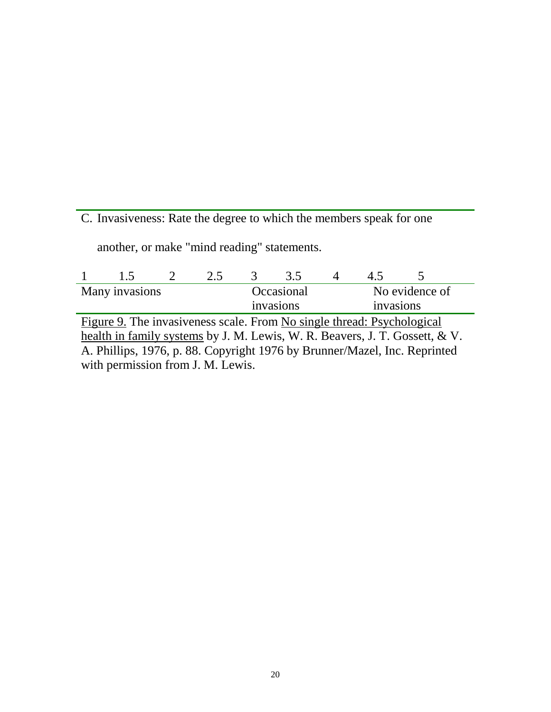C. Invasiveness: Rate the degree to which the members speak for one

another, or make "mind reading" statements.

|                                                                             | 1.5 |  | 2.5 | $\mathcal{R}$ | 3.5                    |  |                |  |  |
|-----------------------------------------------------------------------------|-----|--|-----|---------------|------------------------|--|----------------|--|--|
| Many invasions                                                              |     |  |     |               | Occasional             |  | No evidence of |  |  |
|                                                                             |     |  |     |               | invasions<br>invasions |  |                |  |  |
| Figure 9. The invasiveness scale. From No single thread: Psychological      |     |  |     |               |                        |  |                |  |  |
| health in family systems by J. M. Lewis, W. R. Beavers, J. T. Gossett, & V. |     |  |     |               |                        |  |                |  |  |
| A. Phillips, 1976, p. 88. Copyright 1976 by Brunner/Mazel, Inc. Reprinted   |     |  |     |               |                        |  |                |  |  |
| with permission from J. M. Lewis.                                           |     |  |     |               |                        |  |                |  |  |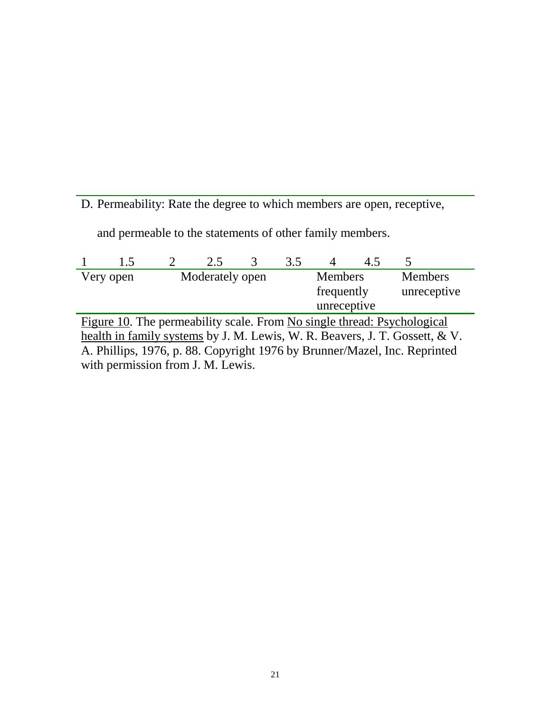D. Permeability: Rate the degree to which members are open, receptive,

and permeable to the statements of other family members.

|                                                                             | 1.5                                                                     |  | 2.5             | 3 | 3.5 |                | 45          |                |  |  |  |
|-----------------------------------------------------------------------------|-------------------------------------------------------------------------|--|-----------------|---|-----|----------------|-------------|----------------|--|--|--|
|                                                                             | Very open                                                               |  | Moderately open |   |     | <b>Members</b> |             | <b>Members</b> |  |  |  |
|                                                                             |                                                                         |  |                 |   |     | frequently     |             | unreceptive    |  |  |  |
|                                                                             |                                                                         |  |                 |   |     |                | unreceptive |                |  |  |  |
|                                                                             | Figure 10. The permeability scale. From No single thread: Psychological |  |                 |   |     |                |             |                |  |  |  |
| health in family systems by J. M. Lewis, W. R. Beavers, J. T. Gossett, & V. |                                                                         |  |                 |   |     |                |             |                |  |  |  |
| A. Phillips, 1976, p. 88. Copyright 1976 by Brunner/Mazel, Inc. Reprinted   |                                                                         |  |                 |   |     |                |             |                |  |  |  |
| with permission from J. M. Lewis.                                           |                                                                         |  |                 |   |     |                |             |                |  |  |  |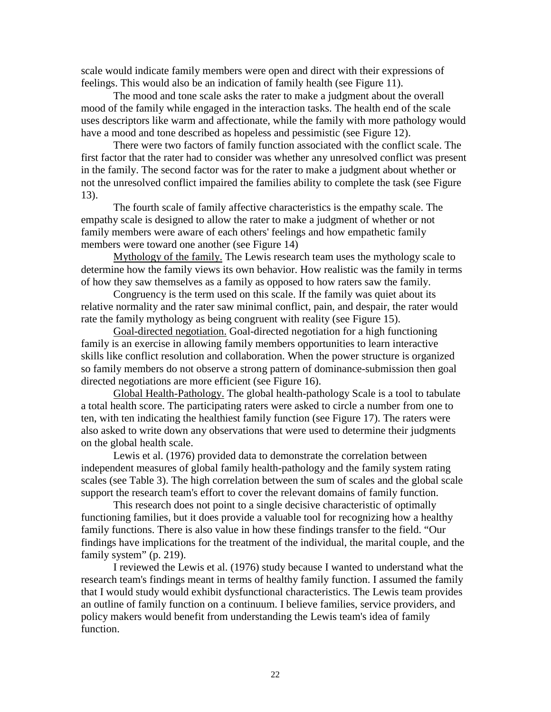scale would indicate family members were open and direct with their expressions of feelings. This would also be an indication of family health (see Figure 11).

The mood and tone scale asks the rater to make a judgment about the overall mood of the family while engaged in the interaction tasks. The health end of the scale uses descriptors like warm and affectionate, while the family with more pathology would have a mood and tone described as hopeless and pessimistic (see Figure 12).

There were two factors of family function associated with the conflict scale. The first factor that the rater had to consider was whether any unresolved conflict was present in the family. The second factor was for the rater to make a judgment about whether or not the unresolved conflict impaired the families ability to complete the task (see Figure 13).

The fourth scale of family affective characteristics is the empathy scale. The empathy scale is designed to allow the rater to make a judgment of whether or not family members were aware of each others' feelings and how empathetic family members were toward one another (see Figure 14)

Mythology of the family. The Lewis research team uses the mythology scale to determine how the family views its own behavior. How realistic was the family in terms of how they saw themselves as a family as opposed to how raters saw the family.

Congruency is the term used on this scale. If the family was quiet about its relative normality and the rater saw minimal conflict, pain, and despair, the rater would rate the family mythology as being congruent with reality (see Figure 15).

Goal-directed negotiation. Goal-directed negotiation for a high functioning family is an exercise in allowing family members opportunities to learn interactive skills like conflict resolution and collaboration. When the power structure is organized so family members do not observe a strong pattern of dominance-submission then goal directed negotiations are more efficient (see Figure 16).

Global Health-Pathology. The global health-pathology Scale is a tool to tabulate a total health score. The participating raters were asked to circle a number from one to ten, with ten indicating the healthiest family function (see Figure 17). The raters were also asked to write down any observations that were used to determine their judgments on the global health scale.

Lewis et al. (1976) provided data to demonstrate the correlation between independent measures of global family health-pathology and the family system rating scales (see Table 3). The high correlation between the sum of scales and the global scale support the research team's effort to cover the relevant domains of family function.

This research does not point to a single decisive characteristic of optimally functioning families, but it does provide a valuable tool for recognizing how a healthy family functions. There is also value in how these findings transfer to the field. "Our findings have implications for the treatment of the individual, the marital couple, and the family system" (p. 219).

I reviewed the Lewis et al. (1976) study because I wanted to understand what the research team's findings meant in terms of healthy family function. I assumed the family that I would study would exhibit dysfunctional characteristics. The Lewis team provides an outline of family function on a continuum. I believe families, service providers, and policy makers would benefit from understanding the Lewis team's idea of family function.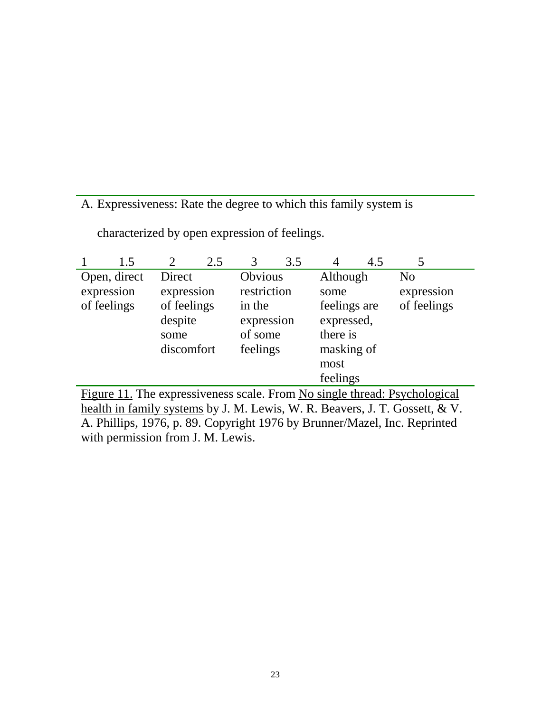# A. Expressiveness: Rate the degree to which this family system is

|             |              |             | 2.5 |             | 3.5 |              | 4.5 |                |
|-------------|--------------|-------------|-----|-------------|-----|--------------|-----|----------------|
|             | Open, direct | Direct      |     | Obvious     |     | Although     |     | N <sub>0</sub> |
| expression  |              | expression  |     | restriction |     | some         |     | expression     |
| of feelings |              | of feelings |     | in the      |     | feelings are |     | of feelings    |
|             |              | despite     |     | expression  |     | expressed,   |     |                |
|             |              | some        |     | of some     |     | there is     |     |                |
|             |              | discomfort  |     | feelings    |     | masking of   |     |                |
|             |              |             |     |             |     | most         |     |                |
|             |              |             |     |             |     | feelings     |     |                |

characterized by open expression of feelings.

Figure 11. The expressiveness scale. From No single thread: Psychological health in family systems by J. M. Lewis, W. R. Beavers, J. T. Gossett, & V. A. Phillips, 1976, p. 89. Copyright 1976 by Brunner/Mazel, Inc. Reprinted with permission from J. M. Lewis.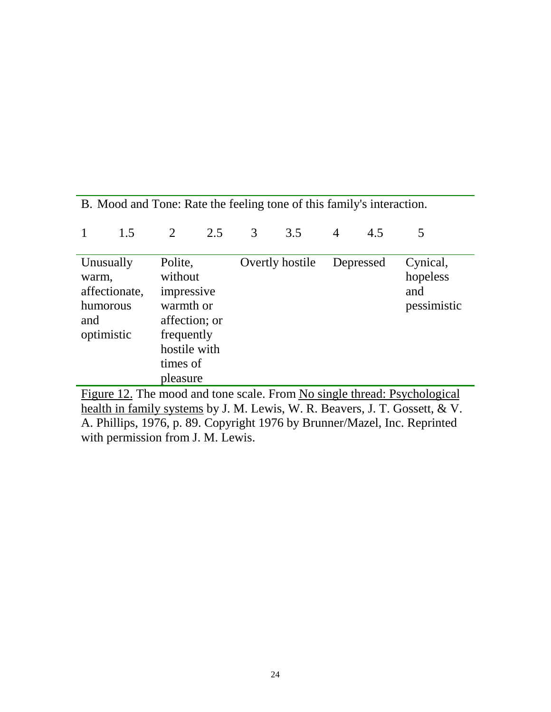| B. Mood and Tone: Rate the feeling tone of this family's interaction.                                                                                                                                                               |                                                                                                                |   |     |   |     |                |                                     |   |  |
|-------------------------------------------------------------------------------------------------------------------------------------------------------------------------------------------------------------------------------------|----------------------------------------------------------------------------------------------------------------|---|-----|---|-----|----------------|-------------------------------------|---|--|
|                                                                                                                                                                                                                                     | 1.5                                                                                                            | 2 | 2.5 | 3 | 3.5 | $\overline{4}$ | 4.5                                 | 5 |  |
| Polite,<br>Overtly hostile<br>Unusually<br>Depressed<br>without<br>warm,<br>affectionate,<br>impressive<br>and<br>warmth or<br>humorous<br>affection; or<br>and<br>optimistic<br>frequently<br>hostile with<br>times of<br>pleasure |                                                                                                                |   |     |   |     |                | Cynical,<br>hopeless<br>pessimistic |   |  |
|                                                                                                                                                                                                                                     | Figure 12. The mood and tone scale. From No single thread: Psychological<br>$\sim$ $\sim$ $\sim$ $\sim$ $\sim$ |   |     |   |     |                |                                     |   |  |

health in family systems by J. M. Lewis, W. R. Beavers, J. T. Gossett, & V. A. Phillips, 1976, p. 89. Copyright 1976 by Brunner/Mazel, Inc. Reprinted with permission from J. M. Lewis.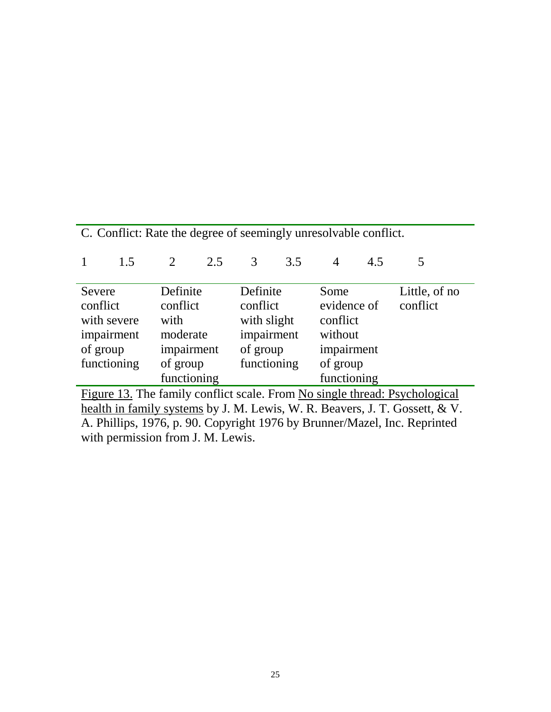| C. Conflict: Rate the degree of seemingly unresolvable conflict.            |                                                                           |                |          |             |             |                |          |          |  |
|-----------------------------------------------------------------------------|---------------------------------------------------------------------------|----------------|----------|-------------|-------------|----------------|----------|----------|--|
|                                                                             | 1.5                                                                       | $\overline{2}$ | 2.5      | 3           | 3.5         | $\overline{4}$ | 4.5      | 5        |  |
| Definite<br>Definite<br>Little, of no<br>Severe<br>Some                     |                                                                           |                |          |             |             |                |          |          |  |
| conflict<br>conflict                                                        |                                                                           |                |          | conflict    |             | evidence of    |          | conflict |  |
| with severe                                                                 |                                                                           | with           |          | with slight |             | conflict       |          |          |  |
| impairment                                                                  |                                                                           | moderate       |          | impairment  |             | without        |          |          |  |
| of group                                                                    |                                                                           | impairment     |          | of group    |             | impairment     |          |          |  |
| functioning                                                                 |                                                                           |                | of group |             | functioning |                | of group |          |  |
| functioning<br>functioning                                                  |                                                                           |                |          |             |             |                |          |          |  |
| Figure 13. The family conflict scale. From No single thread: Psychological  |                                                                           |                |          |             |             |                |          |          |  |
| health in family systems by J. M. Lewis, W. R. Beavers, J. T. Gossett, & V. |                                                                           |                |          |             |             |                |          |          |  |
|                                                                             | A. Phillips, 1976, p. 90. Copyright 1976 by Brunner/Mazel, Inc. Reprinted |                |          |             |             |                |          |          |  |

with permission from J. M. Lewis.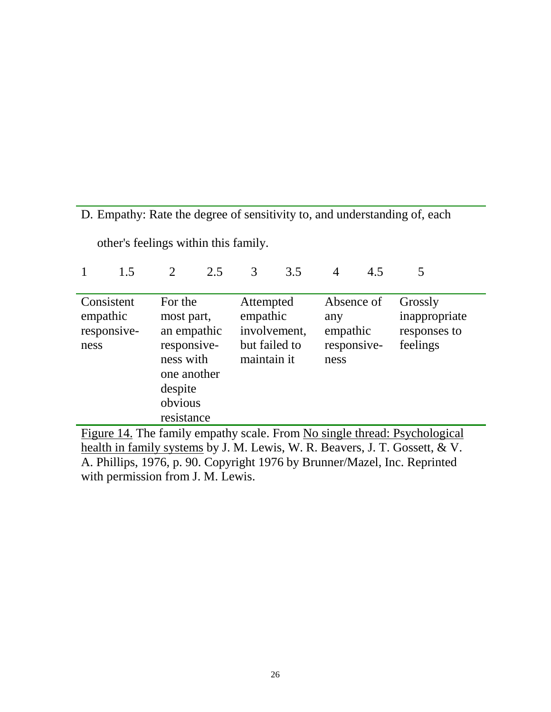# D. Empathy: Rate the degree of sensitivity to, and understanding of, each

other's feelings within this family. 1 1.5 2 2.5 3 3.5 4 4.5 5

| Consistent<br>empathic<br>responsive-<br>ness                             | For the<br>most part,<br>an empathic<br>responsive-<br>ness with<br>one another<br>despite<br>obvious<br>resistance | Attempted<br>empathic<br>involvement,<br>but failed to<br>maintain it | Absence of<br>any<br>empathic<br>responsive-<br>ness | Grossly<br>inappropriate<br>responses to<br>feelings |  |  |  |  |  |
|---------------------------------------------------------------------------|---------------------------------------------------------------------------------------------------------------------|-----------------------------------------------------------------------|------------------------------------------------------|------------------------------------------------------|--|--|--|--|--|
| Figure 14. The family empathy scale. From No single thread: Psychological |                                                                                                                     |                                                                       |                                                      |                                                      |  |  |  |  |  |

health in family systems by J. M. Lewis, W. R. Beavers, J. T. Gossett, & V. A. Phillips, 1976, p. 90. Copyright 1976 by Brunner/Mazel, Inc. Reprinted with permission from J. M. Lewis.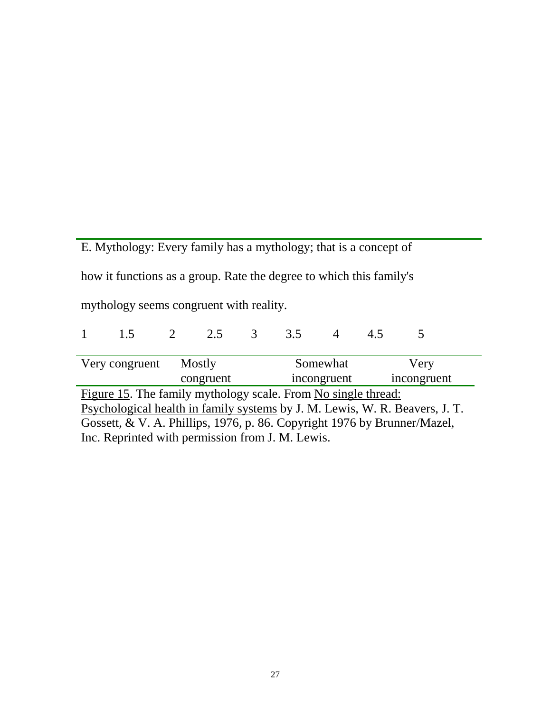E. Mythology: Every family has a mythology; that is a concept of how it functions as a group. Rate the degree to which this family's mythology seems congruent with reality.

|                                                                                                                                                                                                                                                                              | 15             | $\overline{2}$ | 2.5       | $\overline{3}$ | 35          |  |  |             |
|------------------------------------------------------------------------------------------------------------------------------------------------------------------------------------------------------------------------------------------------------------------------------|----------------|----------------|-----------|----------------|-------------|--|--|-------------|
|                                                                                                                                                                                                                                                                              | Very congruent | Mostly         |           |                | Somewhat    |  |  | Very        |
|                                                                                                                                                                                                                                                                              |                |                | congruent |                | incongruent |  |  | incongruent |
| Figure 15. The family mythology scale. From No single thread:<br>Psychological health in family systems by J. M. Lewis, W. R. Beavers, J. T.<br>Gossett, & V. A. Phillips, 1976, p. 86. Copyright 1976 by Brunner/Mazel,<br>Inc. Reprinted with permission from J. M. Lewis. |                |                |           |                |             |  |  |             |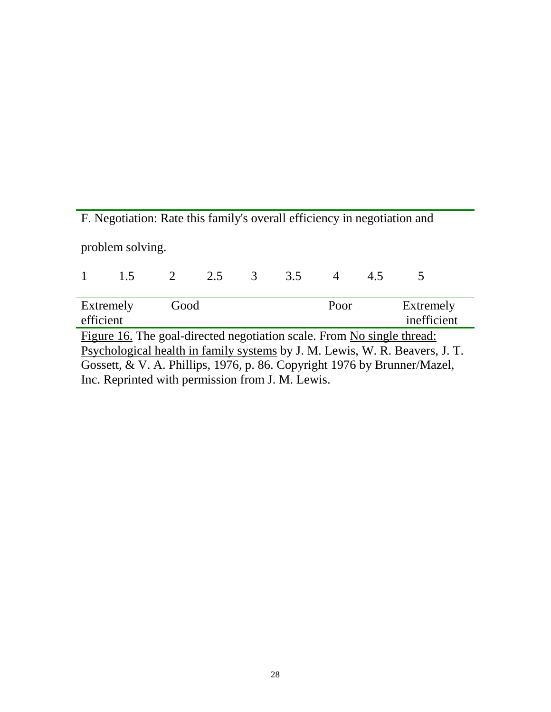F. Negotiation: Rate this family's overall efficiency in negotiation and problem solving. 1 1.5 2 2.5 3 3.5 4 4.5 5 Extremely Good Poor Extremely efficient inefficient inefficient Figure 16. The goal-directed negotiation scale. From No single thread: Psychological health in family systems by J. M. Lewis, W. R. Beavers, J. T. Gossett, & V. A. Phillips, 1976, p. 86. Copyright 1976 by Brunner/Mazel,

Inc. Reprinted with permission from J. M. Lewis.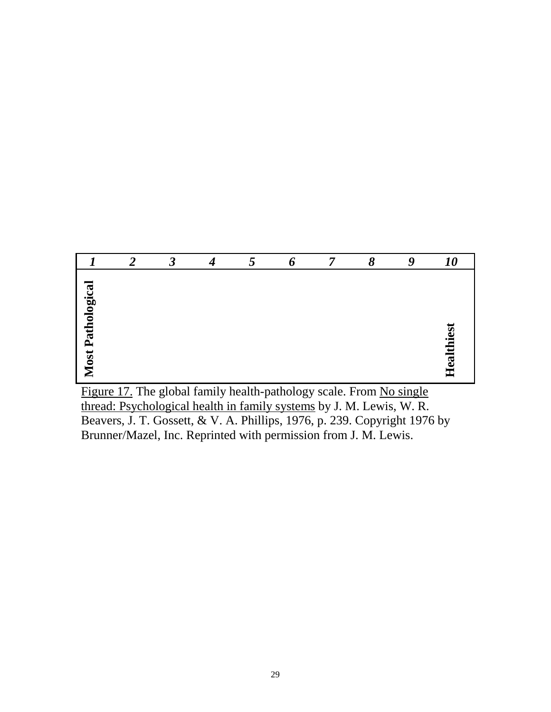|                          | ာ | $\boldsymbol{\beta}$ | 4 | $\overline{5}$ | 6 | 8 | 9 | <i><b>10</b></i> |
|--------------------------|---|----------------------|---|----------------|---|---|---|------------------|
| <b>Most Pathological</b> |   |                      |   |                |   |   |   | Healthiest       |

Figure 17. The global family health-pathology scale. From No single thread: Psychological health in family systems by J. M. Lewis, W. R. Beavers, J. T. Gossett, & V. A. Phillips, 1976, p. 239. Copyright 1976 by Brunner/Mazel, Inc. Reprinted with permission from J. M. Lewis.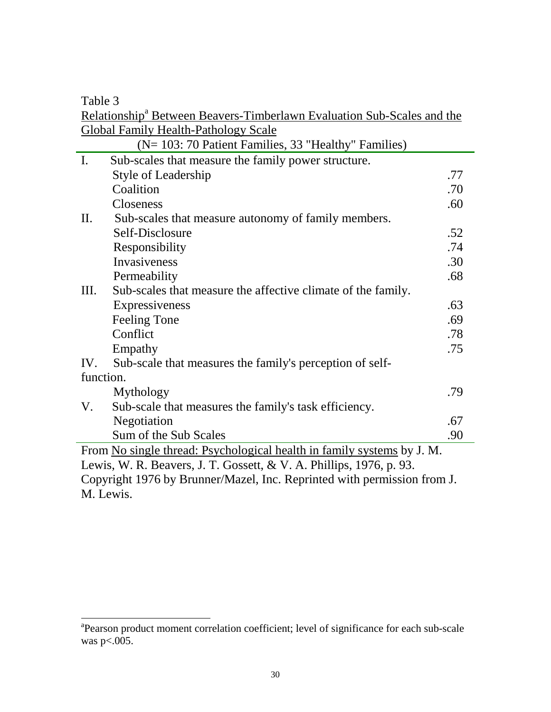Table 3

Relationship<sup>a</sup> Between Beavers-Timberlawn Evaluation Sub-Scales and the Global Family Health-Pathology Scale

|                 | $\sim$ 100 $\mu$ 1 $\mu$ mm $\gamma$ Trough T agropoly beard<br>(N= 103: 70 Patient Families, 33 "Healthy" Families) |     |  |  |  |
|-----------------|----------------------------------------------------------------------------------------------------------------------|-----|--|--|--|
| $\mathbf{I}$ .  | Sub-scales that measure the family power structure.                                                                  |     |  |  |  |
|                 | <b>Style of Leadership</b>                                                                                           | .77 |  |  |  |
|                 | Coalition                                                                                                            | .70 |  |  |  |
|                 | Closeness                                                                                                            | .60 |  |  |  |
| $\mathbf{II}$ . | Sub-scales that measure autonomy of family members.                                                                  |     |  |  |  |
|                 | Self-Disclosure                                                                                                      | .52 |  |  |  |
|                 | Responsibility                                                                                                       | .74 |  |  |  |
|                 | Invasiveness                                                                                                         | .30 |  |  |  |
|                 | Permeability                                                                                                         | .68 |  |  |  |
| III.            | Sub-scales that measure the affective climate of the family.                                                         |     |  |  |  |
|                 | Expressiveness                                                                                                       | .63 |  |  |  |
|                 | Feeling Tone                                                                                                         | .69 |  |  |  |
|                 | Conflict                                                                                                             | .78 |  |  |  |
|                 | Empathy                                                                                                              | .75 |  |  |  |
| IV.             | Sub-scale that measures the family's perception of self-                                                             |     |  |  |  |
| function.       |                                                                                                                      |     |  |  |  |
|                 | Mythology                                                                                                            | .79 |  |  |  |
| V.              | Sub-scale that measures the family's task efficiency.                                                                |     |  |  |  |
|                 | Negotiation                                                                                                          | .67 |  |  |  |
|                 | Sum of the Sub Scales                                                                                                | .90 |  |  |  |
|                 | From <u>No single thread: Psychological health in family systems</u> by J. M.                                        |     |  |  |  |
|                 | Lewis, W. R. Beavers, J. T. Gossett, & V. A. Phillips, 1976, p. 93.                                                  |     |  |  |  |
|                 | Copyright 1976 by Brunner/Mazel, Inc. Reprinted with permission from J.                                              |     |  |  |  |
|                 | M. Lewis.                                                                                                            |     |  |  |  |

a<br>
<sup>a</sup> Pearson product moment correlation coefficient; level of significance for each sub-scale was  $p<0.005$ .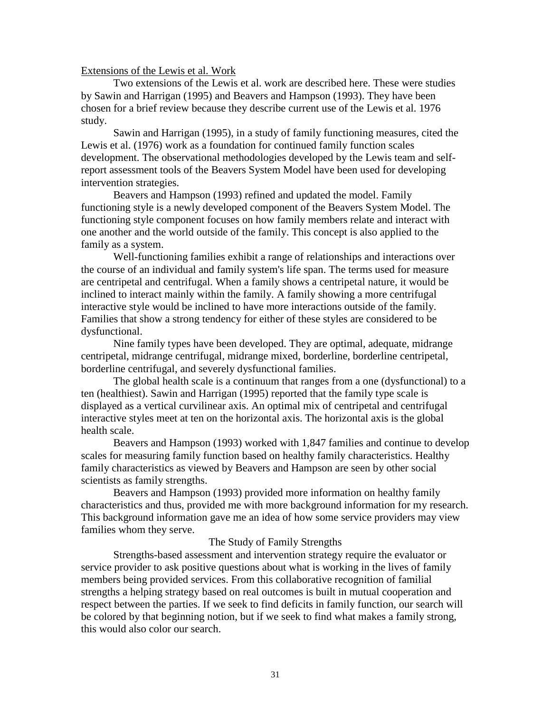#### Extensions of the Lewis et al. Work

Two extensions of the Lewis et al. work are described here. These were studies by Sawin and Harrigan (1995) and Beavers and Hampson (1993). They have been chosen for a brief review because they describe current use of the Lewis et al. 1976 study.

Sawin and Harrigan (1995), in a study of family functioning measures, cited the Lewis et al. (1976) work as a foundation for continued family function scales development. The observational methodologies developed by the Lewis team and selfreport assessment tools of the Beavers System Model have been used for developing intervention strategies.

Beavers and Hampson (1993) refined and updated the model. Family functioning style is a newly developed component of the Beavers System Model. The functioning style component focuses on how family members relate and interact with one another and the world outside of the family. This concept is also applied to the family as a system.

Well-functioning families exhibit a range of relationships and interactions over the course of an individual and family system's life span. The terms used for measure are centripetal and centrifugal. When a family shows a centripetal nature, it would be inclined to interact mainly within the family. A family showing a more centrifugal interactive style would be inclined to have more interactions outside of the family. Families that show a strong tendency for either of these styles are considered to be dysfunctional.

Nine family types have been developed. They are optimal, adequate, midrange centripetal, midrange centrifugal, midrange mixed, borderline, borderline centripetal, borderline centrifugal, and severely dysfunctional families.

The global health scale is a continuum that ranges from a one (dysfunctional) to a ten (healthiest). Sawin and Harrigan (1995) reported that the family type scale is displayed as a vertical curvilinear axis. An optimal mix of centripetal and centrifugal interactive styles meet at ten on the horizontal axis. The horizontal axis is the global health scale.

Beavers and Hampson (1993) worked with 1,847 families and continue to develop scales for measuring family function based on healthy family characteristics. Healthy family characteristics as viewed by Beavers and Hampson are seen by other social scientists as family strengths.

Beavers and Hampson (1993) provided more information on healthy family characteristics and thus, provided me with more background information for my research. This background information gave me an idea of how some service providers may view families whom they serve.

## The Study of Family Strengths

Strengths-based assessment and intervention strategy require the evaluator or service provider to ask positive questions about what is working in the lives of family members being provided services. From this collaborative recognition of familial strengths a helping strategy based on real outcomes is built in mutual cooperation and respect between the parties. If we seek to find deficits in family function, our search will be colored by that beginning notion, but if we seek to find what makes a family strong, this would also color our search.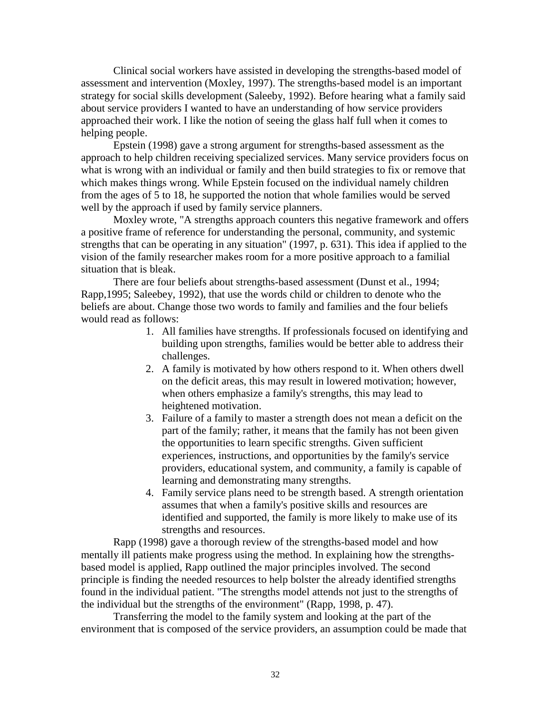Clinical social workers have assisted in developing the strengths-based model of assessment and intervention (Moxley, 1997). The strengths-based model is an important strategy for social skills development (Saleeby, 1992). Before hearing what a family said about service providers I wanted to have an understanding of how service providers approached their work. I like the notion of seeing the glass half full when it comes to helping people.

Epstein (1998) gave a strong argument for strengths-based assessment as the approach to help children receiving specialized services. Many service providers focus on what is wrong with an individual or family and then build strategies to fix or remove that which makes things wrong. While Epstein focused on the individual namely children from the ages of 5 to 18, he supported the notion that whole families would be served well by the approach if used by family service planners.

Moxley wrote, "A strengths approach counters this negative framework and offers a positive frame of reference for understanding the personal, community, and systemic strengths that can be operating in any situation" (1997, p. 631). This idea if applied to the vision of the family researcher makes room for a more positive approach to a familial situation that is bleak.

There are four beliefs about strengths-based assessment (Dunst et al., 1994; Rapp,1995; Saleebey, 1992), that use the words child or children to denote who the beliefs are about. Change those two words to family and families and the four beliefs would read as follows:

- 1. All families have strengths. If professionals focused on identifying and building upon strengths, families would be better able to address their challenges.
- 2. A family is motivated by how others respond to it. When others dwell on the deficit areas, this may result in lowered motivation; however, when others emphasize a family's strengths, this may lead to heightened motivation.
- 3. Failure of a family to master a strength does not mean a deficit on the part of the family; rather, it means that the family has not been given the opportunities to learn specific strengths. Given sufficient experiences, instructions, and opportunities by the family's service providers, educational system, and community, a family is capable of learning and demonstrating many strengths.
- 4. Family service plans need to be strength based. A strength orientation assumes that when a family's positive skills and resources are identified and supported, the family is more likely to make use of its strengths and resources.

Rapp (1998) gave a thorough review of the strengths-based model and how mentally ill patients make progress using the method. In explaining how the strengthsbased model is applied, Rapp outlined the major principles involved. The second principle is finding the needed resources to help bolster the already identified strengths found in the individual patient. "The strengths model attends not just to the strengths of the individual but the strengths of the environment" (Rapp, 1998, p. 47).

Transferring the model to the family system and looking at the part of the environment that is composed of the service providers, an assumption could be made that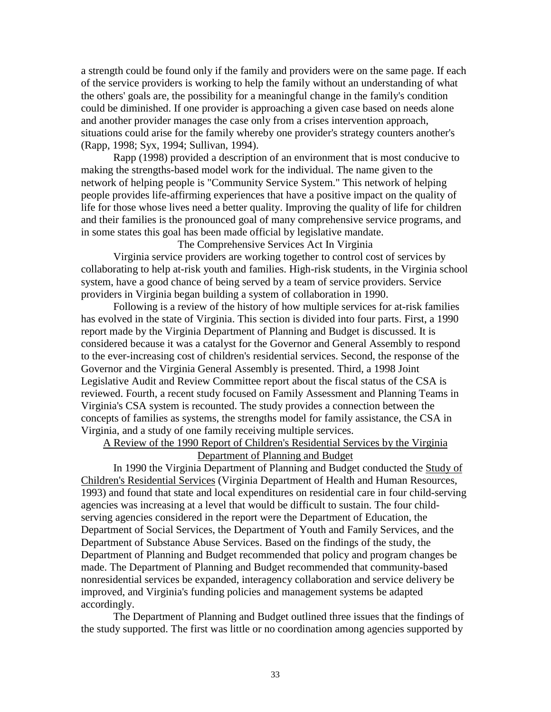a strength could be found only if the family and providers were on the same page. If each of the service providers is working to help the family without an understanding of what the others' goals are, the possibility for a meaningful change in the family's condition could be diminished. If one provider is approaching a given case based on needs alone and another provider manages the case only from a crises intervention approach, situations could arise for the family whereby one provider's strategy counters another's (Rapp, 1998; Syx, 1994; Sullivan, 1994).

Rapp (1998) provided a description of an environment that is most conducive to making the strengths-based model work for the individual. The name given to the network of helping people is "Community Service System." This network of helping people provides life-affirming experiences that have a positive impact on the quality of life for those whose lives need a better quality. Improving the quality of life for children and their families is the pronounced goal of many comprehensive service programs, and in some states this goal has been made official by legislative mandate.

The Comprehensive Services Act In Virginia

Virginia service providers are working together to control cost of services by collaborating to help at-risk youth and families. High-risk students, in the Virginia school system, have a good chance of being served by a team of service providers. Service providers in Virginia began building a system of collaboration in 1990.

Following is a review of the history of how multiple services for at-risk families has evolved in the state of Virginia. This section is divided into four parts. First, a 1990 report made by the Virginia Department of Planning and Budget is discussed. It is considered because it was a catalyst for the Governor and General Assembly to respond to the ever-increasing cost of children's residential services. Second, the response of the Governor and the Virginia General Assembly is presented. Third, a 1998 Joint Legislative Audit and Review Committee report about the fiscal status of the CSA is reviewed. Fourth, a recent study focused on Family Assessment and Planning Teams in Virginia's CSA system is recounted. The study provides a connection between the concepts of families as systems, the strengths model for family assistance, the CSA in Virginia, and a study of one family receiving multiple services.

A Review of the 1990 Report of Children's Residential Services by the Virginia Department of Planning and Budget

In 1990 the Virginia Department of Planning and Budget conducted the Study of Children's Residential Services (Virginia Department of Health and Human Resources, 1993) and found that state and local expenditures on residential care in four child-serving agencies was increasing at a level that would be difficult to sustain. The four childserving agencies considered in the report were the Department of Education, the Department of Social Services, the Department of Youth and Family Services, and the Department of Substance Abuse Services. Based on the findings of the study, the Department of Planning and Budget recommended that policy and program changes be made. The Department of Planning and Budget recommended that community-based nonresidential services be expanded, interagency collaboration and service delivery be improved, and Virginia's funding policies and management systems be adapted accordingly.

The Department of Planning and Budget outlined three issues that the findings of the study supported. The first was little or no coordination among agencies supported by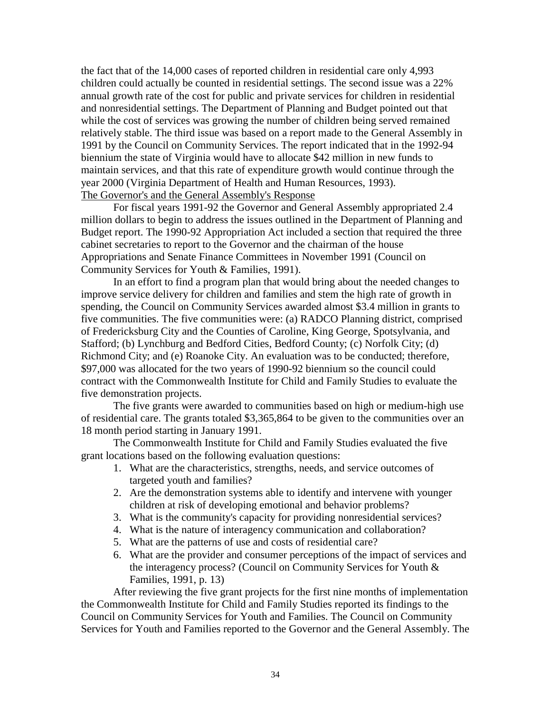the fact that of the 14,000 cases of reported children in residential care only 4,993 children could actually be counted in residential settings. The second issue was a 22% annual growth rate of the cost for public and private services for children in residential and nonresidential settings. The Department of Planning and Budget pointed out that while the cost of services was growing the number of children being served remained relatively stable. The third issue was based on a report made to the General Assembly in 1991 by the Council on Community Services. The report indicated that in the 1992-94 biennium the state of Virginia would have to allocate \$42 million in new funds to maintain services, and that this rate of expenditure growth would continue through the year 2000 (Virginia Department of Health and Human Resources, 1993). The Governor's and the General Assembly's Response

For fiscal years 1991-92 the Governor and General Assembly appropriated 2.4 million dollars to begin to address the issues outlined in the Department of Planning and Budget report. The 1990-92 Appropriation Act included a section that required the three cabinet secretaries to report to the Governor and the chairman of the house Appropriations and Senate Finance Committees in November 1991 (Council on Community Services for Youth & Families, 1991).

In an effort to find a program plan that would bring about the needed changes to improve service delivery for children and families and stem the high rate of growth in spending, the Council on Community Services awarded almost \$3.4 million in grants to five communities. The five communities were: (a) RADCO Planning district, comprised of Fredericksburg City and the Counties of Caroline, King George, Spotsylvania, and Stafford; (b) Lynchburg and Bedford Cities, Bedford County; (c) Norfolk City; (d) Richmond City; and (e) Roanoke City. An evaluation was to be conducted; therefore, \$97,000 was allocated for the two years of 1990-92 biennium so the council could contract with the Commonwealth Institute for Child and Family Studies to evaluate the five demonstration projects.

The five grants were awarded to communities based on high or medium-high use of residential care. The grants totaled \$3,365,864 to be given to the communities over an 18 month period starting in January 1991.

The Commonwealth Institute for Child and Family Studies evaluated the five grant locations based on the following evaluation questions:

- 1. What are the characteristics, strengths, needs, and service outcomes of targeted youth and families?
- 2. Are the demonstration systems able to identify and intervene with younger children at risk of developing emotional and behavior problems?
- 3. What is the community's capacity for providing nonresidential services?
- 4. What is the nature of interagency communication and collaboration?
- 5. What are the patterns of use and costs of residential care?
- 6. What are the provider and consumer perceptions of the impact of services and the interagency process? (Council on Community Services for Youth & Families, 1991, p. 13)

After reviewing the five grant projects for the first nine months of implementation the Commonwealth Institute for Child and Family Studies reported its findings to the Council on Community Services for Youth and Families. The Council on Community Services for Youth and Families reported to the Governor and the General Assembly. The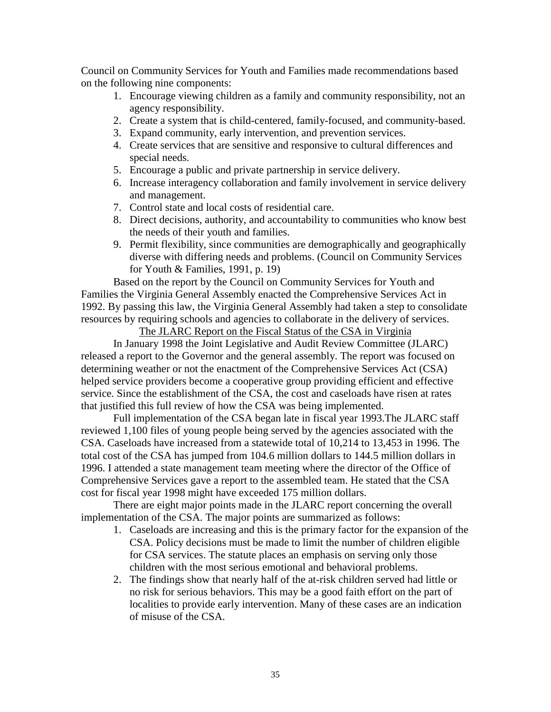Council on Community Services for Youth and Families made recommendations based on the following nine components:

- 1. Encourage viewing children as a family and community responsibility, not an agency responsibility.
- 2. Create a system that is child-centered, family-focused, and community-based.
- 3. Expand community, early intervention, and prevention services.
- 4. Create services that are sensitive and responsive to cultural differences and special needs.
- 5. Encourage a public and private partnership in service delivery.
- 6. Increase interagency collaboration and family involvement in service delivery and management.
- 7. Control state and local costs of residential care.
- 8. Direct decisions, authority, and accountability to communities who know best the needs of their youth and families.
- 9. Permit flexibility, since communities are demographically and geographically diverse with differing needs and problems. (Council on Community Services for Youth & Families, 1991, p. 19)

Based on the report by the Council on Community Services for Youth and Families the Virginia General Assembly enacted the Comprehensive Services Act in 1992. By passing this law, the Virginia General Assembly had taken a step to consolidate resources by requiring schools and agencies to collaborate in the delivery of services.

The JLARC Report on the Fiscal Status of the CSA in Virginia

In January 1998 the Joint Legislative and Audit Review Committee (JLARC) released a report to the Governor and the general assembly. The report was focused on determining weather or not the enactment of the Comprehensive Services Act (CSA) helped service providers become a cooperative group providing efficient and effective service. Since the establishment of the CSA, the cost and caseloads have risen at rates that justified this full review of how the CSA was being implemented.

Full implementation of the CSA began late in fiscal year 1993.The JLARC staff reviewed 1,100 files of young people being served by the agencies associated with the CSA. Caseloads have increased from a statewide total of 10,214 to 13,453 in 1996. The total cost of the CSA has jumped from 104.6 million dollars to 144.5 million dollars in 1996. I attended a state management team meeting where the director of the Office of Comprehensive Services gave a report to the assembled team. He stated that the CSA cost for fiscal year 1998 might have exceeded 175 million dollars.

There are eight major points made in the JLARC report concerning the overall implementation of the CSA. The major points are summarized as follows:

- 1. Caseloads are increasing and this is the primary factor for the expansion of the CSA. Policy decisions must be made to limit the number of children eligible for CSA services. The statute places an emphasis on serving only those children with the most serious emotional and behavioral problems.
- 2. The findings show that nearly half of the at-risk children served had little or no risk for serious behaviors. This may be a good faith effort on the part of localities to provide early intervention. Many of these cases are an indication of misuse of the CSA.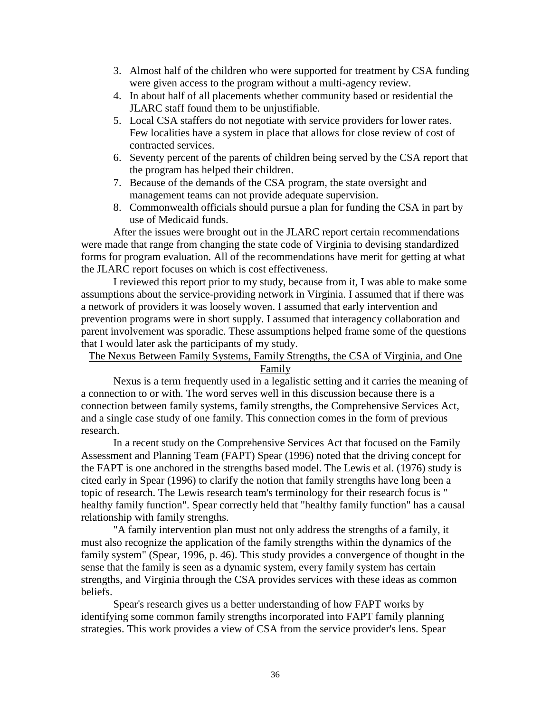- 3. Almost half of the children who were supported for treatment by CSA funding were given access to the program without a multi-agency review.
- 4. In about half of all placements whether community based or residential the JLARC staff found them to be unjustifiable.
- 5. Local CSA staffers do not negotiate with service providers for lower rates. Few localities have a system in place that allows for close review of cost of contracted services.
- 6. Seventy percent of the parents of children being served by the CSA report that the program has helped their children.
- 7. Because of the demands of the CSA program, the state oversight and management teams can not provide adequate supervision.
- 8. Commonwealth officials should pursue a plan for funding the CSA in part by use of Medicaid funds.

After the issues were brought out in the JLARC report certain recommendations were made that range from changing the state code of Virginia to devising standardized forms for program evaluation. All of the recommendations have merit for getting at what the JLARC report focuses on which is cost effectiveness.

I reviewed this report prior to my study, because from it, I was able to make some assumptions about the service-providing network in Virginia. I assumed that if there was a network of providers it was loosely woven. I assumed that early intervention and prevention programs were in short supply. I assumed that interagency collaboration and parent involvement was sporadic. These assumptions helped frame some of the questions that I would later ask the participants of my study.

# The Nexus Between Family Systems, Family Strengths, the CSA of Virginia, and One Family

Nexus is a term frequently used in a legalistic setting and it carries the meaning of a connection to or with. The word serves well in this discussion because there is a connection between family systems, family strengths, the Comprehensive Services Act, and a single case study of one family. This connection comes in the form of previous research.

In a recent study on the Comprehensive Services Act that focused on the Family Assessment and Planning Team (FAPT) Spear (1996) noted that the driving concept for the FAPT is one anchored in the strengths based model. The Lewis et al. (1976) study is cited early in Spear (1996) to clarify the notion that family strengths have long been a topic of research. The Lewis research team's terminology for their research focus is " healthy family function". Spear correctly held that "healthy family function" has a causal relationship with family strengths.

"A family intervention plan must not only address the strengths of a family, it must also recognize the application of the family strengths within the dynamics of the family system" (Spear, 1996, p. 46). This study provides a convergence of thought in the sense that the family is seen as a dynamic system, every family system has certain strengths, and Virginia through the CSA provides services with these ideas as common beliefs.

Spear's research gives us a better understanding of how FAPT works by identifying some common family strengths incorporated into FAPT family planning strategies. This work provides a view of CSA from the service provider's lens. Spear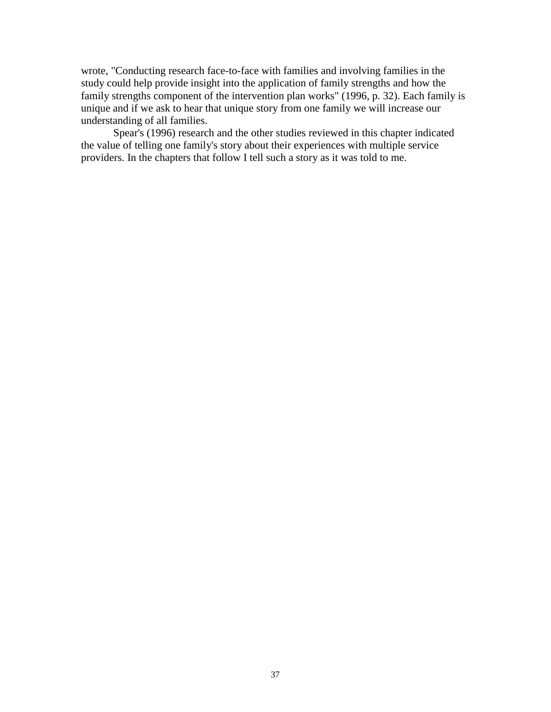wrote, "Conducting research face-to-face with families and involving families in the study could help provide insight into the application of family strengths and how the family strengths component of the intervention plan works" (1996, p. 32). Each family is unique and if we ask to hear that unique story from one family we will increase our understanding of all families.

Spear's (1996) research and the other studies reviewed in this chapter indicated the value of telling one family's story about their experiences with multiple service providers. In the chapters that follow I tell such a story as it was told to me.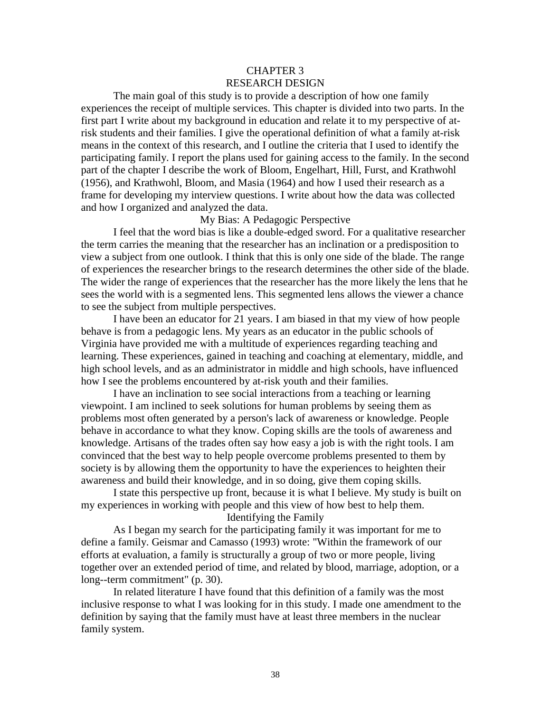## CHAPTER 3 RESEARCH DESIGN

The main goal of this study is to provide a description of how one family experiences the receipt of multiple services. This chapter is divided into two parts. In the first part I write about my background in education and relate it to my perspective of atrisk students and their families. I give the operational definition of what a family at-risk means in the context of this research, and I outline the criteria that I used to identify the participating family. I report the plans used for gaining access to the family. In the second part of the chapter I describe the work of Bloom, Engelhart, Hill, Furst, and Krathwohl (1956), and Krathwohl, Bloom, and Masia (1964) and how I used their research as a frame for developing my interview questions. I write about how the data was collected and how I organized and analyzed the data.

## My Bias: A Pedagogic Perspective

I feel that the word bias is like a double-edged sword. For a qualitative researcher the term carries the meaning that the researcher has an inclination or a predisposition to view a subject from one outlook. I think that this is only one side of the blade. The range of experiences the researcher brings to the research determines the other side of the blade. The wider the range of experiences that the researcher has the more likely the lens that he sees the world with is a segmented lens. This segmented lens allows the viewer a chance to see the subject from multiple perspectives.

I have been an educator for 21 years. I am biased in that my view of how people behave is from a pedagogic lens. My years as an educator in the public schools of Virginia have provided me with a multitude of experiences regarding teaching and learning. These experiences, gained in teaching and coaching at elementary, middle, and high school levels, and as an administrator in middle and high schools, have influenced how I see the problems encountered by at-risk youth and their families.

I have an inclination to see social interactions from a teaching or learning viewpoint. I am inclined to seek solutions for human problems by seeing them as problems most often generated by a person's lack of awareness or knowledge. People behave in accordance to what they know. Coping skills are the tools of awareness and knowledge. Artisans of the trades often say how easy a job is with the right tools. I am convinced that the best way to help people overcome problems presented to them by society is by allowing them the opportunity to have the experiences to heighten their awareness and build their knowledge, and in so doing, give them coping skills.

I state this perspective up front, because it is what I believe. My study is built on my experiences in working with people and this view of how best to help them.

Identifying the Family

As I began my search for the participating family it was important for me to define a family. Geismar and Camasso (1993) wrote: "Within the framework of our efforts at evaluation, a family is structurally a group of two or more people, living together over an extended period of time, and related by blood, marriage, adoption, or a long--term commitment" (p. 30).

In related literature I have found that this definition of a family was the most inclusive response to what I was looking for in this study. I made one amendment to the definition by saying that the family must have at least three members in the nuclear family system.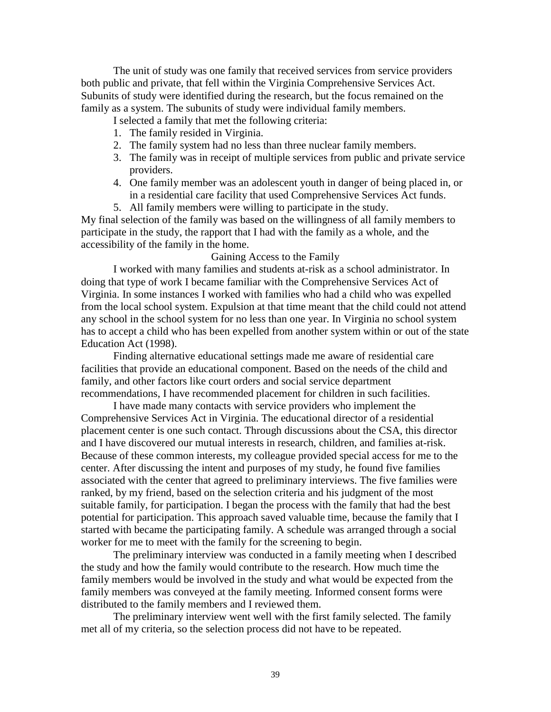The unit of study was one family that received services from service providers both public and private, that fell within the Virginia Comprehensive Services Act. Subunits of study were identified during the research, but the focus remained on the family as a system. The subunits of study were individual family members.

I selected a family that met the following criteria:

- 1. The family resided in Virginia.
- 2. The family system had no less than three nuclear family members.
- 3. The family was in receipt of multiple services from public and private service providers.
- 4. One family member was an adolescent youth in danger of being placed in, or in a residential care facility that used Comprehensive Services Act funds.
- 5. All family members were willing to participate in the study.

My final selection of the family was based on the willingness of all family members to participate in the study, the rapport that I had with the family as a whole, and the accessibility of the family in the home.

#### Gaining Access to the Family

I worked with many families and students at-risk as a school administrator. In doing that type of work I became familiar with the Comprehensive Services Act of Virginia. In some instances I worked with families who had a child who was expelled from the local school system. Expulsion at that time meant that the child could not attend any school in the school system for no less than one year. In Virginia no school system has to accept a child who has been expelled from another system within or out of the state Education Act (1998).

Finding alternative educational settings made me aware of residential care facilities that provide an educational component. Based on the needs of the child and family, and other factors like court orders and social service department recommendations, I have recommended placement for children in such facilities.

I have made many contacts with service providers who implement the Comprehensive Services Act in Virginia. The educational director of a residential placement center is one such contact. Through discussions about the CSA, this director and I have discovered our mutual interests in research, children, and families at-risk. Because of these common interests, my colleague provided special access for me to the center. After discussing the intent and purposes of my study, he found five families associated with the center that agreed to preliminary interviews. The five families were ranked, by my friend, based on the selection criteria and his judgment of the most suitable family, for participation. I began the process with the family that had the best potential for participation. This approach saved valuable time, because the family that I started with became the participating family. A schedule was arranged through a social worker for me to meet with the family for the screening to begin.

The preliminary interview was conducted in a family meeting when I described the study and how the family would contribute to the research. How much time the family members would be involved in the study and what would be expected from the family members was conveyed at the family meeting. Informed consent forms were distributed to the family members and I reviewed them.

The preliminary interview went well with the first family selected. The family met all of my criteria, so the selection process did not have to be repeated.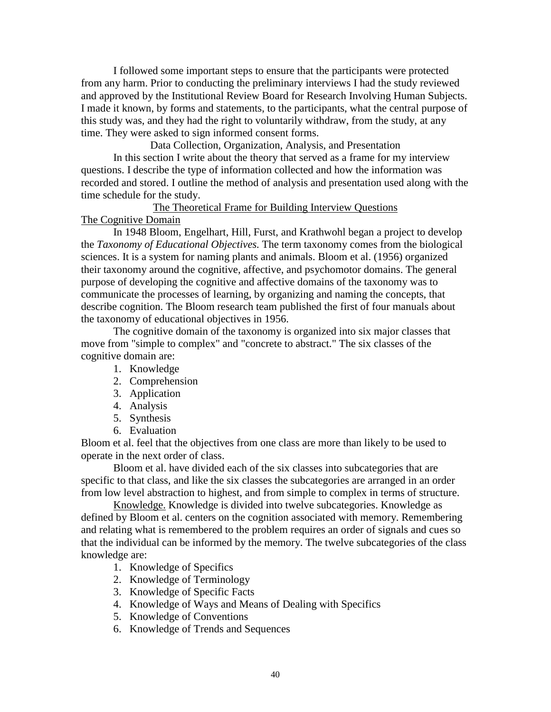I followed some important steps to ensure that the participants were protected from any harm. Prior to conducting the preliminary interviews I had the study reviewed and approved by the Institutional Review Board for Research Involving Human Subjects. I made it known, by forms and statements, to the participants, what the central purpose of this study was, and they had the right to voluntarily withdraw, from the study, at any time. They were asked to sign informed consent forms.

Data Collection, Organization, Analysis, and Presentation In this section I write about the theory that served as a frame for my interview questions. I describe the type of information collected and how the information was recorded and stored. I outline the method of analysis and presentation used along with the time schedule for the study.

## The Theoretical Frame for Building Interview Questions The Cognitive Domain

In 1948 Bloom, Engelhart, Hill, Furst, and Krathwohl began a project to develop the *Taxonomy of Educational Objectives.* The term taxonomy comes from the biological sciences. It is a system for naming plants and animals. Bloom et al. (1956) organized their taxonomy around the cognitive, affective, and psychomotor domains. The general purpose of developing the cognitive and affective domains of the taxonomy was to communicate the processes of learning, by organizing and naming the concepts, that describe cognition. The Bloom research team published the first of four manuals about the taxonomy of educational objectives in 1956.

The cognitive domain of the taxonomy is organized into six major classes that move from "simple to complex" and "concrete to abstract." The six classes of the cognitive domain are:

- 1. Knowledge
- 2. Comprehension
- 3. Application
- 4. Analysis
- 5. Synthesis
- 6. Evaluation

Bloom et al. feel that the objectives from one class are more than likely to be used to operate in the next order of class.

Bloom et al. have divided each of the six classes into subcategories that are specific to that class, and like the six classes the subcategories are arranged in an order from low level abstraction to highest, and from simple to complex in terms of structure.

Knowledge. Knowledge is divided into twelve subcategories. Knowledge as defined by Bloom et al. centers on the cognition associated with memory. Remembering and relating what is remembered to the problem requires an order of signals and cues so that the individual can be informed by the memory. The twelve subcategories of the class knowledge are:

- 1. Knowledge of Specifics
- 2. Knowledge of Terminology
- 3. Knowledge of Specific Facts
- 4. Knowledge of Ways and Means of Dealing with Specifics
- 5. Knowledge of Conventions
- 6. Knowledge of Trends and Sequences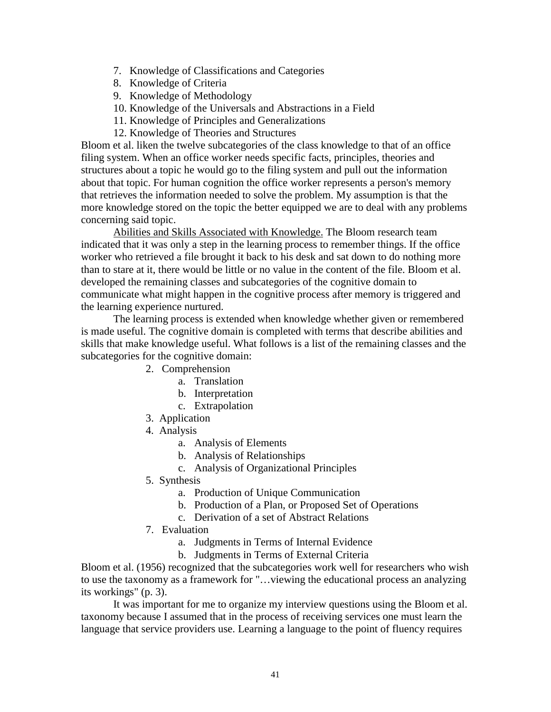- 7. Knowledge of Classifications and Categories
- 8. Knowledge of Criteria
- 9. Knowledge of Methodology
- 10. Knowledge of the Universals and Abstractions in a Field
- 11. Knowledge of Principles and Generalizations
- 12. Knowledge of Theories and Structures

Bloom et al. liken the twelve subcategories of the class knowledge to that of an office filing system. When an office worker needs specific facts, principles, theories and structures about a topic he would go to the filing system and pull out the information about that topic. For human cognition the office worker represents a person's memory that retrieves the information needed to solve the problem. My assumption is that the more knowledge stored on the topic the better equipped we are to deal with any problems concerning said topic.

Abilities and Skills Associated with Knowledge. The Bloom research team indicated that it was only a step in the learning process to remember things. If the office worker who retrieved a file brought it back to his desk and sat down to do nothing more than to stare at it, there would be little or no value in the content of the file. Bloom et al. developed the remaining classes and subcategories of the cognitive domain to communicate what might happen in the cognitive process after memory is triggered and the learning experience nurtured.

The learning process is extended when knowledge whether given or remembered is made useful. The cognitive domain is completed with terms that describe abilities and skills that make knowledge useful. What follows is a list of the remaining classes and the subcategories for the cognitive domain:

- 2. Comprehension
	- a. Translation
	- b. Interpretation
	- c. Extrapolation
- 3. Application
- 4. Analysis
	- a. Analysis of Elements
	- b. Analysis of Relationships
	- c. Analysis of Organizational Principles
- 5. Synthesis
	- a. Production of Unique Communication
	- b. Production of a Plan, or Proposed Set of Operations
	- c. Derivation of a set of Abstract Relations
- 7. Evaluation
	- a. Judgments in Terms of Internal Evidence
	- b. Judgments in Terms of External Criteria

Bloom et al. (1956) recognized that the subcategories work well for researchers who wish to use the taxonomy as a framework for "…viewing the educational process an analyzing its workings" (p. 3).

It was important for me to organize my interview questions using the Bloom et al. taxonomy because I assumed that in the process of receiving services one must learn the language that service providers use. Learning a language to the point of fluency requires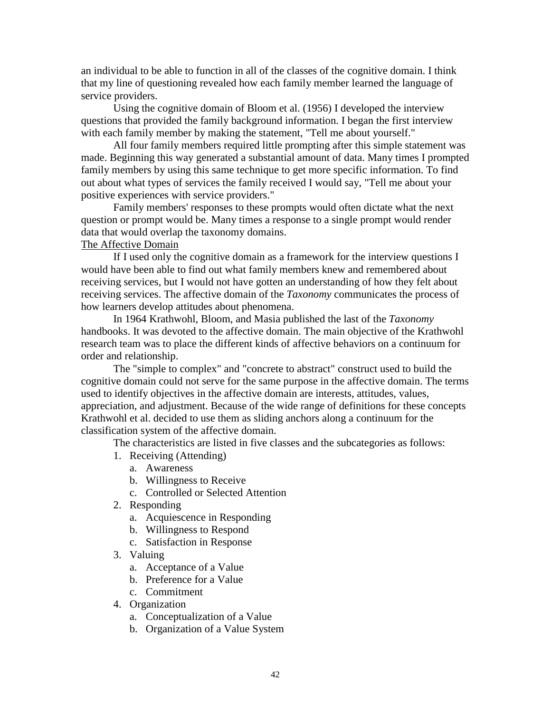an individual to be able to function in all of the classes of the cognitive domain. I think that my line of questioning revealed how each family member learned the language of service providers.

Using the cognitive domain of Bloom et al. (1956) I developed the interview questions that provided the family background information. I began the first interview with each family member by making the statement, "Tell me about yourself."

All four family members required little prompting after this simple statement was made. Beginning this way generated a substantial amount of data. Many times I prompted family members by using this same technique to get more specific information. To find out about what types of services the family received I would say, "Tell me about your positive experiences with service providers."

Family members' responses to these prompts would often dictate what the next question or prompt would be. Many times a response to a single prompt would render data that would overlap the taxonomy domains.

# The Affective Domain

If I used only the cognitive domain as a framework for the interview questions I would have been able to find out what family members knew and remembered about receiving services, but I would not have gotten an understanding of how they felt about receiving services. The affective domain of the *Taxonomy* communicates the process of how learners develop attitudes about phenomena.

In 1964 Krathwohl, Bloom, and Masia published the last of the *Taxonomy* handbooks. It was devoted to the affective domain. The main objective of the Krathwohl research team was to place the different kinds of affective behaviors on a continuum for order and relationship.

The "simple to complex" and "concrete to abstract" construct used to build the cognitive domain could not serve for the same purpose in the affective domain. The terms used to identify objectives in the affective domain are interests, attitudes, values, appreciation, and adjustment. Because of the wide range of definitions for these concepts Krathwohl et al. decided to use them as sliding anchors along a continuum for the classification system of the affective domain.

The characteristics are listed in five classes and the subcategories as follows:

- 1. Receiving (Attending)
	- a. Awareness
	- b. Willingness to Receive
	- c. Controlled or Selected Attention
- 2. Responding
	- a. Acquiescence in Responding
	- b. Willingness to Respond
	- c. Satisfaction in Response
- 3. Valuing
	- a. Acceptance of a Value
	- b. Preference for a Value
	- c. Commitment
- 4. Organization
	- a. Conceptualization of a Value
	- b. Organization of a Value System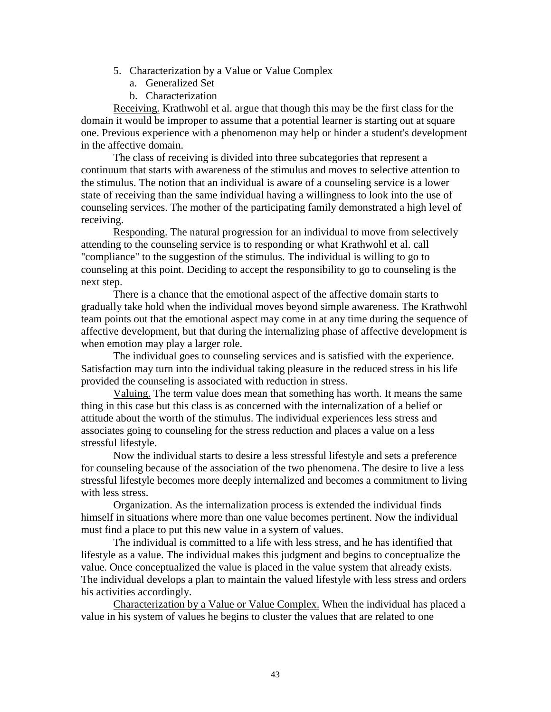- 5. Characterization by a Value or Value Complex
	- a. Generalized Set
	- b. Characterization

Receiving. Krathwohl et al. argue that though this may be the first class for the domain it would be improper to assume that a potential learner is starting out at square one. Previous experience with a phenomenon may help or hinder a student's development in the affective domain.

The class of receiving is divided into three subcategories that represent a continuum that starts with awareness of the stimulus and moves to selective attention to the stimulus. The notion that an individual is aware of a counseling service is a lower state of receiving than the same individual having a willingness to look into the use of counseling services. The mother of the participating family demonstrated a high level of receiving.

Responding. The natural progression for an individual to move from selectively attending to the counseling service is to responding or what Krathwohl et al. call "compliance" to the suggestion of the stimulus. The individual is willing to go to counseling at this point. Deciding to accept the responsibility to go to counseling is the next step.

There is a chance that the emotional aspect of the affective domain starts to gradually take hold when the individual moves beyond simple awareness. The Krathwohl team points out that the emotional aspect may come in at any time during the sequence of affective development, but that during the internalizing phase of affective development is when emotion may play a larger role.

The individual goes to counseling services and is satisfied with the experience. Satisfaction may turn into the individual taking pleasure in the reduced stress in his life provided the counseling is associated with reduction in stress.

Valuing. The term value does mean that something has worth. It means the same thing in this case but this class is as concerned with the internalization of a belief or attitude about the worth of the stimulus. The individual experiences less stress and associates going to counseling for the stress reduction and places a value on a less stressful lifestyle.

Now the individual starts to desire a less stressful lifestyle and sets a preference for counseling because of the association of the two phenomena. The desire to live a less stressful lifestyle becomes more deeply internalized and becomes a commitment to living with less stress.

Organization. As the internalization process is extended the individual finds himself in situations where more than one value becomes pertinent. Now the individual must find a place to put this new value in a system of values.

The individual is committed to a life with less stress, and he has identified that lifestyle as a value. The individual makes this judgment and begins to conceptualize the value. Once conceptualized the value is placed in the value system that already exists. The individual develops a plan to maintain the valued lifestyle with less stress and orders his activities accordingly.

Characterization by a Value or Value Complex. When the individual has placed a value in his system of values he begins to cluster the values that are related to one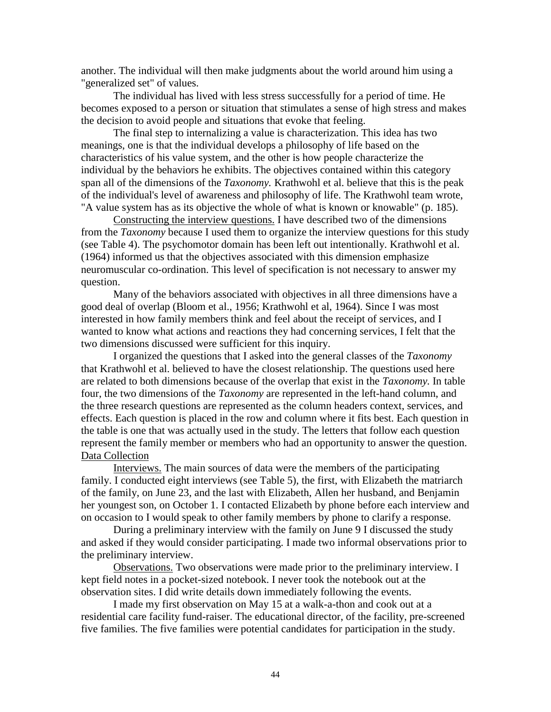another. The individual will then make judgments about the world around him using a "generalized set" of values.

The individual has lived with less stress successfully for a period of time. He becomes exposed to a person or situation that stimulates a sense of high stress and makes the decision to avoid people and situations that evoke that feeling.

The final step to internalizing a value is characterization. This idea has two meanings, one is that the individual develops a philosophy of life based on the characteristics of his value system, and the other is how people characterize the individual by the behaviors he exhibits. The objectives contained within this category span all of the dimensions of the *Taxonomy.* Krathwohl et al. believe that this is the peak of the individual's level of awareness and philosophy of life. The Krathwohl team wrote, "A value system has as its objective the whole of what is known or knowable" (p. 185).

Constructing the interview questions. I have described two of the dimensions from the *Taxonomy* because I used them to organize the interview questions for this study (see Table 4). The psychomotor domain has been left out intentionally. Krathwohl et al. (1964) informed us that the objectives associated with this dimension emphasize neuromuscular co-ordination. This level of specification is not necessary to answer my question.

Many of the behaviors associated with objectives in all three dimensions have a good deal of overlap (Bloom et al., 1956; Krathwohl et al, 1964). Since I was most interested in how family members think and feel about the receipt of services, and I wanted to know what actions and reactions they had concerning services, I felt that the two dimensions discussed were sufficient for this inquiry.

I organized the questions that I asked into the general classes of the *Taxonomy* that Krathwohl et al. believed to have the closest relationship. The questions used here are related to both dimensions because of the overlap that exist in the *Taxonomy.* In table four, the two dimensions of the *Taxonomy* are represented in the left-hand column, and the three research questions are represented as the column headers context, services, and effects. Each question is placed in the row and column where it fits best. Each question in the table is one that was actually used in the study. The letters that follow each question represent the family member or members who had an opportunity to answer the question. Data Collection

Interviews. The main sources of data were the members of the participating family. I conducted eight interviews (see Table 5), the first, with Elizabeth the matriarch of the family, on June 23, and the last with Elizabeth, Allen her husband, and Benjamin her youngest son, on October 1. I contacted Elizabeth by phone before each interview and on occasion to I would speak to other family members by phone to clarify a response.

During a preliminary interview with the family on June 9 I discussed the study and asked if they would consider participating. I made two informal observations prior to the preliminary interview.

Observations. Two observations were made prior to the preliminary interview. I kept field notes in a pocket-sized notebook. I never took the notebook out at the observation sites. I did write details down immediately following the events.

I made my first observation on May 15 at a walk-a-thon and cook out at a residential care facility fund-raiser. The educational director, of the facility, pre-screened five families. The five families were potential candidates for participation in the study.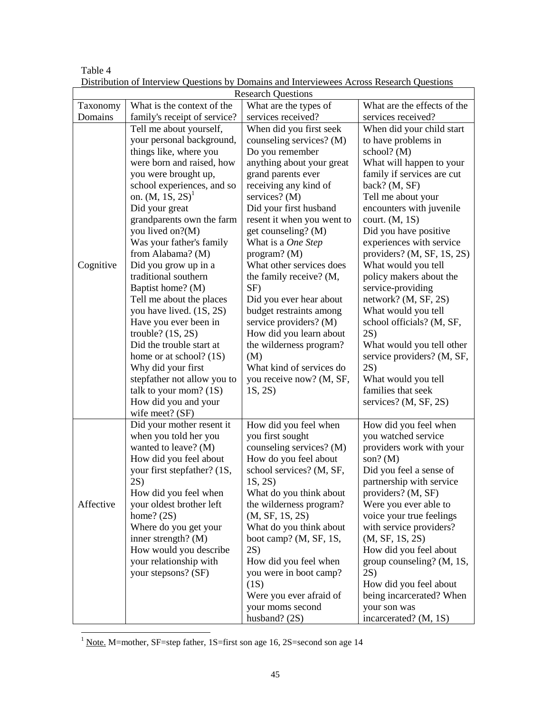| <b>Research Questions</b> |                                              |                                                   |                                             |  |  |  |
|---------------------------|----------------------------------------------|---------------------------------------------------|---------------------------------------------|--|--|--|
| Taxonomy                  | What is the context of the                   | What are the types of                             | What are the effects of the                 |  |  |  |
| Domains                   | family's receipt of service?                 | services received?                                | services received?                          |  |  |  |
|                           | Tell me about yourself,                      | When did you first seek                           | When did your child start                   |  |  |  |
|                           | your personal background,                    | counseling services? (M)                          | to have problems in                         |  |  |  |
|                           | things like, where you                       | Do you remember                                   | school? $(M)$                               |  |  |  |
|                           | were born and raised, how                    | anything about your great                         | What will happen to your                    |  |  |  |
|                           | you were brought up,                         | grand parents ever                                | family if services are cut                  |  |  |  |
|                           | school experiences, and so                   | receiving any kind of                             | back? (M, SF)                               |  |  |  |
|                           | on. $(M, 1S, 2S)^{1}$                        | services? (M)                                     | Tell me about your                          |  |  |  |
|                           | Did your great                               | Did your first husband                            | encounters with juvenile                    |  |  |  |
|                           | grandparents own the farm                    | resent it when you went to                        | court. (M, 1S)                              |  |  |  |
|                           | you lived on?(M)                             | get counseling? (M)                               | Did you have positive                       |  |  |  |
|                           | Was your father's family                     | What is a One Step                                | experiences with service                    |  |  |  |
|                           | from Alabama? (M)                            | program? $(M)$                                    | providers? (M, SF, 1S, 2S)                  |  |  |  |
| Cognitive                 | Did you grow up in a                         | What other services does                          | What would you tell                         |  |  |  |
|                           | traditional southern                         | the family receive? (M,                           | policy makers about the                     |  |  |  |
|                           | Baptist home? (M)                            | SF)                                               | service-providing                           |  |  |  |
|                           | Tell me about the places                     | Did you ever hear about                           | network? (M, SF, 2S)<br>What would you tell |  |  |  |
|                           | you have lived. (1S, 2S)                     | budget restraints among<br>service providers? (M) | school officials? (M, SF,                   |  |  |  |
|                           | Have you ever been in<br>trouble? $(1S, 2S)$ | How did you learn about                           | 2S)                                         |  |  |  |
|                           | Did the trouble start at                     | the wilderness program?                           | What would you tell other                   |  |  |  |
|                           | home or at school? $(1S)$                    | (M)                                               | service providers? (M, SF,                  |  |  |  |
|                           | Why did your first                           | What kind of services do                          | 2S)                                         |  |  |  |
|                           | stepfather not allow you to                  | you receive now? (M, SF,                          | What would you tell                         |  |  |  |
|                           | talk to your mom? $(1S)$                     | 1S, 2S)                                           | families that seek                          |  |  |  |
|                           | How did you and your                         |                                                   | services? (M, SF, 2S)                       |  |  |  |
|                           | wife meet? (SF)                              |                                                   |                                             |  |  |  |
|                           | Did your mother resent it                    | How did you feel when                             | How did you feel when                       |  |  |  |
|                           | when you told her you                        | you first sought                                  | you watched service                         |  |  |  |
|                           | wanted to leave? (M)                         | counseling services? (M)                          | providers work with your                    |  |  |  |
|                           | How did you feel about                       | How do you feel about                             | son? $(M)$                                  |  |  |  |
|                           | your first stepfather? (1S,                  | school services? (M, SF,                          | Did you feel a sense of                     |  |  |  |
|                           | 2S)                                          | 1S, 2S)                                           | partnership with service                    |  |  |  |
|                           | How did you feel when                        | What do you think about                           | providers? (M, SF)                          |  |  |  |
| Affective                 | your oldest brother left                     | the wilderness program?                           | Were you ever able to                       |  |  |  |
|                           | home? $(2S)$                                 | (M, SF, 1S, 2S)                                   | voice your true feelings                    |  |  |  |
|                           | Where do you get your                        | What do you think about                           | with service providers?                     |  |  |  |
|                           | inner strength? $(M)$                        | boot camp? (M, SF, 1S,                            | (M, SF, 1S, 2S)                             |  |  |  |
|                           | How would you describe                       | 2S)                                               | How did you feel about                      |  |  |  |
|                           | your relationship with                       | How did you feel when                             | group counseling? (M, 1S,                   |  |  |  |
|                           | your stepsons? (SF)                          | you were in boot camp?                            | 2S)                                         |  |  |  |
|                           |                                              | (1S)                                              | How did you feel about                      |  |  |  |
|                           |                                              | Were you ever afraid of                           | being incarcerated? When                    |  |  |  |
|                           |                                              | your moms second<br>husband? $(2S)$               | your son was<br>incarcerated? (M, 1S)       |  |  |  |
|                           |                                              |                                                   |                                             |  |  |  |

Table 4 Distribution of Interview Questions by Domains and Interviewees Across Research Questions

1<br>
<u>Note.</u> M=mother, SF=step father, 1S=first son age 16, 2S=second son age 14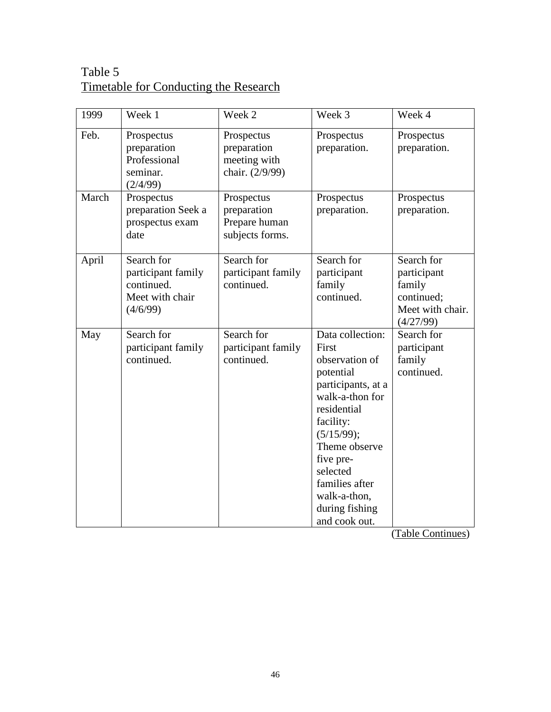# Table 5 Timetable for Conducting the Research

| 1999  | Week 1                                                                        | Week 2                                                        | Week 3                                                                                                                                                                                                                                                     | Week 4                                                                             |
|-------|-------------------------------------------------------------------------------|---------------------------------------------------------------|------------------------------------------------------------------------------------------------------------------------------------------------------------------------------------------------------------------------------------------------------------|------------------------------------------------------------------------------------|
| Feb.  | Prospectus<br>preparation<br>Professional<br>seminar.<br>(2/4/99)             | Prospectus<br>preparation<br>meeting with<br>chair. (2/9/99)  | Prospectus<br>preparation.                                                                                                                                                                                                                                 | Prospectus<br>preparation.                                                         |
| March | Prospectus<br>preparation Seek a<br>prospectus exam<br>date                   | Prospectus<br>preparation<br>Prepare human<br>subjects forms. | Prospectus<br>preparation.                                                                                                                                                                                                                                 | Prospectus<br>preparation.                                                         |
| April | Search for<br>participant family<br>continued.<br>Meet with chair<br>(4/6/99) | Search for<br>participant family<br>continued.                | Search for<br>participant<br>family<br>continued.                                                                                                                                                                                                          | Search for<br>participant<br>family<br>continued;<br>Meet with chair.<br>(4/27/99) |
| May   | Search for<br>participant family<br>continued.                                | Search for<br>participant family<br>continued.                | Data collection:<br>First<br>observation of<br>potential<br>participants, at a<br>walk-a-thon for<br>residential<br>facility:<br>(5/15/99);<br>Theme observe<br>five pre-<br>selected<br>families after<br>walk-a-thon,<br>during fishing<br>and cook out. | Search for<br>participant<br>family<br>continued.                                  |

(Table Continues)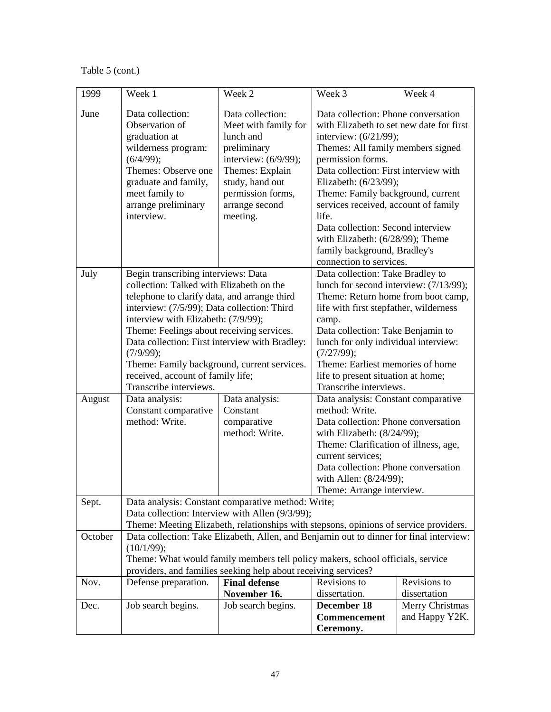Table 5 (cont.)

| 1999    | Week 1                                                                                                                                                                                                                                                                                                                                                                                                                                          | Week 2                                                                                                                                                                                | Week 3                                                                                                                                                                                                                                                                                                                                                                                                                              | Week 4                                            |  |
|---------|-------------------------------------------------------------------------------------------------------------------------------------------------------------------------------------------------------------------------------------------------------------------------------------------------------------------------------------------------------------------------------------------------------------------------------------------------|---------------------------------------------------------------------------------------------------------------------------------------------------------------------------------------|-------------------------------------------------------------------------------------------------------------------------------------------------------------------------------------------------------------------------------------------------------------------------------------------------------------------------------------------------------------------------------------------------------------------------------------|---------------------------------------------------|--|
| June    | Data collection:<br>Observation of<br>graduation at<br>wilderness program:<br>(6/4/99);<br>Themes: Observe one<br>graduate and family,<br>meet family to<br>arrange preliminary<br>interview.                                                                                                                                                                                                                                                   | Data collection:<br>Meet with family for<br>lunch and<br>preliminary<br>interview: (6/9/99);<br>Themes: Explain<br>study, hand out<br>permission forms,<br>arrange second<br>meeting. | Data collection: Phone conversation<br>with Elizabeth to set new date for first<br>interview: (6/21/99);<br>Themes: All family members signed<br>permission forms.<br>Data collection: First interview with<br>Elizabeth: (6/23/99);<br>Theme: Family background, current<br>services received, account of family<br>life.<br>Data collection: Second interview<br>with Elizabeth: (6/28/99); Theme<br>family background, Bradley's |                                                   |  |
| July    | Begin transcribing interviews: Data<br>collection: Talked with Elizabeth on the<br>telephone to clarify data, and arrange third<br>interview: (7/5/99); Data collection: Third<br>interview with Elizabeth: (7/9/99);<br>Theme: Feelings about receiving services.<br>Data collection: First interview with Bradley:<br>(7/9/99);<br>Theme: Family background, current services.<br>received, account of family life;<br>Transcribe interviews. |                                                                                                                                                                                       | connection to services.<br>Data collection: Take Bradley to<br>lunch for second interview: (7/13/99);<br>Theme: Return home from boot camp,<br>life with first stepfather, wilderness<br>camp.<br>Data collection: Take Benjamin to<br>lunch for only individual interview:<br>(7/27/99);<br>Theme: Earliest memories of home<br>life to present situation at home;<br>Transcribe interviews.                                       |                                                   |  |
| August  | Data analysis:<br>Constant comparative<br>method: Write.                                                                                                                                                                                                                                                                                                                                                                                        | Data analysis:<br>Constant<br>comparative<br>method: Write.                                                                                                                           | Data analysis: Constant comparative<br>method: Write.<br>Data collection: Phone conversation<br>with Elizabeth: (8/24/99);<br>Theme: Clarification of illness, age,<br>current services:<br>Data collection: Phone conversation<br>with Allen: (8/24/99);<br>Theme: Arrange interview.                                                                                                                                              |                                                   |  |
| Sept.   | Data analysis: Constant comparative method: Write;<br>Data collection: Interview with Allen (9/3/99);<br>Theme: Meeting Elizabeth, relationships with stepsons, opinions of service providers.                                                                                                                                                                                                                                                  |                                                                                                                                                                                       |                                                                                                                                                                                                                                                                                                                                                                                                                                     |                                                   |  |
| October | Data collection: Take Elizabeth, Allen, and Benjamin out to dinner for final interview:<br>(10/1/99);<br>Theme: What would family members tell policy makers, school officials, service<br>providers, and families seeking help about receiving services?                                                                                                                                                                                       |                                                                                                                                                                                       |                                                                                                                                                                                                                                                                                                                                                                                                                                     |                                                   |  |
| Nov.    | Defense preparation.                                                                                                                                                                                                                                                                                                                                                                                                                            | <b>Final defense</b>                                                                                                                                                                  | Revisions to                                                                                                                                                                                                                                                                                                                                                                                                                        | Revisions to                                      |  |
| Dec.    | Job search begins.                                                                                                                                                                                                                                                                                                                                                                                                                              | November 16.<br>Job search begins.                                                                                                                                                    | dissertation.<br>December 18<br>Commencement<br>Ceremony.                                                                                                                                                                                                                                                                                                                                                                           | dissertation<br>Merry Christmas<br>and Happy Y2K. |  |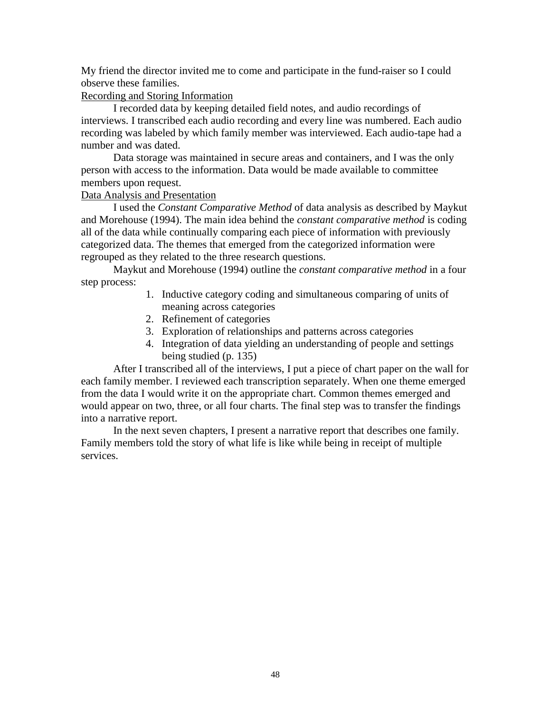My friend the director invited me to come and participate in the fund-raiser so I could observe these families.

# Recording and Storing Information

I recorded data by keeping detailed field notes, and audio recordings of interviews. I transcribed each audio recording and every line was numbered. Each audio recording was labeled by which family member was interviewed. Each audio-tape had a number and was dated.

Data storage was maintained in secure areas and containers, and I was the only person with access to the information. Data would be made available to committee members upon request.

# Data Analysis and Presentation

I used the *Constant Comparative Method* of data analysis as described by Maykut and Morehouse (1994). The main idea behind the *constant comparative method* is coding all of the data while continually comparing each piece of information with previously categorized data. The themes that emerged from the categorized information were regrouped as they related to the three research questions.

Maykut and Morehouse (1994) outline the *constant comparative method* in a four step process:

- 1. Inductive category coding and simultaneous comparing of units of meaning across categories
- 2. Refinement of categories
- 3. Exploration of relationships and patterns across categories
- 4. Integration of data yielding an understanding of people and settings being studied (p. 135)

After I transcribed all of the interviews, I put a piece of chart paper on the wall for each family member. I reviewed each transcription separately. When one theme emerged from the data I would write it on the appropriate chart. Common themes emerged and would appear on two, three, or all four charts. The final step was to transfer the findings into a narrative report.

In the next seven chapters, I present a narrative report that describes one family. Family members told the story of what life is like while being in receipt of multiple services.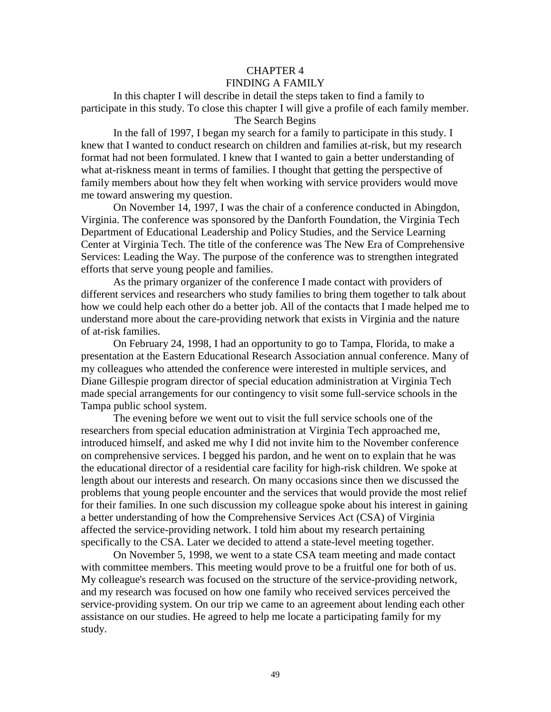#### CHAPTER 4 FINDING A FAMILY

In this chapter I will describe in detail the steps taken to find a family to participate in this study. To close this chapter I will give a profile of each family member. The Search Begins

In the fall of 1997, I began my search for a family to participate in this study. I knew that I wanted to conduct research on children and families at-risk, but my research format had not been formulated. I knew that I wanted to gain a better understanding of what at-riskness meant in terms of families. I thought that getting the perspective of family members about how they felt when working with service providers would move me toward answering my question.

On November 14, 1997, I was the chair of a conference conducted in Abingdon, Virginia. The conference was sponsored by the Danforth Foundation, the Virginia Tech Department of Educational Leadership and Policy Studies, and the Service Learning Center at Virginia Tech. The title of the conference was The New Era of Comprehensive Services: Leading the Way. The purpose of the conference was to strengthen integrated efforts that serve young people and families.

As the primary organizer of the conference I made contact with providers of different services and researchers who study families to bring them together to talk about how we could help each other do a better job. All of the contacts that I made helped me to understand more about the care-providing network that exists in Virginia and the nature of at-risk families.

On February 24, 1998, I had an opportunity to go to Tampa, Florida, to make a presentation at the Eastern Educational Research Association annual conference. Many of my colleagues who attended the conference were interested in multiple services, and Diane Gillespie program director of special education administration at Virginia Tech made special arrangements for our contingency to visit some full-service schools in the Tampa public school system.

The evening before we went out to visit the full service schools one of the researchers from special education administration at Virginia Tech approached me, introduced himself, and asked me why I did not invite him to the November conference on comprehensive services. I begged his pardon, and he went on to explain that he was the educational director of a residential care facility for high-risk children. We spoke at length about our interests and research. On many occasions since then we discussed the problems that young people encounter and the services that would provide the most relief for their families. In one such discussion my colleague spoke about his interest in gaining a better understanding of how the Comprehensive Services Act (CSA) of Virginia affected the service-providing network. I told him about my research pertaining specifically to the CSA. Later we decided to attend a state-level meeting together.

On November 5, 1998, we went to a state CSA team meeting and made contact with committee members. This meeting would prove to be a fruitful one for both of us. My colleague's research was focused on the structure of the service-providing network, and my research was focused on how one family who received services perceived the service-providing system. On our trip we came to an agreement about lending each other assistance on our studies. He agreed to help me locate a participating family for my study.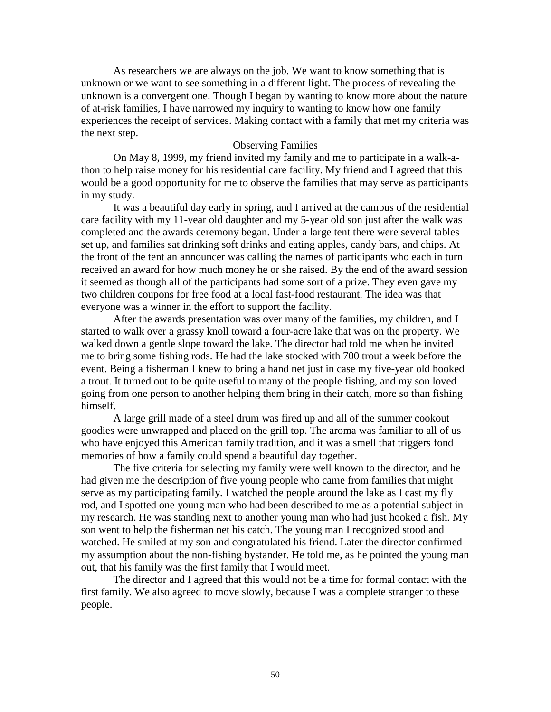As researchers we are always on the job. We want to know something that is unknown or we want to see something in a different light. The process of revealing the unknown is a convergent one. Though I began by wanting to know more about the nature of at-risk families, I have narrowed my inquiry to wanting to know how one family experiences the receipt of services. Making contact with a family that met my criteria was the next step.

## Observing Families

On May 8, 1999, my friend invited my family and me to participate in a walk-athon to help raise money for his residential care facility. My friend and I agreed that this would be a good opportunity for me to observe the families that may serve as participants in my study.

It was a beautiful day early in spring, and I arrived at the campus of the residential care facility with my 11-year old daughter and my 5-year old son just after the walk was completed and the awards ceremony began. Under a large tent there were several tables set up, and families sat drinking soft drinks and eating apples, candy bars, and chips. At the front of the tent an announcer was calling the names of participants who each in turn received an award for how much money he or she raised. By the end of the award session it seemed as though all of the participants had some sort of a prize. They even gave my two children coupons for free food at a local fast-food restaurant. The idea was that everyone was a winner in the effort to support the facility.

After the awards presentation was over many of the families, my children, and I started to walk over a grassy knoll toward a four-acre lake that was on the property. We walked down a gentle slope toward the lake. The director had told me when he invited me to bring some fishing rods. He had the lake stocked with 700 trout a week before the event. Being a fisherman I knew to bring a hand net just in case my five-year old hooked a trout. It turned out to be quite useful to many of the people fishing, and my son loved going from one person to another helping them bring in their catch, more so than fishing himself.

A large grill made of a steel drum was fired up and all of the summer cookout goodies were unwrapped and placed on the grill top. The aroma was familiar to all of us who have enjoyed this American family tradition, and it was a smell that triggers fond memories of how a family could spend a beautiful day together.

The five criteria for selecting my family were well known to the director, and he had given me the description of five young people who came from families that might serve as my participating family. I watched the people around the lake as I cast my fly rod, and I spotted one young man who had been described to me as a potential subject in my research. He was standing next to another young man who had just hooked a fish. My son went to help the fisherman net his catch. The young man I recognized stood and watched. He smiled at my son and congratulated his friend. Later the director confirmed my assumption about the non-fishing bystander. He told me, as he pointed the young man out, that his family was the first family that I would meet.

The director and I agreed that this would not be a time for formal contact with the first family. We also agreed to move slowly, because I was a complete stranger to these people.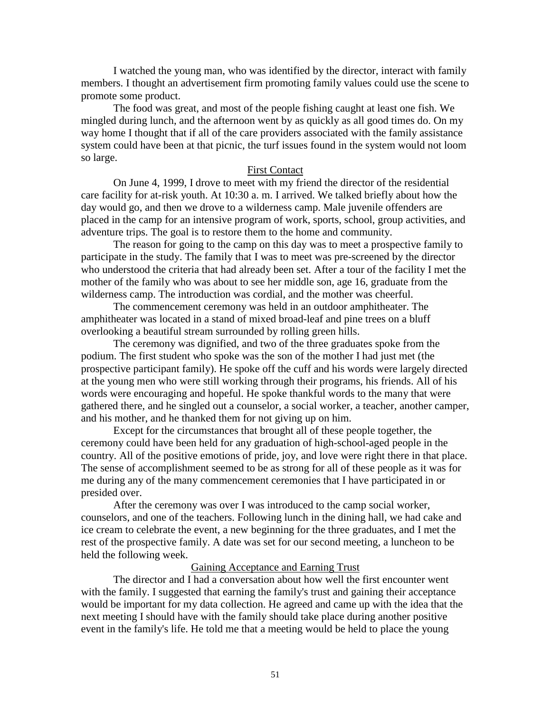I watched the young man, who was identified by the director, interact with family members. I thought an advertisement firm promoting family values could use the scene to promote some product.

The food was great, and most of the people fishing caught at least one fish. We mingled during lunch, and the afternoon went by as quickly as all good times do. On my way home I thought that if all of the care providers associated with the family assistance system could have been at that picnic, the turf issues found in the system would not loom so large.

## First Contact

On June 4, 1999, I drove to meet with my friend the director of the residential care facility for at-risk youth. At 10:30 a. m. I arrived. We talked briefly about how the day would go, and then we drove to a wilderness camp. Male juvenile offenders are placed in the camp for an intensive program of work, sports, school, group activities, and adventure trips. The goal is to restore them to the home and community.

The reason for going to the camp on this day was to meet a prospective family to participate in the study. The family that I was to meet was pre-screened by the director who understood the criteria that had already been set. After a tour of the facility I met the mother of the family who was about to see her middle son, age 16, graduate from the wilderness camp. The introduction was cordial, and the mother was cheerful.

The commencement ceremony was held in an outdoor amphitheater. The amphitheater was located in a stand of mixed broad-leaf and pine trees on a bluff overlooking a beautiful stream surrounded by rolling green hills.

The ceremony was dignified, and two of the three graduates spoke from the podium. The first student who spoke was the son of the mother I had just met (the prospective participant family). He spoke off the cuff and his words were largely directed at the young men who were still working through their programs, his friends. All of his words were encouraging and hopeful. He spoke thankful words to the many that were gathered there, and he singled out a counselor, a social worker, a teacher, another camper, and his mother, and he thanked them for not giving up on him.

Except for the circumstances that brought all of these people together, the ceremony could have been held for any graduation of high-school-aged people in the country. All of the positive emotions of pride, joy, and love were right there in that place. The sense of accomplishment seemed to be as strong for all of these people as it was for me during any of the many commencement ceremonies that I have participated in or presided over.

After the ceremony was over I was introduced to the camp social worker, counselors, and one of the teachers. Following lunch in the dining hall, we had cake and ice cream to celebrate the event, a new beginning for the three graduates, and I met the rest of the prospective family. A date was set for our second meeting, a luncheon to be held the following week.

## Gaining Acceptance and Earning Trust

The director and I had a conversation about how well the first encounter went with the family. I suggested that earning the family's trust and gaining their acceptance would be important for my data collection. He agreed and came up with the idea that the next meeting I should have with the family should take place during another positive event in the family's life. He told me that a meeting would be held to place the young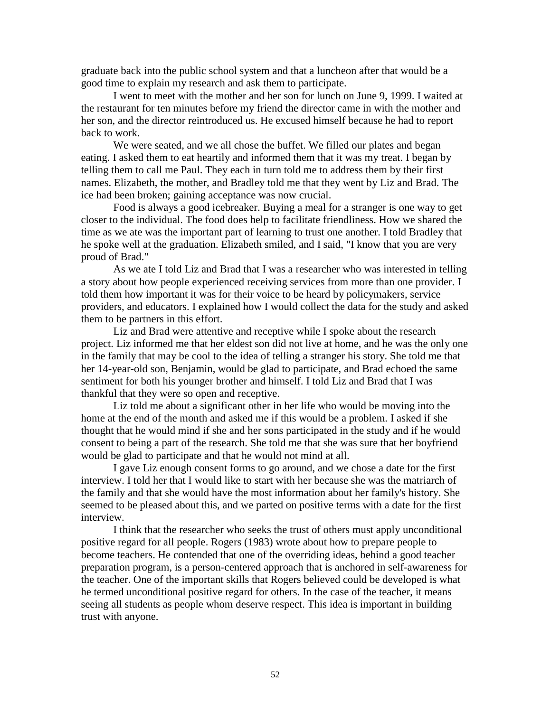graduate back into the public school system and that a luncheon after that would be a good time to explain my research and ask them to participate.

I went to meet with the mother and her son for lunch on June 9, 1999. I waited at the restaurant for ten minutes before my friend the director came in with the mother and her son, and the director reintroduced us. He excused himself because he had to report back to work.

We were seated, and we all chose the buffet. We filled our plates and began eating. I asked them to eat heartily and informed them that it was my treat. I began by telling them to call me Paul. They each in turn told me to address them by their first names. Elizabeth, the mother, and Bradley told me that they went by Liz and Brad. The ice had been broken; gaining acceptance was now crucial.

Food is always a good icebreaker. Buying a meal for a stranger is one way to get closer to the individual. The food does help to facilitate friendliness. How we shared the time as we ate was the important part of learning to trust one another. I told Bradley that he spoke well at the graduation. Elizabeth smiled, and I said, "I know that you are very proud of Brad."

As we ate I told Liz and Brad that I was a researcher who was interested in telling a story about how people experienced receiving services from more than one provider. I told them how important it was for their voice to be heard by policymakers, service providers, and educators. I explained how I would collect the data for the study and asked them to be partners in this effort.

Liz and Brad were attentive and receptive while I spoke about the research project. Liz informed me that her eldest son did not live at home, and he was the only one in the family that may be cool to the idea of telling a stranger his story. She told me that her 14-year-old son, Benjamin, would be glad to participate, and Brad echoed the same sentiment for both his younger brother and himself. I told Liz and Brad that I was thankful that they were so open and receptive.

Liz told me about a significant other in her life who would be moving into the home at the end of the month and asked me if this would be a problem. I asked if she thought that he would mind if she and her sons participated in the study and if he would consent to being a part of the research. She told me that she was sure that her boyfriend would be glad to participate and that he would not mind at all.

I gave Liz enough consent forms to go around, and we chose a date for the first interview. I told her that I would like to start with her because she was the matriarch of the family and that she would have the most information about her family's history. She seemed to be pleased about this, and we parted on positive terms with a date for the first interview.

I think that the researcher who seeks the trust of others must apply unconditional positive regard for all people. Rogers (1983) wrote about how to prepare people to become teachers. He contended that one of the overriding ideas, behind a good teacher preparation program, is a person-centered approach that is anchored in self-awareness for the teacher. One of the important skills that Rogers believed could be developed is what he termed unconditional positive regard for others. In the case of the teacher, it means seeing all students as people whom deserve respect. This idea is important in building trust with anyone.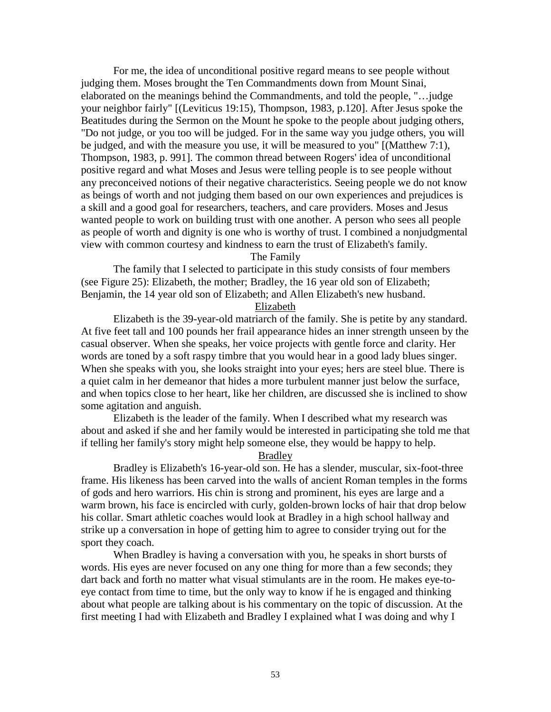For me, the idea of unconditional positive regard means to see people without judging them. Moses brought the Ten Commandments down from Mount Sinai, elaborated on the meanings behind the Commandments, and told the people, "…judge your neighbor fairly" [(Leviticus 19:15), Thompson, 1983, p.120]. After Jesus spoke the Beatitudes during the Sermon on the Mount he spoke to the people about judging others, "Do not judge, or you too will be judged. For in the same way you judge others, you will be judged, and with the measure you use, it will be measured to you" [(Matthew 7:1), Thompson, 1983, p. 991]. The common thread between Rogers' idea of unconditional positive regard and what Moses and Jesus were telling people is to see people without any preconceived notions of their negative characteristics. Seeing people we do not know as beings of worth and not judging them based on our own experiences and prejudices is a skill and a good goal for researchers, teachers, and care providers. Moses and Jesus wanted people to work on building trust with one another. A person who sees all people as people of worth and dignity is one who is worthy of trust. I combined a nonjudgmental view with common courtesy and kindness to earn the trust of Elizabeth's family.

The Family

The family that I selected to participate in this study consists of four members (see Figure 25): Elizabeth, the mother; Bradley, the 16 year old son of Elizabeth; Benjamin, the 14 year old son of Elizabeth; and Allen Elizabeth's new husband.

Elizabeth

Elizabeth is the 39-year-old matriarch of the family. She is petite by any standard. At five feet tall and 100 pounds her frail appearance hides an inner strength unseen by the casual observer. When she speaks, her voice projects with gentle force and clarity. Her words are toned by a soft raspy timbre that you would hear in a good lady blues singer. When she speaks with you, she looks straight into your eyes; hers are steel blue. There is a quiet calm in her demeanor that hides a more turbulent manner just below the surface, and when topics close to her heart, like her children, are discussed she is inclined to show some agitation and anguish.

Elizabeth is the leader of the family. When I described what my research was about and asked if she and her family would be interested in participating she told me that if telling her family's story might help someone else, they would be happy to help.

Bradley

Bradley is Elizabeth's 16-year-old son. He has a slender, muscular, six-foot-three frame. His likeness has been carved into the walls of ancient Roman temples in the forms of gods and hero warriors. His chin is strong and prominent, his eyes are large and a warm brown, his face is encircled with curly, golden-brown locks of hair that drop below his collar. Smart athletic coaches would look at Bradley in a high school hallway and strike up a conversation in hope of getting him to agree to consider trying out for the sport they coach.

When Bradley is having a conversation with you, he speaks in short bursts of words. His eyes are never focused on any one thing for more than a few seconds; they dart back and forth no matter what visual stimulants are in the room. He makes eye-toeye contact from time to time, but the only way to know if he is engaged and thinking about what people are talking about is his commentary on the topic of discussion. At the first meeting I had with Elizabeth and Bradley I explained what I was doing and why I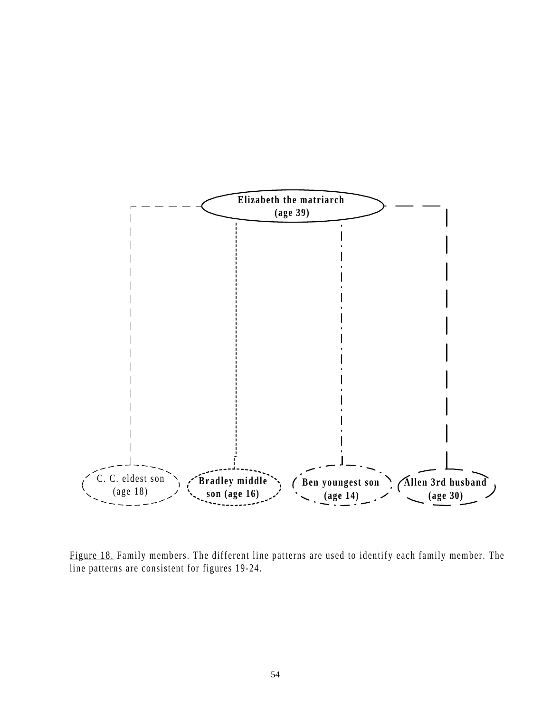

Figure 18. Family members. The different line patterns are used to identify each family member. The line patterns are consistent for figures 19-24.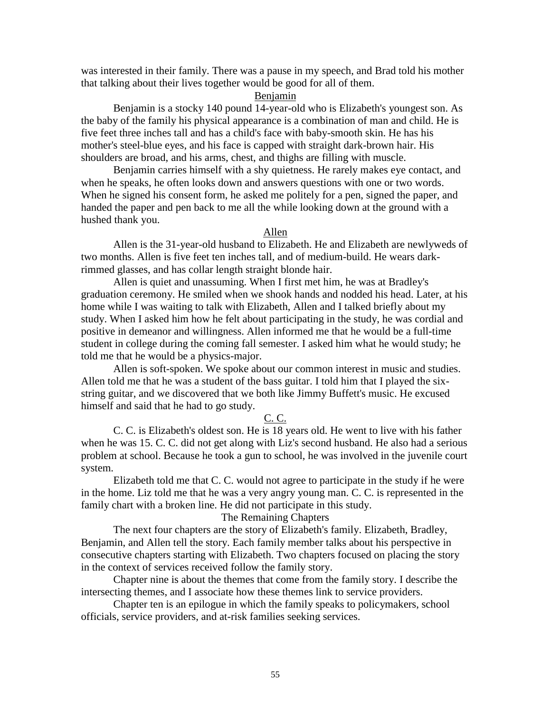was interested in their family. There was a pause in my speech, and Brad told his mother that talking about their lives together would be good for all of them.

## Benjamin

Benjamin is a stocky 140 pound 14-year-old who is Elizabeth's youngest son. As the baby of the family his physical appearance is a combination of man and child. He is five feet three inches tall and has a child's face with baby-smooth skin. He has his mother's steel-blue eyes, and his face is capped with straight dark-brown hair. His shoulders are broad, and his arms, chest, and thighs are filling with muscle.

Benjamin carries himself with a shy quietness. He rarely makes eye contact, and when he speaks, he often looks down and answers questions with one or two words. When he signed his consent form, he asked me politely for a pen, signed the paper, and handed the paper and pen back to me all the while looking down at the ground with a hushed thank you.

### Allen

Allen is the 31-year-old husband to Elizabeth. He and Elizabeth are newlyweds of two months. Allen is five feet ten inches tall, and of medium-build. He wears darkrimmed glasses, and has collar length straight blonde hair.

Allen is quiet and unassuming. When I first met him, he was at Bradley's graduation ceremony. He smiled when we shook hands and nodded his head. Later, at his home while I was waiting to talk with Elizabeth, Allen and I talked briefly about my study. When I asked him how he felt about participating in the study, he was cordial and positive in demeanor and willingness. Allen informed me that he would be a full-time student in college during the coming fall semester. I asked him what he would study; he told me that he would be a physics-major.

Allen is soft-spoken. We spoke about our common interest in music and studies. Allen told me that he was a student of the bass guitar. I told him that I played the sixstring guitar, and we discovered that we both like Jimmy Buffett's music. He excused himself and said that he had to go study.

#### C. C.

C. C. is Elizabeth's oldest son. He is 18 years old. He went to live with his father when he was 15. C. C. did not get along with Liz's second husband. He also had a serious problem at school. Because he took a gun to school, he was involved in the juvenile court system.

Elizabeth told me that C. C. would not agree to participate in the study if he were in the home. Liz told me that he was a very angry young man. C. C. is represented in the family chart with a broken line. He did not participate in this study.

## The Remaining Chapters

The next four chapters are the story of Elizabeth's family. Elizabeth, Bradley, Benjamin, and Allen tell the story. Each family member talks about his perspective in consecutive chapters starting with Elizabeth. Two chapters focused on placing the story in the context of services received follow the family story.

Chapter nine is about the themes that come from the family story. I describe the intersecting themes, and I associate how these themes link to service providers.

Chapter ten is an epilogue in which the family speaks to policymakers, school officials, service providers, and at-risk families seeking services.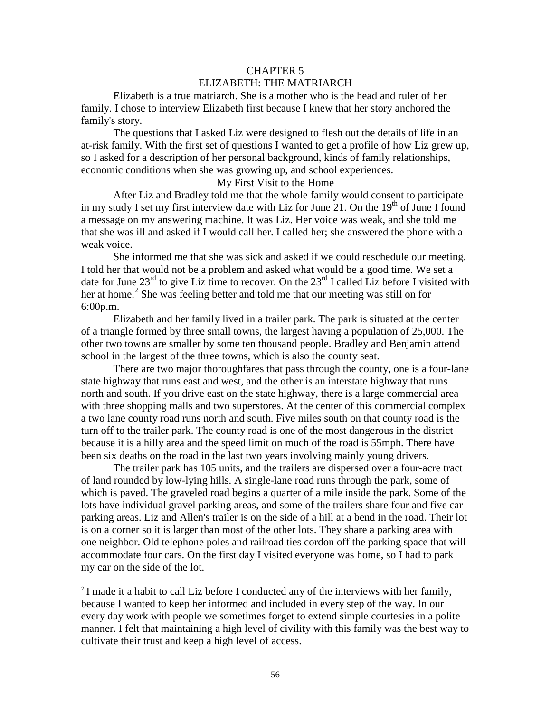# CHAPTER 5 ELIZABETH: THE MATRIARCH

Elizabeth is a true matriarch. She is a mother who is the head and ruler of her family. I chose to interview Elizabeth first because I knew that her story anchored the family's story.

The questions that I asked Liz were designed to flesh out the details of life in an at-risk family. With the first set of questions I wanted to get a profile of how Liz grew up, so I asked for a description of her personal background, kinds of family relationships, economic conditions when she was growing up, and school experiences.

# My First Visit to the Home

After Liz and Bradley told me that the whole family would consent to participate in my study I set my first interview date with Liz for June 21. On the  $19<sup>th</sup>$  of June I found a message on my answering machine. It was Liz. Her voice was weak, and she told me that she was ill and asked if I would call her. I called her; she answered the phone with a weak voice.

She informed me that she was sick and asked if we could reschedule our meeting. I told her that would not be a problem and asked what would be a good time. We set a date for June  $23^{rd}$  to give Liz time to recover. On the  $23^{rd}$  I called Liz before I visited with her at home.<sup>2</sup> She was feeling better and told me that our meeting was still on for 6:00p.m.

Elizabeth and her family lived in a trailer park. The park is situated at the center of a triangle formed by three small towns, the largest having a population of 25,000. The other two towns are smaller by some ten thousand people. Bradley and Benjamin attend school in the largest of the three towns, which is also the county seat.

There are two major thoroughfares that pass through the county, one is a four-lane state highway that runs east and west, and the other is an interstate highway that runs north and south. If you drive east on the state highway, there is a large commercial area with three shopping malls and two superstores. At the center of this commercial complex a two lane county road runs north and south. Five miles south on that county road is the turn off to the trailer park. The county road is one of the most dangerous in the district because it is a hilly area and the speed limit on much of the road is 55mph. There have been six deaths on the road in the last two years involving mainly young drivers.

The trailer park has 105 units, and the trailers are dispersed over a four-acre tract of land rounded by low-lying hills. A single-lane road runs through the park, some of which is paved. The graveled road begins a quarter of a mile inside the park. Some of the lots have individual gravel parking areas, and some of the trailers share four and five car parking areas. Liz and Allen's trailer is on the side of a hill at a bend in the road. Their lot is on a corner so it is larger than most of the other lots. They share a parking area with one neighbor. Old telephone poles and railroad ties cordon off the parking space that will accommodate four cars. On the first day I visited everyone was home, so I had to park my car on the side of the lot.

 $\overline{a}$ 

<sup>&</sup>lt;sup>2</sup> I made it a habit to call Liz before I conducted any of the interviews with her family, because I wanted to keep her informed and included in every step of the way. In our every day work with people we sometimes forget to extend simple courtesies in a polite manner. I felt that maintaining a high level of civility with this family was the best way to cultivate their trust and keep a high level of access.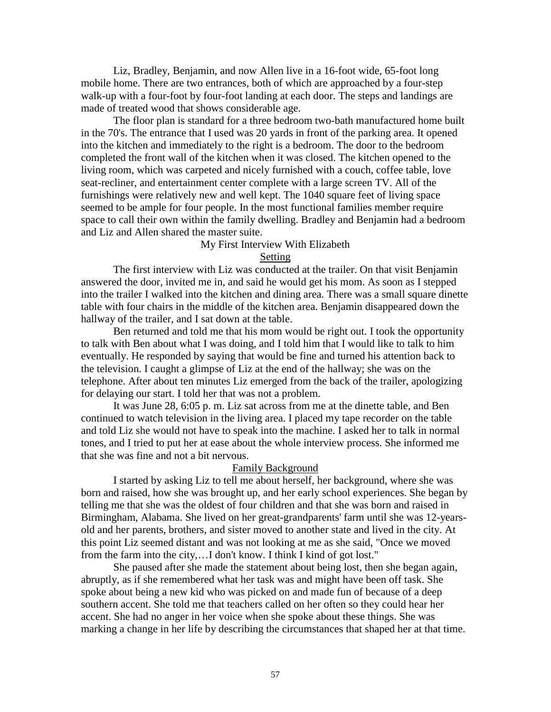Liz, Bradley, Benjamin, and now Allen live in a 16-foot wide, 65-foot long mobile home. There are two entrances, both of which are approached by a four-step walk-up with a four-foot by four-foot landing at each door. The steps and landings are made of treated wood that shows considerable age.

The floor plan is standard for a three bedroom two-bath manufactured home built in the 70's. The entrance that I used was 20 yards in front of the parking area. It opened into the kitchen and immediately to the right is a bedroom. The door to the bedroom completed the front wall of the kitchen when it was closed. The kitchen opened to the living room, which was carpeted and nicely furnished with a couch, coffee table, love seat-recliner, and entertainment center complete with a large screen TV. All of the furnishings were relatively new and well kept. The 1040 square feet of living space seemed to be ample for four people. In the most functional families member require space to call their own within the family dwelling. Bradley and Benjamin had a bedroom and Liz and Allen shared the master suite.

## My First Interview With Elizabeth

#### Setting

The first interview with Liz was conducted at the trailer. On that visit Benjamin answered the door, invited me in, and said he would get his mom. As soon as I stepped into the trailer I walked into the kitchen and dining area. There was a small square dinette table with four chairs in the middle of the kitchen area. Benjamin disappeared down the hallway of the trailer, and I sat down at the table.

Ben returned and told me that his mom would be right out. I took the opportunity to talk with Ben about what I was doing, and I told him that I would like to talk to him eventually. He responded by saying that would be fine and turned his attention back to the television. I caught a glimpse of Liz at the end of the hallway; she was on the telephone. After about ten minutes Liz emerged from the back of the trailer, apologizing for delaying our start. I told her that was not a problem.

It was June 28, 6:05 p. m. Liz sat across from me at the dinette table, and Ben continued to watch television in the living area. I placed my tape recorder on the table and told Liz she would not have to speak into the machine. I asked her to talk in normal tones, and I tried to put her at ease about the whole interview process. She informed me that she was fine and not a bit nervous.

## Family Background

I started by asking Liz to tell me about herself, her background, where she was born and raised, how she was brought up, and her early school experiences. She began by telling me that she was the oldest of four children and that she was born and raised in Birmingham, Alabama. She lived on her great-grandparents' farm until she was 12-yearsold and her parents, brothers, and sister moved to another state and lived in the city. At this point Liz seemed distant and was not looking at me as she said, "Once we moved from the farm into the city,…I don't know. I think I kind of got lost."

She paused after she made the statement about being lost, then she began again, abruptly, as if she remembered what her task was and might have been off task. She spoke about being a new kid who was picked on and made fun of because of a deep southern accent. She told me that teachers called on her often so they could hear her accent. She had no anger in her voice when she spoke about these things. She was marking a change in her life by describing the circumstances that shaped her at that time.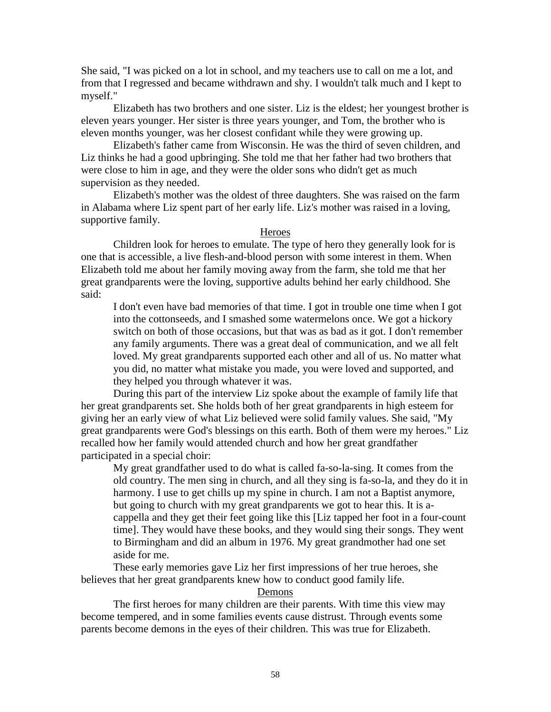She said, "I was picked on a lot in school, and my teachers use to call on me a lot, and from that I regressed and became withdrawn and shy. I wouldn't talk much and I kept to myself."

Elizabeth has two brothers and one sister. Liz is the eldest; her youngest brother is eleven years younger. Her sister is three years younger, and Tom, the brother who is eleven months younger, was her closest confidant while they were growing up.

Elizabeth's father came from Wisconsin. He was the third of seven children, and Liz thinks he had a good upbringing. She told me that her father had two brothers that were close to him in age, and they were the older sons who didn't get as much supervision as they needed.

Elizabeth's mother was the oldest of three daughters. She was raised on the farm in Alabama where Liz spent part of her early life. Liz's mother was raised in a loving, supportive family.

#### Heroes

Children look for heroes to emulate. The type of hero they generally look for is one that is accessible, a live flesh-and-blood person with some interest in them. When Elizabeth told me about her family moving away from the farm, she told me that her great grandparents were the loving, supportive adults behind her early childhood. She said:

I don't even have bad memories of that time. I got in trouble one time when I got into the cottonseeds, and I smashed some watermelons once. We got a hickory switch on both of those occasions, but that was as bad as it got. I don't remember any family arguments. There was a great deal of communication, and we all felt loved. My great grandparents supported each other and all of us. No matter what you did, no matter what mistake you made, you were loved and supported, and they helped you through whatever it was.

During this part of the interview Liz spoke about the example of family life that her great grandparents set. She holds both of her great grandparents in high esteem for giving her an early view of what Liz believed were solid family values. She said, "My great grandparents were God's blessings on this earth. Both of them were my heroes." Liz recalled how her family would attended church and how her great grandfather participated in a special choir:

My great grandfather used to do what is called fa-so-la-sing. It comes from the old country. The men sing in church, and all they sing is fa-so-la, and they do it in harmony. I use to get chills up my spine in church. I am not a Baptist anymore, but going to church with my great grandparents we got to hear this. It is acappella and they get their feet going like this [Liz tapped her foot in a four-count time]. They would have these books, and they would sing their songs. They went to Birmingham and did an album in 1976. My great grandmother had one set aside for me.

These early memories gave Liz her first impressions of her true heroes, she believes that her great grandparents knew how to conduct good family life.

#### Demons

The first heroes for many children are their parents. With time this view may become tempered, and in some families events cause distrust. Through events some parents become demons in the eyes of their children. This was true for Elizabeth.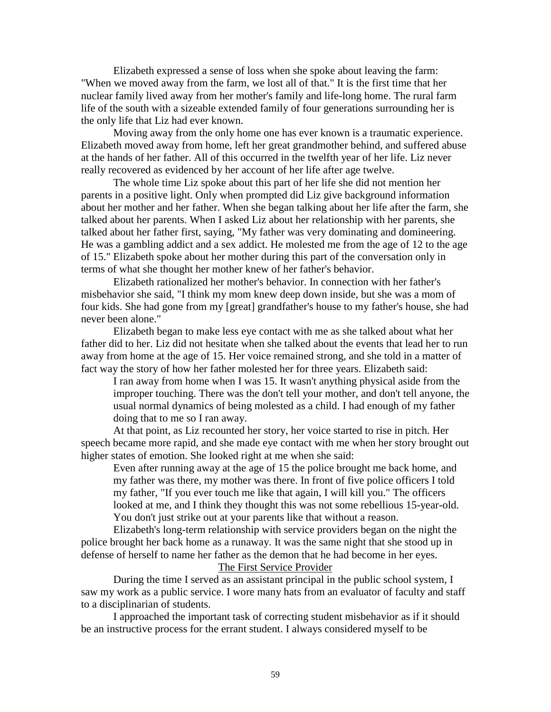Elizabeth expressed a sense of loss when she spoke about leaving the farm: "When we moved away from the farm, we lost all of that." It is the first time that her nuclear family lived away from her mother's family and life-long home. The rural farm life of the south with a sizeable extended family of four generations surrounding her is the only life that Liz had ever known.

Moving away from the only home one has ever known is a traumatic experience. Elizabeth moved away from home, left her great grandmother behind, and suffered abuse at the hands of her father. All of this occurred in the twelfth year of her life. Liz never really recovered as evidenced by her account of her life after age twelve.

The whole time Liz spoke about this part of her life she did not mention her parents in a positive light. Only when prompted did Liz give background information about her mother and her father. When she began talking about her life after the farm, she talked about her parents. When I asked Liz about her relationship with her parents, she talked about her father first, saying, "My father was very dominating and domineering. He was a gambling addict and a sex addict. He molested me from the age of 12 to the age of 15." Elizabeth spoke about her mother during this part of the conversation only in terms of what she thought her mother knew of her father's behavior.

Elizabeth rationalized her mother's behavior. In connection with her father's misbehavior she said, "I think my mom knew deep down inside, but she was a mom of four kids. She had gone from my [great] grandfather's house to my father's house, she had never been alone."

Elizabeth began to make less eye contact with me as she talked about what her father did to her. Liz did not hesitate when she talked about the events that lead her to run away from home at the age of 15. Her voice remained strong, and she told in a matter of fact way the story of how her father molested her for three years. Elizabeth said:

I ran away from home when I was 15. It wasn't anything physical aside from the improper touching. There was the don't tell your mother, and don't tell anyone, the usual normal dynamics of being molested as a child. I had enough of my father doing that to me so I ran away.

At that point, as Liz recounted her story, her voice started to rise in pitch. Her speech became more rapid, and she made eye contact with me when her story brought out higher states of emotion. She looked right at me when she said:

Even after running away at the age of 15 the police brought me back home, and my father was there, my mother was there. In front of five police officers I told my father, "If you ever touch me like that again, I will kill you." The officers looked at me, and I think they thought this was not some rebellious 15-year-old. You don't just strike out at your parents like that without a reason.

Elizabeth's long-term relationship with service providers began on the night the police brought her back home as a runaway. It was the same night that she stood up in defense of herself to name her father as the demon that he had become in her eyes.

The First Service Provider

During the time I served as an assistant principal in the public school system, I saw my work as a public service. I wore many hats from an evaluator of faculty and staff to a disciplinarian of students.

I approached the important task of correcting student misbehavior as if it should be an instructive process for the errant student. I always considered myself to be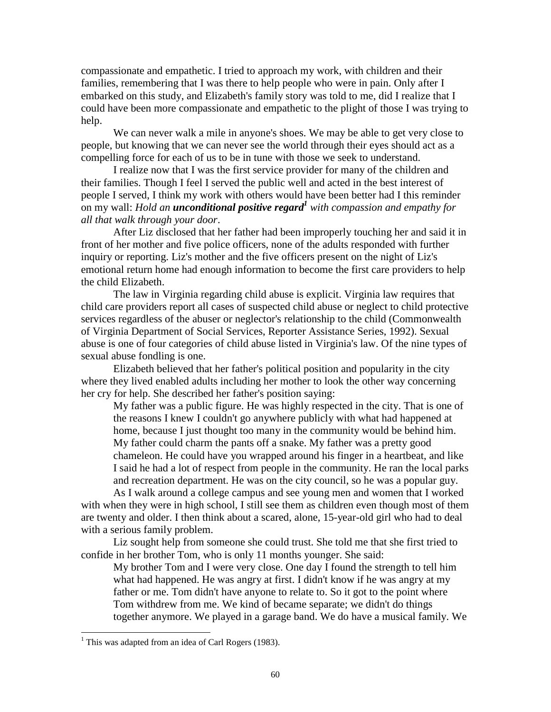compassionate and empathetic. I tried to approach my work, with children and their families, remembering that I was there to help people who were in pain. Only after I embarked on this study, and Elizabeth's family story was told to me, did I realize that I could have been more compassionate and empathetic to the plight of those I was trying to help.

We can never walk a mile in anyone's shoes. We may be able to get very close to people, but knowing that we can never see the world through their eyes should act as a compelling force for each of us to be in tune with those we seek to understand.

I realize now that I was the first service provider for many of the children and their families. Though I feel I served the public well and acted in the best interest of people I served, I think my work with others would have been better had I this reminder **on my wall:** *Hold an <b>unconditional positive regard<sup>1</sup> with compassion and empathy for all that walk through your door*.

After Liz disclosed that her father had been improperly touching her and said it in front of her mother and five police officers, none of the adults responded with further inquiry or reporting. Liz's mother and the five officers present on the night of Liz's emotional return home had enough information to become the first care providers to help the child Elizabeth.

The law in Virginia regarding child abuse is explicit. Virginia law requires that child care providers report all cases of suspected child abuse or neglect to child protective services regardless of the abuser or neglector's relationship to the child (Commonwealth of Virginia Department of Social Services, Reporter Assistance Series, 1992). Sexual abuse is one of four categories of child abuse listed in Virginia's law. Of the nine types of sexual abuse fondling is one.

Elizabeth believed that her father's political position and popularity in the city where they lived enabled adults including her mother to look the other way concerning her cry for help. She described her father's position saying:

My father was a public figure. He was highly respected in the city. That is one of the reasons I knew I couldn't go anywhere publicly with what had happened at home, because I just thought too many in the community would be behind him. My father could charm the pants off a snake. My father was a pretty good chameleon. He could have you wrapped around his finger in a heartbeat, and like I said he had a lot of respect from people in the community. He ran the local parks and recreation department. He was on the city council, so he was a popular guy.

As I walk around a college campus and see young men and women that I worked with when they were in high school, I still see them as children even though most of them are twenty and older. I then think about a scared, alone, 15-year-old girl who had to deal with a serious family problem.

Liz sought help from someone she could trust. She told me that she first tried to confide in her brother Tom, who is only 11 months younger. She said:

My brother Tom and I were very close. One day I found the strength to tell him what had happened. He was angry at first. I didn't know if he was angry at my father or me. Tom didn't have anyone to relate to. So it got to the point where Tom withdrew from me. We kind of became separate; we didn't do things together anymore. We played in a garage band. We do have a musical family. We

 $\overline{a}$ 

<sup>&</sup>lt;sup>1</sup> This was adapted from an idea of Carl Rogers (1983).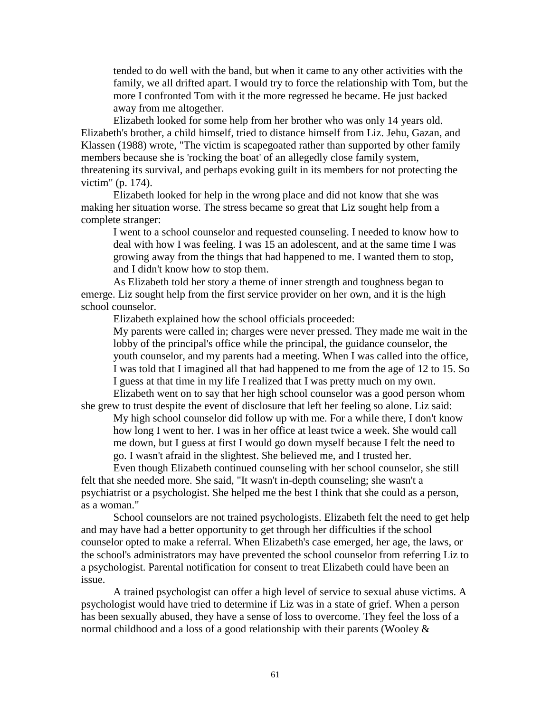tended to do well with the band, but when it came to any other activities with the family, we all drifted apart. I would try to force the relationship with Tom, but the more I confronted Tom with it the more regressed he became. He just backed away from me altogether.

Elizabeth looked for some help from her brother who was only 14 years old. Elizabeth's brother, a child himself, tried to distance himself from Liz. Jehu, Gazan, and Klassen (1988) wrote, "The victim is scapegoated rather than supported by other family members because she is 'rocking the boat' of an allegedly close family system, threatening its survival, and perhaps evoking guilt in its members for not protecting the victim" (p. 174).

Elizabeth looked for help in the wrong place and did not know that she was making her situation worse. The stress became so great that Liz sought help from a complete stranger:

I went to a school counselor and requested counseling. I needed to know how to deal with how I was feeling. I was 15 an adolescent, and at the same time I was growing away from the things that had happened to me. I wanted them to stop, and I didn't know how to stop them.

As Elizabeth told her story a theme of inner strength and toughness began to emerge. Liz sought help from the first service provider on her own, and it is the high school counselor.

Elizabeth explained how the school officials proceeded:

My parents were called in; charges were never pressed. They made me wait in the lobby of the principal's office while the principal, the guidance counselor, the youth counselor, and my parents had a meeting. When I was called into the office, I was told that I imagined all that had happened to me from the age of 12 to 15. So I guess at that time in my life I realized that I was pretty much on my own.

Elizabeth went on to say that her high school counselor was a good person whom she grew to trust despite the event of disclosure that left her feeling so alone. Liz said:

My high school counselor did follow up with me. For a while there, I don't know how long I went to her. I was in her office at least twice a week. She would call me down, but I guess at first I would go down myself because I felt the need to go. I wasn't afraid in the slightest. She believed me, and I trusted her.

Even though Elizabeth continued counseling with her school counselor, she still felt that she needed more. She said, "It wasn't in-depth counseling; she wasn't a psychiatrist or a psychologist. She helped me the best I think that she could as a person, as a woman."

School counselors are not trained psychologists. Elizabeth felt the need to get help and may have had a better opportunity to get through her difficulties if the school counselor opted to make a referral. When Elizabeth's case emerged, her age, the laws, or the school's administrators may have prevented the school counselor from referring Liz to a psychologist. Parental notification for consent to treat Elizabeth could have been an issue.

A trained psychologist can offer a high level of service to sexual abuse victims. A psychologist would have tried to determine if Liz was in a state of grief. When a person has been sexually abused, they have a sense of loss to overcome. They feel the loss of a normal childhood and a loss of a good relationship with their parents (Wooley &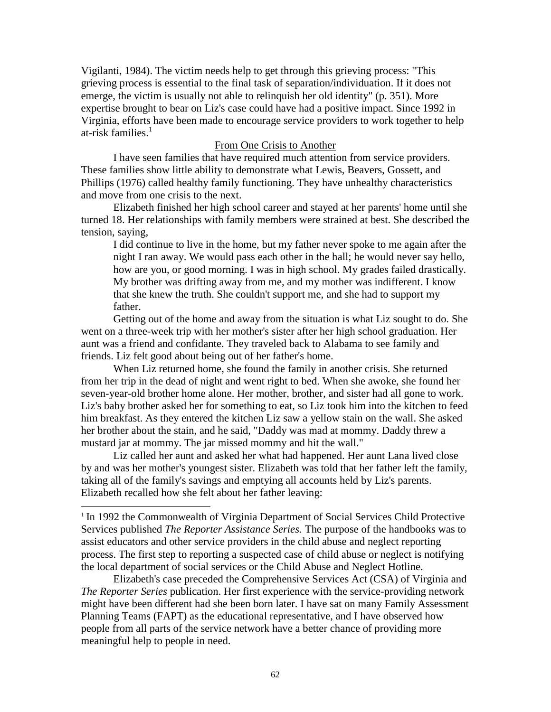Vigilanti, 1984). The victim needs help to get through this grieving process: "This grieving process is essential to the final task of separation/individuation. If it does not emerge, the victim is usually not able to relinquish her old identity" (p. 351). More expertise brought to bear on Liz's case could have had a positive impact. Since 1992 in Virginia, efforts have been made to encourage service providers to work together to help at-risk families.<sup>1</sup>

#### From One Crisis to Another

I have seen families that have required much attention from service providers. These families show little ability to demonstrate what Lewis, Beavers, Gossett, and Phillips (1976) called healthy family functioning. They have unhealthy characteristics and move from one crisis to the next.

Elizabeth finished her high school career and stayed at her parents' home until she turned 18. Her relationships with family members were strained at best. She described the tension, saying,

I did continue to live in the home, but my father never spoke to me again after the night I ran away. We would pass each other in the hall; he would never say hello, how are you, or good morning. I was in high school. My grades failed drastically. My brother was drifting away from me, and my mother was indifferent. I know that she knew the truth. She couldn't support me, and she had to support my father.

Getting out of the home and away from the situation is what Liz sought to do. She went on a three-week trip with her mother's sister after her high school graduation. Her aunt was a friend and confidante. They traveled back to Alabama to see family and friends. Liz felt good about being out of her father's home.

When Liz returned home, she found the family in another crisis. She returned from her trip in the dead of night and went right to bed. When she awoke, she found her seven-year-old brother home alone. Her mother, brother, and sister had all gone to work. Liz's baby brother asked her for something to eat, so Liz took him into the kitchen to feed him breakfast. As they entered the kitchen Liz saw a yellow stain on the wall. She asked her brother about the stain, and he said, "Daddy was mad at mommy. Daddy threw a mustard jar at mommy. The jar missed mommy and hit the wall."

Liz called her aunt and asked her what had happened. Her aunt Lana lived close by and was her mother's youngest sister. Elizabeth was told that her father left the family, taking all of the family's savings and emptying all accounts held by Liz's parents. Elizabeth recalled how she felt about her father leaving:

 $\overline{a}$ 

Elizabeth's case preceded the Comprehensive Services Act (CSA) of Virginia and *The Reporter Series* publication. Her first experience with the service-providing network might have been different had she been born later. I have sat on many Family Assessment Planning Teams (FAPT) as the educational representative, and I have observed how people from all parts of the service network have a better chance of providing more meaningful help to people in need.

<sup>&</sup>lt;sup>1</sup> In 1992 the Commonwealth of Virginia Department of Social Services Child Protective Services published *The Reporter Assistance Series.* The purpose of the handbooks was to assist educators and other service providers in the child abuse and neglect reporting process. The first step to reporting a suspected case of child abuse or neglect is notifying the local department of social services or the Child Abuse and Neglect Hotline.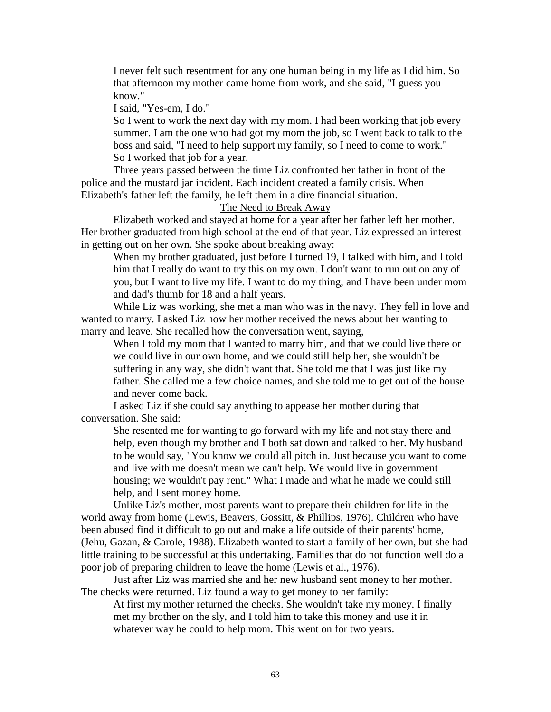I never felt such resentment for any one human being in my life as I did him. So that afternoon my mother came home from work, and she said, "I guess you know."

I said, "Yes-em, I do."

So I went to work the next day with my mom. I had been working that job every summer. I am the one who had got my mom the job, so I went back to talk to the boss and said, "I need to help support my family, so I need to come to work." So I worked that job for a year.

Three years passed between the time Liz confronted her father in front of the police and the mustard jar incident. Each incident created a family crisis. When Elizabeth's father left the family, he left them in a dire financial situation.

# The Need to Break Away

Elizabeth worked and stayed at home for a year after her father left her mother. Her brother graduated from high school at the end of that year. Liz expressed an interest in getting out on her own. She spoke about breaking away:

When my brother graduated, just before I turned 19, I talked with him, and I told him that I really do want to try this on my own. I don't want to run out on any of you, but I want to live my life. I want to do my thing, and I have been under mom and dad's thumb for 18 and a half years.

While Liz was working, she met a man who was in the navy. They fell in love and wanted to marry. I asked Liz how her mother received the news about her wanting to marry and leave. She recalled how the conversation went, saying,

When I told my mom that I wanted to marry him, and that we could live there or we could live in our own home, and we could still help her, she wouldn't be suffering in any way, she didn't want that. She told me that I was just like my father. She called me a few choice names, and she told me to get out of the house and never come back.

I asked Liz if she could say anything to appease her mother during that conversation. She said:

She resented me for wanting to go forward with my life and not stay there and help, even though my brother and I both sat down and talked to her. My husband to be would say, "You know we could all pitch in. Just because you want to come and live with me doesn't mean we can't help. We would live in government housing; we wouldn't pay rent." What I made and what he made we could still help, and I sent money home.

Unlike Liz's mother, most parents want to prepare their children for life in the world away from home (Lewis, Beavers, Gossitt, & Phillips, 1976). Children who have been abused find it difficult to go out and make a life outside of their parents' home, (Jehu, Gazan, & Carole, 1988). Elizabeth wanted to start a family of her own, but she had little training to be successful at this undertaking. Families that do not function well do a poor job of preparing children to leave the home (Lewis et al., 1976).

Just after Liz was married she and her new husband sent money to her mother. The checks were returned. Liz found a way to get money to her family:

At first my mother returned the checks. She wouldn't take my money. I finally met my brother on the sly, and I told him to take this money and use it in whatever way he could to help mom. This went on for two years.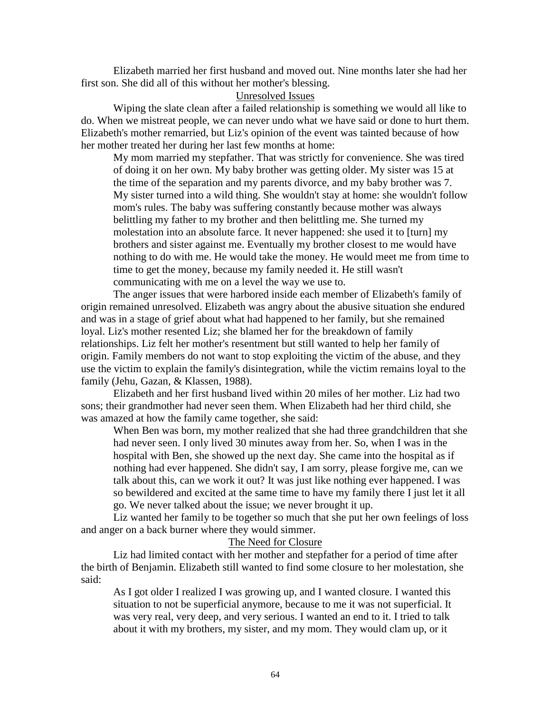Elizabeth married her first husband and moved out. Nine months later she had her first son. She did all of this without her mother's blessing.

## Unresolved Issues

Wiping the slate clean after a failed relationship is something we would all like to do. When we mistreat people, we can never undo what we have said or done to hurt them. Elizabeth's mother remarried, but Liz's opinion of the event was tainted because of how her mother treated her during her last few months at home:

My mom married my stepfather. That was strictly for convenience. She was tired of doing it on her own. My baby brother was getting older. My sister was 15 at the time of the separation and my parents divorce, and my baby brother was 7. My sister turned into a wild thing. She wouldn't stay at home: she wouldn't follow mom's rules. The baby was suffering constantly because mother was always belittling my father to my brother and then belittling me. She turned my molestation into an absolute farce. It never happened: she used it to [turn] my brothers and sister against me. Eventually my brother closest to me would have nothing to do with me. He would take the money. He would meet me from time to time to get the money, because my family needed it. He still wasn't communicating with me on a level the way we use to.

The anger issues that were harbored inside each member of Elizabeth's family of origin remained unresolved. Elizabeth was angry about the abusive situation she endured and was in a stage of grief about what had happened to her family, but she remained loyal. Liz's mother resented Liz; she blamed her for the breakdown of family relationships. Liz felt her mother's resentment but still wanted to help her family of origin. Family members do not want to stop exploiting the victim of the abuse, and they use the victim to explain the family's disintegration, while the victim remains loyal to the family (Jehu, Gazan, & Klassen, 1988).

Elizabeth and her first husband lived within 20 miles of her mother. Liz had two sons; their grandmother had never seen them. When Elizabeth had her third child, she was amazed at how the family came together, she said:

When Ben was born, my mother realized that she had three grandchildren that she had never seen. I only lived 30 minutes away from her. So, when I was in the hospital with Ben, she showed up the next day. She came into the hospital as if nothing had ever happened. She didn't say, I am sorry, please forgive me, can we talk about this, can we work it out? It was just like nothing ever happened. I was so bewildered and excited at the same time to have my family there I just let it all go. We never talked about the issue; we never brought it up.

Liz wanted her family to be together so much that she put her own feelings of loss and anger on a back burner where they would simmer.

#### The Need for Closure

Liz had limited contact with her mother and stepfather for a period of time after the birth of Benjamin. Elizabeth still wanted to find some closure to her molestation, she said:

As I got older I realized I was growing up, and I wanted closure. I wanted this situation to not be superficial anymore, because to me it was not superficial. It was very real, very deep, and very serious. I wanted an end to it. I tried to talk about it with my brothers, my sister, and my mom. They would clam up, or it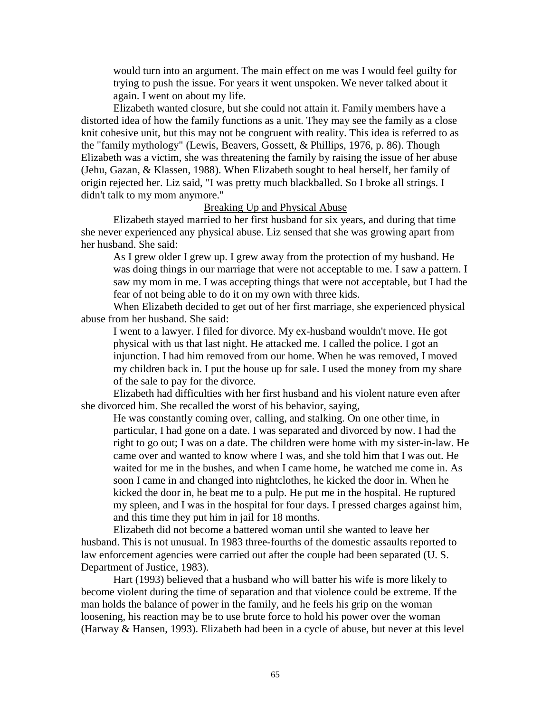would turn into an argument. The main effect on me was I would feel guilty for trying to push the issue. For years it went unspoken. We never talked about it again. I went on about my life.

Elizabeth wanted closure, but she could not attain it. Family members have a distorted idea of how the family functions as a unit. They may see the family as a close knit cohesive unit, but this may not be congruent with reality. This idea is referred to as the "family mythology" (Lewis, Beavers, Gossett, & Phillips, 1976, p. 86). Though Elizabeth was a victim, she was threatening the family by raising the issue of her abuse (Jehu, Gazan, & Klassen, 1988). When Elizabeth sought to heal herself, her family of origin rejected her. Liz said, "I was pretty much blackballed. So I broke all strings. I didn't talk to my mom anymore."

## Breaking Up and Physical Abuse

Elizabeth stayed married to her first husband for six years, and during that time she never experienced any physical abuse. Liz sensed that she was growing apart from her husband. She said:

As I grew older I grew up. I grew away from the protection of my husband. He was doing things in our marriage that were not acceptable to me. I saw a pattern. I saw my mom in me. I was accepting things that were not acceptable, but I had the fear of not being able to do it on my own with three kids.

When Elizabeth decided to get out of her first marriage, she experienced physical abuse from her husband. She said:

I went to a lawyer. I filed for divorce. My ex-husband wouldn't move. He got physical with us that last night. He attacked me. I called the police. I got an injunction. I had him removed from our home. When he was removed, I moved my children back in. I put the house up for sale. I used the money from my share of the sale to pay for the divorce.

Elizabeth had difficulties with her first husband and his violent nature even after she divorced him. She recalled the worst of his behavior, saying,

He was constantly coming over, calling, and stalking. On one other time, in particular, I had gone on a date. I was separated and divorced by now. I had the right to go out; I was on a date. The children were home with my sister-in-law. He came over and wanted to know where I was, and she told him that I was out. He waited for me in the bushes, and when I came home, he watched me come in. As soon I came in and changed into nightclothes, he kicked the door in. When he kicked the door in, he beat me to a pulp. He put me in the hospital. He ruptured my spleen, and I was in the hospital for four days. I pressed charges against him, and this time they put him in jail for 18 months.

Elizabeth did not become a battered woman until she wanted to leave her husband. This is not unusual. In 1983 three-fourths of the domestic assaults reported to law enforcement agencies were carried out after the couple had been separated (U. S. Department of Justice, 1983).

Hart (1993) believed that a husband who will batter his wife is more likely to become violent during the time of separation and that violence could be extreme. If the man holds the balance of power in the family, and he feels his grip on the woman loosening, his reaction may be to use brute force to hold his power over the woman (Harway & Hansen, 1993). Elizabeth had been in a cycle of abuse, but never at this level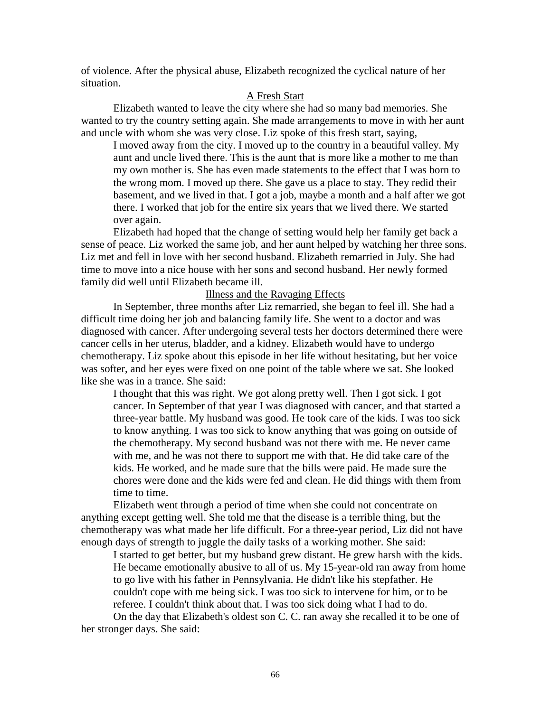of violence. After the physical abuse, Elizabeth recognized the cyclical nature of her situation.

# A Fresh Start

Elizabeth wanted to leave the city where she had so many bad memories. She wanted to try the country setting again. She made arrangements to move in with her aunt and uncle with whom she was very close. Liz spoke of this fresh start, saying,

I moved away from the city. I moved up to the country in a beautiful valley. My aunt and uncle lived there. This is the aunt that is more like a mother to me than my own mother is. She has even made statements to the effect that I was born to the wrong mom. I moved up there. She gave us a place to stay. They redid their basement, and we lived in that. I got a job, maybe a month and a half after we got there. I worked that job for the entire six years that we lived there. We started over again.

Elizabeth had hoped that the change of setting would help her family get back a sense of peace. Liz worked the same job, and her aunt helped by watching her three sons. Liz met and fell in love with her second husband. Elizabeth remarried in July. She had time to move into a nice house with her sons and second husband. Her newly formed family did well until Elizabeth became ill.

# Illness and the Ravaging Effects

In September, three months after Liz remarried, she began to feel ill. She had a difficult time doing her job and balancing family life. She went to a doctor and was diagnosed with cancer. After undergoing several tests her doctors determined there were cancer cells in her uterus, bladder, and a kidney. Elizabeth would have to undergo chemotherapy. Liz spoke about this episode in her life without hesitating, but her voice was softer, and her eyes were fixed on one point of the table where we sat. She looked like she was in a trance. She said:

I thought that this was right. We got along pretty well. Then I got sick. I got cancer. In September of that year I was diagnosed with cancer, and that started a three-year battle. My husband was good. He took care of the kids. I was too sick to know anything. I was too sick to know anything that was going on outside of the chemotherapy. My second husband was not there with me. He never came with me, and he was not there to support me with that. He did take care of the kids. He worked, and he made sure that the bills were paid. He made sure the chores were done and the kids were fed and clean. He did things with them from time to time.

Elizabeth went through a period of time when she could not concentrate on anything except getting well. She told me that the disease is a terrible thing, but the chemotherapy was what made her life difficult. For a three-year period, Liz did not have enough days of strength to juggle the daily tasks of a working mother. She said:

I started to get better, but my husband grew distant. He grew harsh with the kids. He became emotionally abusive to all of us. My 15-year-old ran away from home to go live with his father in Pennsylvania. He didn't like his stepfather. He couldn't cope with me being sick. I was too sick to intervene for him, or to be referee. I couldn't think about that. I was too sick doing what I had to do. On the day that Elizabeth's oldest son C. C. ran away she recalled it to be one of

her stronger days. She said: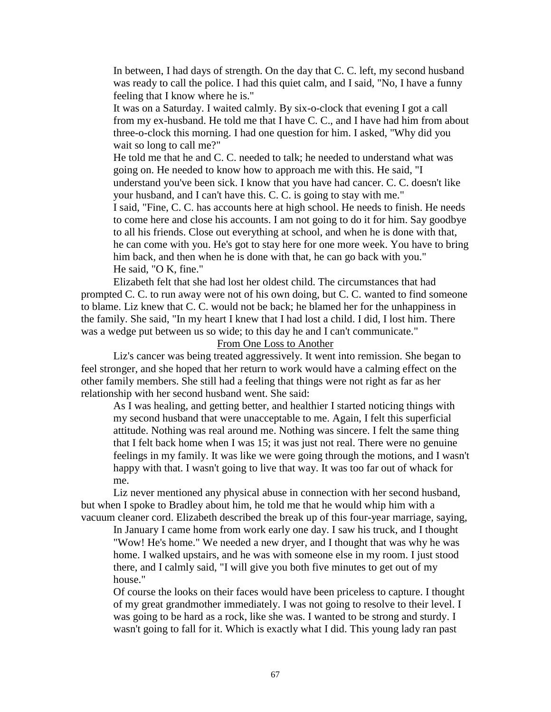In between, I had days of strength. On the day that C. C. left, my second husband was ready to call the police. I had this quiet calm, and I said, "No, I have a funny feeling that I know where he is."

It was on a Saturday. I waited calmly. By six-o-clock that evening I got a call from my ex-husband. He told me that I have C. C., and I have had him from about three-o-clock this morning. I had one question for him. I asked, "Why did you wait so long to call me?"

He told me that he and C. C. needed to talk; he needed to understand what was going on. He needed to know how to approach me with this. He said, "I understand you've been sick. I know that you have had cancer. C. C. doesn't like your husband, and I can't have this. C. C. is going to stay with me."

I said, "Fine, C. C. has accounts here at high school. He needs to finish. He needs to come here and close his accounts. I am not going to do it for him. Say goodbye to all his friends. Close out everything at school, and when he is done with that, he can come with you. He's got to stay here for one more week. You have to bring him back, and then when he is done with that, he can go back with you." He said, "O K, fine."

Elizabeth felt that she had lost her oldest child. The circumstances that had prompted C. C. to run away were not of his own doing, but C. C. wanted to find someone to blame. Liz knew that C. C. would not be back; he blamed her for the unhappiness in the family. She said, "In my heart I knew that I had lost a child. I did, I lost him. There was a wedge put between us so wide; to this day he and I can't communicate."

# From One Loss to Another

Liz's cancer was being treated aggressively. It went into remission. She began to feel stronger, and she hoped that her return to work would have a calming effect on the other family members. She still had a feeling that things were not right as far as her relationship with her second husband went. She said:

As I was healing, and getting better, and healthier I started noticing things with my second husband that were unacceptable to me. Again, I felt this superficial attitude. Nothing was real around me. Nothing was sincere. I felt the same thing that I felt back home when I was 15; it was just not real. There were no genuine feelings in my family. It was like we were going through the motions, and I wasn't happy with that. I wasn't going to live that way. It was too far out of whack for me.

Liz never mentioned any physical abuse in connection with her second husband, but when I spoke to Bradley about him, he told me that he would whip him with a vacuum cleaner cord. Elizabeth described the break up of this four-year marriage, saying,

In January I came home from work early one day. I saw his truck, and I thought "Wow! He's home." We needed a new dryer, and I thought that was why he was home. I walked upstairs, and he was with someone else in my room. I just stood there, and I calmly said, "I will give you both five minutes to get out of my house."

Of course the looks on their faces would have been priceless to capture. I thought of my great grandmother immediately. I was not going to resolve to their level. I was going to be hard as a rock, like she was. I wanted to be strong and sturdy. I wasn't going to fall for it. Which is exactly what I did. This young lady ran past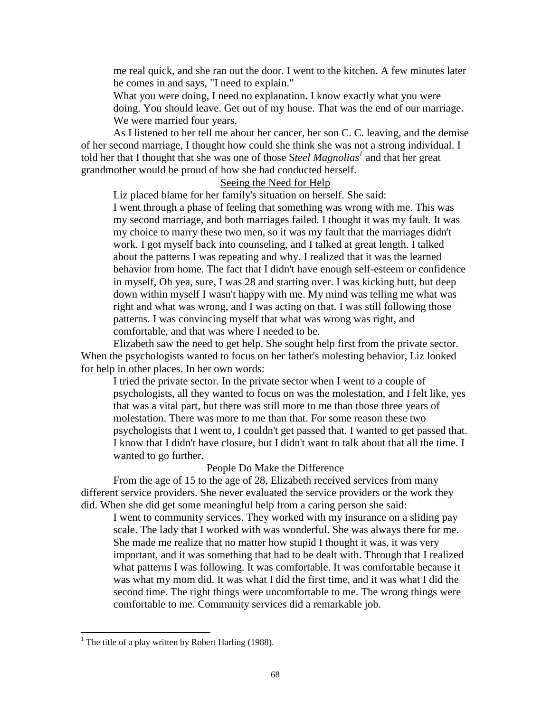me real quick, and she ran out the door. I went to the kitchen. A few minutes later he comes in and says, "I need to explain."

What you were doing, I need no explanation. I know exactly what you were doing. You should leave. Get out of my house. That was the end of our marriage. We were married four years.

As I listened to her tell me about her cancer, her son C. C. leaving, and the demise of her second marriage, I thought how could she think she was not a strong individual. I told her that I thought that she was one of those Steel Magnolias<sup>1</sup> and that her great grandmother would be proud of how she had conducted herself.

## Seeing the Need for Help

Liz placed blame for her family's situation on herself. She said:

I went through a phase of feeling that something was wrong with me. This was my second marriage, and both marriages failed. I thought it was my fault. It was my choice to marry these two men, so it was my fault that the marriages didn't work. I got myself back into counseling, and I talked at great length. I talked about the patterns I was repeating and why. I realized that it was the learned behavior from home. The fact that I didn't have enough self-esteem or confidence in myself, Oh yea, sure, I was 28 and starting over. I was kicking butt, but deep down within myself I wasn't happy with me. My mind was telling me what was right and what was wrong, and I was acting on that. I was still following those patterns. I was convincing myself that what was wrong was right, and comfortable, and that was where I needed to be.

Elizabeth saw the need to get help. She sought help first from the private sector. When the psychologists wanted to focus on her father's molesting behavior, Liz looked for help in other places. In her own words:

I tried the private sector. In the private sector when I went to a couple of psychologists, all they wanted to focus on was the molestation, and I felt like, yes that was a vital part, but there was still more to me than those three years of molestation. There was more to me than that. For some reason these two psychologists that I went to, I couldn't get passed that. I wanted to get passed that. I know that I didn't have closure, but I didn't want to talk about that all the time. I wanted to go further.

## People Do Make the Difference

From the age of 15 to the age of 28, Elizabeth received services from many different service providers. She never evaluated the service providers or the work they did. When she did get some meaningful help from a caring person she said:

I went to community services. They worked with my insurance on a sliding pay scale. The lady that I worked with was wonderful. She was always there for me. She made me realize that no matter how stupid I thought it was, it was very important, and it was something that had to be dealt with. Through that I realized what patterns I was following. It was comfortable. It was comfortable because it was what my mom did. It was what I did the first time, and it was what I did the second time. The right things were uncomfortable to me. The wrong things were comfortable to me. Community services did a remarkable job.

 $\overline{a}$ 

<sup>&</sup>lt;sup>1</sup> The title of a play written by Robert Harling (1988).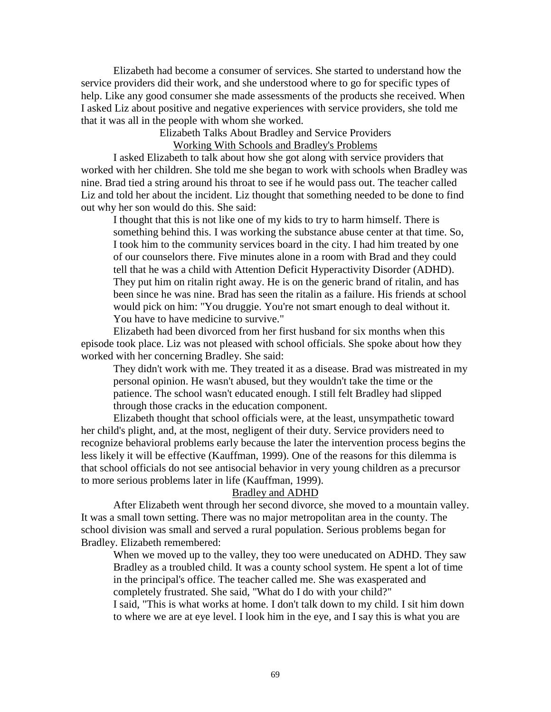Elizabeth had become a consumer of services. She started to understand how the service providers did their work, and she understood where to go for specific types of help. Like any good consumer she made assessments of the products she received. When I asked Liz about positive and negative experiences with service providers, she told me that it was all in the people with whom she worked.

> Elizabeth Talks About Bradley and Service Providers Working With Schools and Bradley's Problems

I asked Elizabeth to talk about how she got along with service providers that worked with her children. She told me she began to work with schools when Bradley was nine. Brad tied a string around his throat to see if he would pass out. The teacher called Liz and told her about the incident. Liz thought that something needed to be done to find out why her son would do this. She said:

I thought that this is not like one of my kids to try to harm himself. There is something behind this. I was working the substance abuse center at that time. So, I took him to the community services board in the city. I had him treated by one of our counselors there. Five minutes alone in a room with Brad and they could tell that he was a child with Attention Deficit Hyperactivity Disorder (ADHD). They put him on ritalin right away. He is on the generic brand of ritalin, and has been since he was nine. Brad has seen the ritalin as a failure. His friends at school would pick on him: "You druggie. You're not smart enough to deal without it. You have to have medicine to survive."

Elizabeth had been divorced from her first husband for six months when this episode took place. Liz was not pleased with school officials. She spoke about how they worked with her concerning Bradley. She said:

They didn't work with me. They treated it as a disease. Brad was mistreated in my personal opinion. He wasn't abused, but they wouldn't take the time or the patience. The school wasn't educated enough. I still felt Bradley had slipped through those cracks in the education component.

Elizabeth thought that school officials were, at the least, unsympathetic toward her child's plight, and, at the most, negligent of their duty. Service providers need to recognize behavioral problems early because the later the intervention process begins the less likely it will be effective (Kauffman, 1999). One of the reasons for this dilemma is that school officials do not see antisocial behavior in very young children as a precursor to more serious problems later in life (Kauffman, 1999).

# Bradley and ADHD

After Elizabeth went through her second divorce, she moved to a mountain valley. It was a small town setting. There was no major metropolitan area in the county. The school division was small and served a rural population. Serious problems began for Bradley. Elizabeth remembered:

When we moved up to the valley, they too were uneducated on ADHD. They saw Bradley as a troubled child. It was a county school system. He spent a lot of time in the principal's office. The teacher called me. She was exasperated and completely frustrated. She said, "What do I do with your child?" I said, "This is what works at home. I don't talk down to my child. I sit him down

to where we are at eye level. I look him in the eye, and I say this is what you are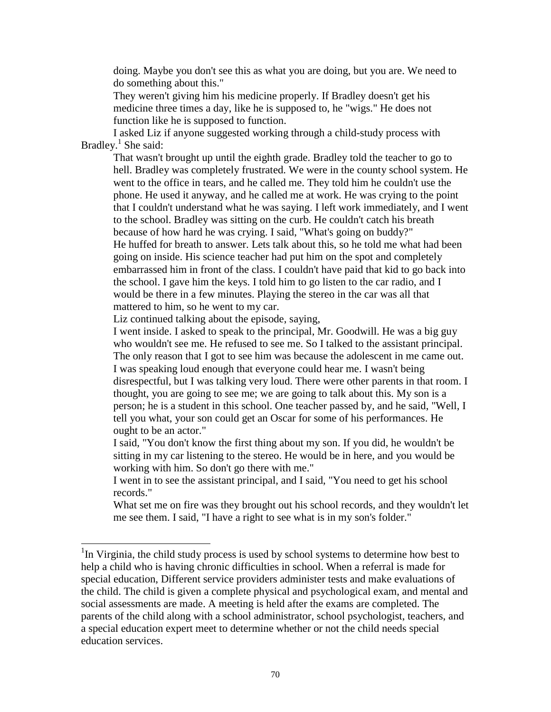doing. Maybe you don't see this as what you are doing, but you are. We need to do something about this."

They weren't giving him his medicine properly. If Bradley doesn't get his medicine three times a day, like he is supposed to, he "wigs." He does not function like he is supposed to function.

I asked Liz if anyone suggested working through a child-study process with Bradley.<sup>1</sup> She said:

That wasn't brought up until the eighth grade. Bradley told the teacher to go to hell. Bradley was completely frustrated. We were in the county school system. He went to the office in tears, and he called me. They told him he couldn't use the phone. He used it anyway, and he called me at work. He was crying to the point that I couldn't understand what he was saying. I left work immediately, and I went to the school. Bradley was sitting on the curb. He couldn't catch his breath because of how hard he was crying. I said, "What's going on buddy?" He huffed for breath to answer. Lets talk about this, so he told me what had been going on inside. His science teacher had put him on the spot and completely embarrassed him in front of the class. I couldn't have paid that kid to go back into the school. I gave him the keys. I told him to go listen to the car radio, and I would be there in a few minutes. Playing the stereo in the car was all that mattered to him, so he went to my car.

Liz continued talking about the episode, saying,

 $\overline{a}$ 

I went inside. I asked to speak to the principal, Mr. Goodwill. He was a big guy who wouldn't see me. He refused to see me. So I talked to the assistant principal. The only reason that I got to see him was because the adolescent in me came out. I was speaking loud enough that everyone could hear me. I wasn't being disrespectful, but I was talking very loud. There were other parents in that room. I thought, you are going to see me; we are going to talk about this. My son is a person; he is a student in this school. One teacher passed by, and he said, "Well, I tell you what, your son could get an Oscar for some of his performances. He ought to be an actor."

I said, "You don't know the first thing about my son. If you did, he wouldn't be sitting in my car listening to the stereo. He would be in here, and you would be working with him. So don't go there with me."

I went in to see the assistant principal, and I said, "You need to get his school records."

What set me on fire was they brought out his school records, and they wouldn't let me see them. I said, "I have a right to see what is in my son's folder."

<sup>&</sup>lt;sup>1</sup>In Virginia, the child study process is used by school systems to determine how best to help a child who is having chronic difficulties in school. When a referral is made for special education, Different service providers administer tests and make evaluations of the child. The child is given a complete physical and psychological exam, and mental and social assessments are made. A meeting is held after the exams are completed. The parents of the child along with a school administrator, school psychologist, teachers, and a special education expert meet to determine whether or not the child needs special education services.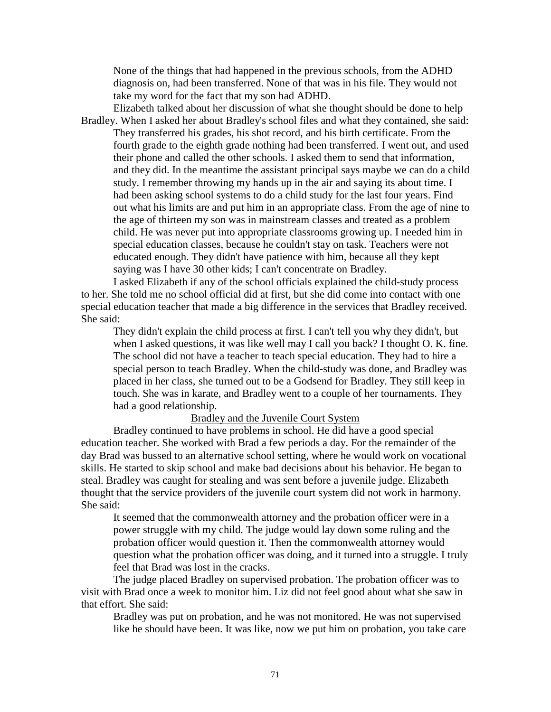None of the things that had happened in the previous schools, from the ADHD diagnosis on, had been transferred. None of that was in his file. They would not take my word for the fact that my son had ADHD.

Elizabeth talked about her discussion of what she thought should be done to help Bradley. When I asked her about Bradley's school files and what they contained, she said: They transferred his grades, his shot record, and his birth certificate. From the fourth grade to the eighth grade nothing had been transferred. I went out, and used their phone and called the other schools. I asked them to send that information, and they did. In the meantime the assistant principal says maybe we can do a child study. I remember throwing my hands up in the air and saying its about time. I had been asking school systems to do a child study for the last four years. Find out what his limits are and put him in an appropriate class. From the age of nine to the age of thirteen my son was in mainstream classes and treated as a problem child. He was never put into appropriate classrooms growing up. I needed him in special education classes, because he couldn't stay on task. Teachers were not educated enough. They didn't have patience with him, because all they kept saying was I have 30 other kids; I can't concentrate on Bradley.

I asked Elizabeth if any of the school officials explained the child-study process to her. She told me no school official did at first, but she did come into contact with one special education teacher that made a big difference in the services that Bradley received. She said:

They didn't explain the child process at first. I can't tell you why they didn't, but when I asked questions, it was like well may I call you back? I thought O. K. fine. The school did not have a teacher to teach special education. They had to hire a special person to teach Bradley. When the child-study was done, and Bradley was placed in her class, she turned out to be a Godsend for Bradley. They still keep in touch. She was in karate, and Bradley went to a couple of her tournaments. They had a good relationship.

#### Bradley and the Juvenile Court System

Bradley continued to have problems in school. He did have a good special education teacher. She worked with Brad a few periods a day. For the remainder of the day Brad was bussed to an alternative school setting, where he would work on vocational skills. He started to skip school and make bad decisions about his behavior. He began to steal. Bradley was caught for stealing and was sent before a juvenile judge. Elizabeth thought that the service providers of the juvenile court system did not work in harmony. She said:

It seemed that the commonwealth attorney and the probation officer were in a power struggle with my child. The judge would lay down some ruling and the probation officer would question it. Then the commonwealth attorney would question what the probation officer was doing, and it turned into a struggle. I truly feel that Brad was lost in the cracks.

The judge placed Bradley on supervised probation. The probation officer was to visit with Brad once a week to monitor him. Liz did not feel good about what she saw in that effort. She said:

Bradley was put on probation, and he was not monitored. He was not supervised like he should have been. It was like, now we put him on probation, you take care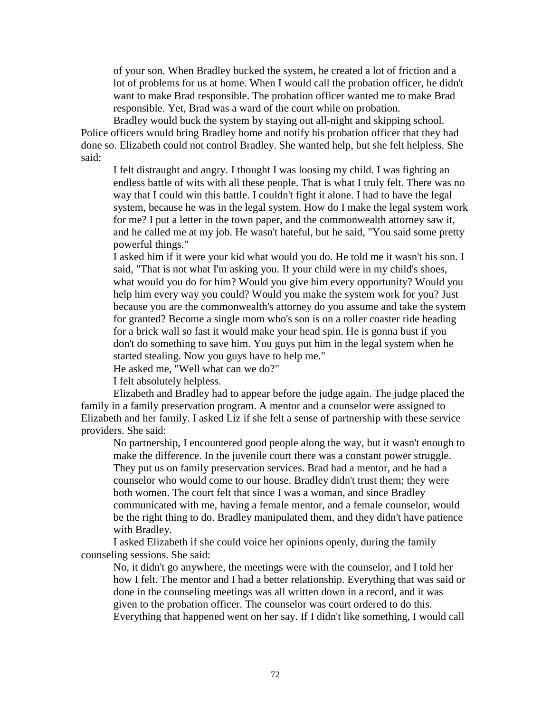of your son. When Bradley bucked the system, he created a lot of friction and a lot of problems for us at home. When I would call the probation officer, he didn't want to make Brad responsible. The probation officer wanted me to make Brad responsible. Yet, Brad was a ward of the court while on probation.

Bradley would buck the system by staying out all-night and skipping school. Police officers would bring Bradley home and notify his probation officer that they had done so. Elizabeth could not control Bradley. She wanted help, but she felt helpless. She said:

I felt distraught and angry. I thought I was loosing my child. I was fighting an endless battle of wits with all these people. That is what I truly felt. There was no way that I could win this battle. I couldn't fight it alone. I had to have the legal system, because he was in the legal system. How do I make the legal system work for me? I put a letter in the town paper, and the commonwealth attorney saw it, and he called me at my job. He wasn't hateful, but he said, "You said some pretty powerful things."

I asked him if it were your kid what would you do. He told me it wasn't his son. I said, "That is not what I'm asking you. If your child were in my child's shoes, what would you do for him? Would you give him every opportunity? Would you help him every way you could? Would you make the system work for you? Just because you are the commonwealth's attorney do you assume and take the system for granted? Become a single mom who's son is on a roller coaster ride heading for a brick wall so fast it would make your head spin. He is gonna bust if you don't do something to save him. You guys put him in the legal system when he started stealing. Now you guys have to help me."

He asked me, "Well what can we do?"

I felt absolutely helpless.

Elizabeth and Bradley had to appear before the judge again. The judge placed the family in a family preservation program. A mentor and a counselor were assigned to Elizabeth and her family. I asked Liz if she felt a sense of partnership with these service providers. She said:

No partnership, I encountered good people along the way, but it wasn't enough to make the difference. In the juvenile court there was a constant power struggle. They put us on family preservation services. Brad had a mentor, and he had a counselor who would come to our house. Bradley didn't trust them; they were both women. The court felt that since I was a woman, and since Bradley communicated with me, having a female mentor, and a female counselor, would be the right thing to do. Bradley manipulated them, and they didn't have patience with Bradley.

I asked Elizabeth if she could voice her opinions openly, during the family counseling sessions. She said:

No, it didn't go anywhere, the meetings were with the counselor, and I told her how I felt. The mentor and I had a better relationship. Everything that was said or done in the counseling meetings was all written down in a record, and it was given to the probation officer. The counselor was court ordered to do this. Everything that happened went on her say. If I didn't like something, I would call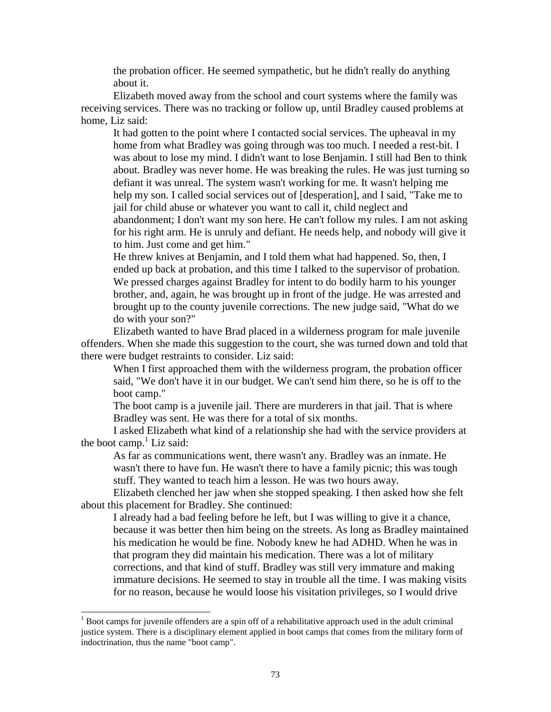the probation officer. He seemed sympathetic, but he didn't really do anything about it.

Elizabeth moved away from the school and court systems where the family was receiving services. There was no tracking or follow up, until Bradley caused problems at home, Liz said:

It had gotten to the point where I contacted social services. The upheaval in my home from what Bradley was going through was too much. I needed a rest-bit. I was about to lose my mind. I didn't want to lose Benjamin. I still had Ben to think about. Bradley was never home. He was breaking the rules. He was just turning so defiant it was unreal. The system wasn't working for me. It wasn't helping me help my son. I called social services out of [desperation], and I said, "Take me to jail for child abuse or whatever you want to call it, child neglect and abandonment; I don't want my son here. He can't follow my rules. I am not asking for his right arm. He is unruly and defiant. He needs help, and nobody will give it to him. Just come and get him."

He threw knives at Benjamin, and I told them what had happened. So, then, I ended up back at probation, and this time I talked to the supervisor of probation. We pressed charges against Bradley for intent to do bodily harm to his younger brother, and, again, he was brought up in front of the judge. He was arrested and brought up to the county juvenile corrections. The new judge said, "What do we do with your son?"

Elizabeth wanted to have Brad placed in a wilderness program for male juvenile offenders. When she made this suggestion to the court, she was turned down and told that there were budget restraints to consider. Liz said:

When I first approached them with the wilderness program, the probation officer said, "We don't have it in our budget. We can't send him there, so he is off to the boot camp."

The boot camp is a juvenile jail. There are murderers in that jail. That is where Bradley was sent. He was there for a total of six months.

I asked Elizabeth what kind of a relationship she had with the service providers at the boot camp.<sup>1</sup> Liz said:

As far as communications went, there wasn't any. Bradley was an inmate. He wasn't there to have fun. He wasn't there to have a family picnic; this was tough stuff. They wanted to teach him a lesson. He was two hours away.

Elizabeth clenched her jaw when she stopped speaking. I then asked how she felt about this placement for Bradley. She continued:

I already had a bad feeling before he left, but I was willing to give it a chance, because it was better then him being on the streets. As long as Bradley maintained his medication he would be fine. Nobody knew he had ADHD. When he was in that program they did maintain his medication. There was a lot of military corrections, and that kind of stuff. Bradley was still very immature and making immature decisions. He seemed to stay in trouble all the time. I was making visits for no reason, because he would loose his visitation privileges, so I would drive

 $\overline{a}$ 

 $1$  Boot camps for juvenile offenders are a spin off of a rehabilitative approach used in the adult criminal justice system. There is a disciplinary element applied in boot camps that comes from the military form of indoctrination, thus the name "boot camp".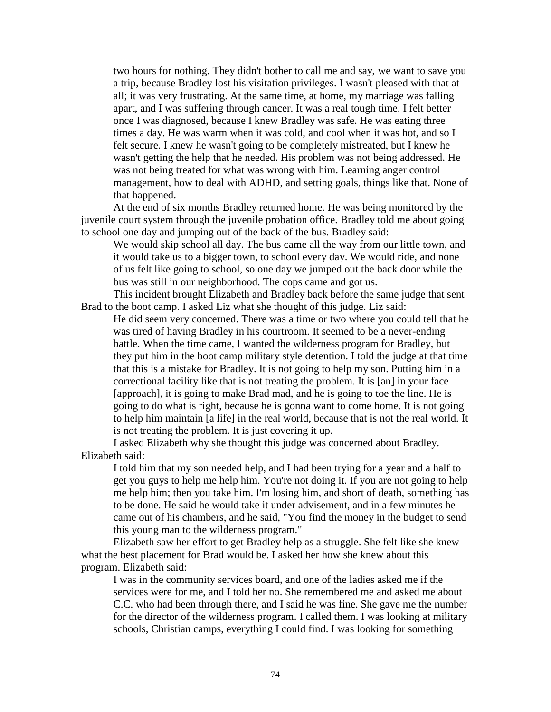two hours for nothing. They didn't bother to call me and say, we want to save you a trip, because Bradley lost his visitation privileges. I wasn't pleased with that at all; it was very frustrating. At the same time, at home, my marriage was falling apart, and I was suffering through cancer. It was a real tough time. I felt better once I was diagnosed, because I knew Bradley was safe. He was eating three times a day. He was warm when it was cold, and cool when it was hot, and so I felt secure. I knew he wasn't going to be completely mistreated, but I knew he wasn't getting the help that he needed. His problem was not being addressed. He was not being treated for what was wrong with him. Learning anger control management, how to deal with ADHD, and setting goals, things like that. None of that happened.

At the end of six months Bradley returned home. He was being monitored by the juvenile court system through the juvenile probation office. Bradley told me about going to school one day and jumping out of the back of the bus. Bradley said:

We would skip school all day. The bus came all the way from our little town, and it would take us to a bigger town, to school every day. We would ride, and none of us felt like going to school, so one day we jumped out the back door while the bus was still in our neighborhood. The cops came and got us.

This incident brought Elizabeth and Bradley back before the same judge that sent Brad to the boot camp. I asked Liz what she thought of this judge. Liz said:

He did seem very concerned. There was a time or two where you could tell that he was tired of having Bradley in his courtroom. It seemed to be a never-ending battle. When the time came, I wanted the wilderness program for Bradley, but they put him in the boot camp military style detention. I told the judge at that time that this is a mistake for Bradley. It is not going to help my son. Putting him in a correctional facility like that is not treating the problem. It is [an] in your face [approach], it is going to make Brad mad, and he is going to toe the line. He is going to do what is right, because he is gonna want to come home. It is not going to help him maintain [a life] in the real world, because that is not the real world. It is not treating the problem. It is just covering it up.

I asked Elizabeth why she thought this judge was concerned about Bradley. Elizabeth said:

I told him that my son needed help, and I had been trying for a year and a half to get you guys to help me help him. You're not doing it. If you are not going to help me help him; then you take him. I'm losing him, and short of death, something has to be done. He said he would take it under advisement, and in a few minutes he came out of his chambers, and he said, "You find the money in the budget to send this young man to the wilderness program."

Elizabeth saw her effort to get Bradley help as a struggle. She felt like she knew what the best placement for Brad would be. I asked her how she knew about this program. Elizabeth said:

I was in the community services board, and one of the ladies asked me if the services were for me, and I told her no. She remembered me and asked me about C.C. who had been through there, and I said he was fine. She gave me the number for the director of the wilderness program. I called them. I was looking at military schools, Christian camps, everything I could find. I was looking for something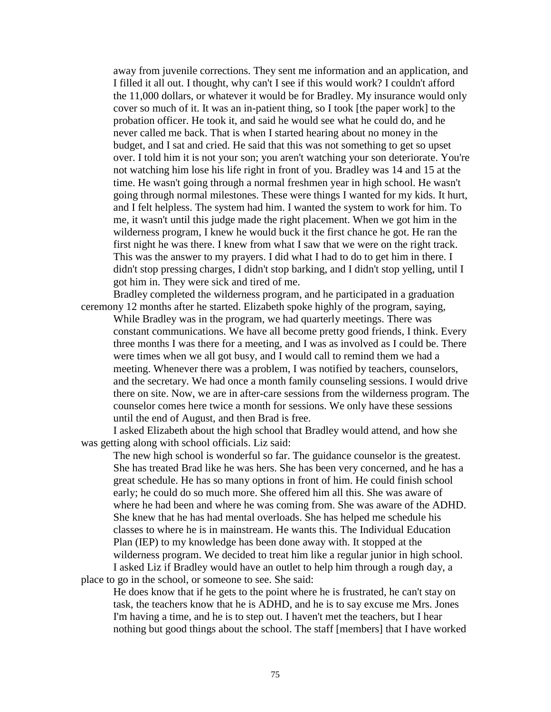away from juvenile corrections. They sent me information and an application, and I filled it all out. I thought, why can't I see if this would work? I couldn't afford the 11,000 dollars, or whatever it would be for Bradley. My insurance would only cover so much of it. It was an in-patient thing, so I took [the paper work] to the probation officer. He took it, and said he would see what he could do, and he never called me back. That is when I started hearing about no money in the budget, and I sat and cried. He said that this was not something to get so upset over. I told him it is not your son; you aren't watching your son deteriorate. You're not watching him lose his life right in front of you. Bradley was 14 and 15 at the time. He wasn't going through a normal freshmen year in high school. He wasn't going through normal milestones. These were things I wanted for my kids. It hurt, and I felt helpless. The system had him. I wanted the system to work for him. To me, it wasn't until this judge made the right placement. When we got him in the wilderness program, I knew he would buck it the first chance he got. He ran the first night he was there. I knew from what I saw that we were on the right track. This was the answer to my prayers. I did what I had to do to get him in there. I didn't stop pressing charges, I didn't stop barking, and I didn't stop yelling, until I got him in. They were sick and tired of me.

Bradley completed the wilderness program, and he participated in a graduation ceremony 12 months after he started. Elizabeth spoke highly of the program, saying, While Bradley was in the program, we had quarterly meetings. There was constant communications. We have all become pretty good friends, I think. Every three months I was there for a meeting, and I was as involved as I could be. There were times when we all got busy, and I would call to remind them we had a meeting. Whenever there was a problem, I was notified by teachers, counselors, and the secretary. We had once a month family counseling sessions. I would drive there on site. Now, we are in after-care sessions from the wilderness program. The counselor comes here twice a month for sessions. We only have these sessions until the end of August, and then Brad is free.

I asked Elizabeth about the high school that Bradley would attend, and how she was getting along with school officials. Liz said:

The new high school is wonderful so far. The guidance counselor is the greatest. She has treated Brad like he was hers. She has been very concerned, and he has a great schedule. He has so many options in front of him. He could finish school early; he could do so much more. She offered him all this. She was aware of where he had been and where he was coming from. She was aware of the ADHD. She knew that he has had mental overloads. She has helped me schedule his classes to where he is in mainstream. He wants this. The Individual Education Plan (IEP) to my knowledge has been done away with. It stopped at the wilderness program. We decided to treat him like a regular junior in high school. I asked Liz if Bradley would have an outlet to help him through a rough day, a place to go in the school, or someone to see. She said:

He does know that if he gets to the point where he is frustrated, he can't stay on task, the teachers know that he is ADHD, and he is to say excuse me Mrs. Jones I'm having a time, and he is to step out. I haven't met the teachers, but I hear nothing but good things about the school. The staff [members] that I have worked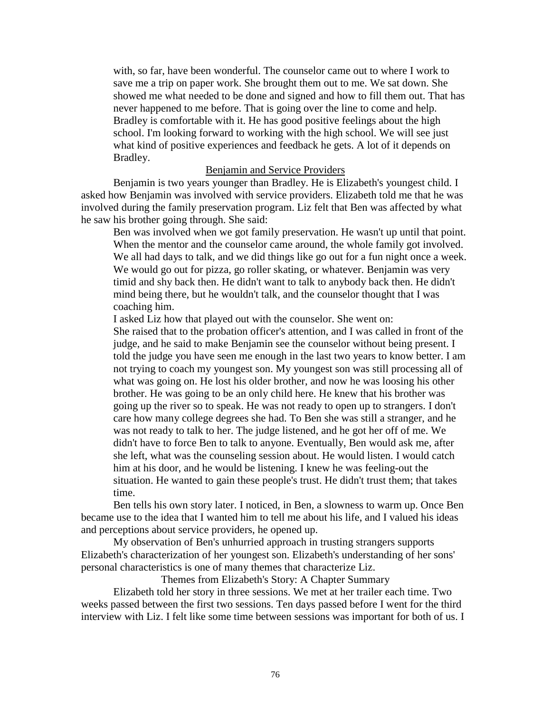with, so far, have been wonderful. The counselor came out to where I work to save me a trip on paper work. She brought them out to me. We sat down. She showed me what needed to be done and signed and how to fill them out. That has never happened to me before. That is going over the line to come and help. Bradley is comfortable with it. He has good positive feelings about the high school. I'm looking forward to working with the high school. We will see just what kind of positive experiences and feedback he gets. A lot of it depends on Bradley.

#### Benjamin and Service Providers

Benjamin is two years younger than Bradley. He is Elizabeth's youngest child. I asked how Benjamin was involved with service providers. Elizabeth told me that he was involved during the family preservation program. Liz felt that Ben was affected by what he saw his brother going through. She said:

Ben was involved when we got family preservation. He wasn't up until that point. When the mentor and the counselor came around, the whole family got involved. We all had days to talk, and we did things like go out for a fun night once a week. We would go out for pizza, go roller skating, or whatever. Benjamin was very timid and shy back then. He didn't want to talk to anybody back then. He didn't mind being there, but he wouldn't talk, and the counselor thought that I was coaching him.

I asked Liz how that played out with the counselor. She went on:

She raised that to the probation officer's attention, and I was called in front of the judge, and he said to make Benjamin see the counselor without being present. I told the judge you have seen me enough in the last two years to know better. I am not trying to coach my youngest son. My youngest son was still processing all of what was going on. He lost his older brother, and now he was loosing his other brother. He was going to be an only child here. He knew that his brother was going up the river so to speak. He was not ready to open up to strangers. I don't care how many college degrees she had. To Ben she was still a stranger, and he was not ready to talk to her. The judge listened, and he got her off of me. We didn't have to force Ben to talk to anyone. Eventually, Ben would ask me, after she left, what was the counseling session about. He would listen. I would catch him at his door, and he would be listening. I knew he was feeling-out the situation. He wanted to gain these people's trust. He didn't trust them; that takes time.

Ben tells his own story later. I noticed, in Ben, a slowness to warm up. Once Ben became use to the idea that I wanted him to tell me about his life, and I valued his ideas and perceptions about service providers, he opened up.

My observation of Ben's unhurried approach in trusting strangers supports Elizabeth's characterization of her youngest son. Elizabeth's understanding of her sons' personal characteristics is one of many themes that characterize Liz.

Themes from Elizabeth's Story: A Chapter Summary

Elizabeth told her story in three sessions. We met at her trailer each time. Two weeks passed between the first two sessions. Ten days passed before I went for the third interview with Liz. I felt like some time between sessions was important for both of us. I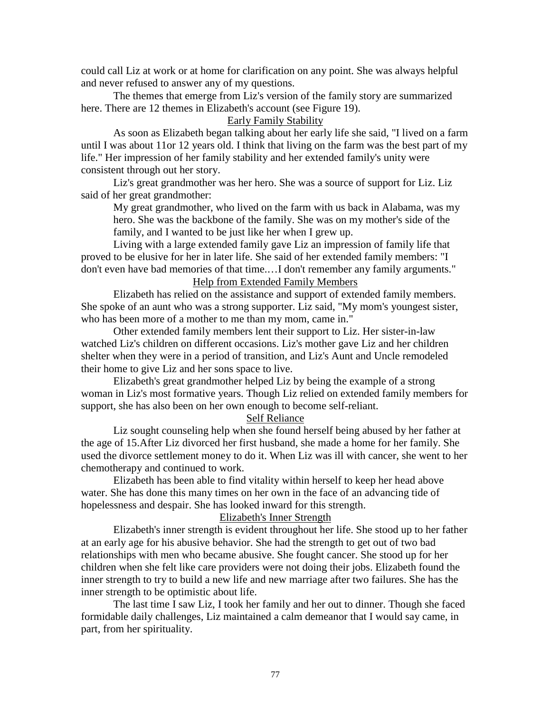could call Liz at work or at home for clarification on any point. She was always helpful and never refused to answer any of my questions.

The themes that emerge from Liz's version of the family story are summarized here. There are 12 themes in Elizabeth's account (see Figure 19).

## Early Family Stability

As soon as Elizabeth began talking about her early life she said, "I lived on a farm until I was about 11or 12 years old. I think that living on the farm was the best part of my life." Her impression of her family stability and her extended family's unity were consistent through out her story.

Liz's great grandmother was her hero. She was a source of support for Liz. Liz said of her great grandmother:

My great grandmother, who lived on the farm with us back in Alabama, was my hero. She was the backbone of the family. She was on my mother's side of the family, and I wanted to be just like her when I grew up.

Living with a large extended family gave Liz an impression of family life that proved to be elusive for her in later life. She said of her extended family members: "I don't even have bad memories of that time.…I don't remember any family arguments."

# Help from Extended Family Members

Elizabeth has relied on the assistance and support of extended family members. She spoke of an aunt who was a strong supporter. Liz said, "My mom's youngest sister, who has been more of a mother to me than my mom, came in."

Other extended family members lent their support to Liz. Her sister-in-law watched Liz's children on different occasions. Liz's mother gave Liz and her children shelter when they were in a period of transition, and Liz's Aunt and Uncle remodeled their home to give Liz and her sons space to live.

Elizabeth's great grandmother helped Liz by being the example of a strong woman in Liz's most formative years. Though Liz relied on extended family members for support, she has also been on her own enough to become self-reliant.

# Self Reliance

Liz sought counseling help when she found herself being abused by her father at the age of 15.After Liz divorced her first husband, she made a home for her family. She used the divorce settlement money to do it. When Liz was ill with cancer, she went to her chemotherapy and continued to work.

Elizabeth has been able to find vitality within herself to keep her head above water. She has done this many times on her own in the face of an advancing tide of hopelessness and despair. She has looked inward for this strength.

#### Elizabeth's Inner Strength

Elizabeth's inner strength is evident throughout her life. She stood up to her father at an early age for his abusive behavior. She had the strength to get out of two bad relationships with men who became abusive. She fought cancer. She stood up for her children when she felt like care providers were not doing their jobs. Elizabeth found the inner strength to try to build a new life and new marriage after two failures. She has the inner strength to be optimistic about life.

The last time I saw Liz, I took her family and her out to dinner. Though she faced formidable daily challenges, Liz maintained a calm demeanor that I would say came, in part, from her spirituality.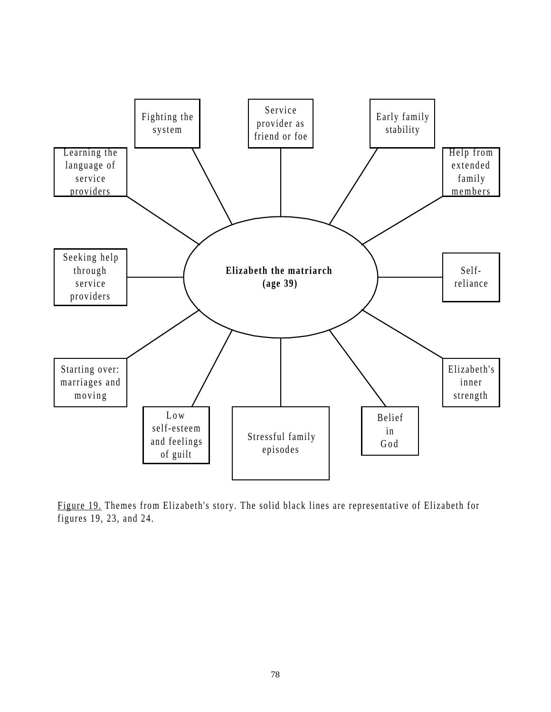

Figure 19. Themes from Elizabeth's story. The solid black lines are representative of Elizabeth for figures 19, 23, and 24.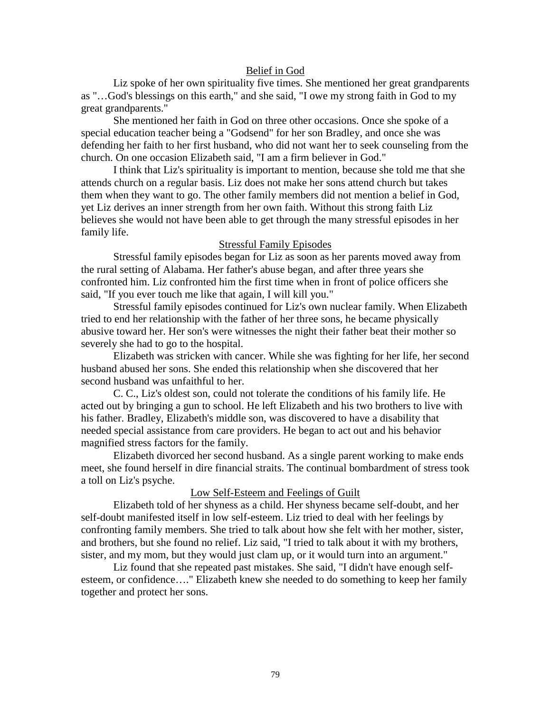## Belief in God

Liz spoke of her own spirituality five times. She mentioned her great grandparents as "…God's blessings on this earth," and she said, "I owe my strong faith in God to my great grandparents."

She mentioned her faith in God on three other occasions. Once she spoke of a special education teacher being a "Godsend" for her son Bradley, and once she was defending her faith to her first husband, who did not want her to seek counseling from the church. On one occasion Elizabeth said, "I am a firm believer in God."

I think that Liz's spirituality is important to mention, because she told me that she attends church on a regular basis. Liz does not make her sons attend church but takes them when they want to go. The other family members did not mention a belief in God, yet Liz derives an inner strength from her own faith. Without this strong faith Liz believes she would not have been able to get through the many stressful episodes in her family life.

#### Stressful Family Episodes

Stressful family episodes began for Liz as soon as her parents moved away from the rural setting of Alabama. Her father's abuse began, and after three years she confronted him. Liz confronted him the first time when in front of police officers she said, "If you ever touch me like that again, I will kill you."

Stressful family episodes continued for Liz's own nuclear family. When Elizabeth tried to end her relationship with the father of her three sons, he became physically abusive toward her. Her son's were witnesses the night their father beat their mother so severely she had to go to the hospital.

Elizabeth was stricken with cancer. While she was fighting for her life, her second husband abused her sons. She ended this relationship when she discovered that her second husband was unfaithful to her.

C. C., Liz's oldest son, could not tolerate the conditions of his family life. He acted out by bringing a gun to school. He left Elizabeth and his two brothers to live with his father. Bradley, Elizabeth's middle son, was discovered to have a disability that needed special assistance from care providers. He began to act out and his behavior magnified stress factors for the family.

Elizabeth divorced her second husband. As a single parent working to make ends meet, she found herself in dire financial straits. The continual bombardment of stress took a toll on Liz's psyche.

## Low Self-Esteem and Feelings of Guilt

Elizabeth told of her shyness as a child. Her shyness became self-doubt, and her self-doubt manifested itself in low self-esteem. Liz tried to deal with her feelings by confronting family members. She tried to talk about how she felt with her mother, sister, and brothers, but she found no relief. Liz said, "I tried to talk about it with my brothers, sister, and my mom, but they would just clam up, or it would turn into an argument."

Liz found that she repeated past mistakes. She said, "I didn't have enough selfesteem, or confidence…." Elizabeth knew she needed to do something to keep her family together and protect her sons.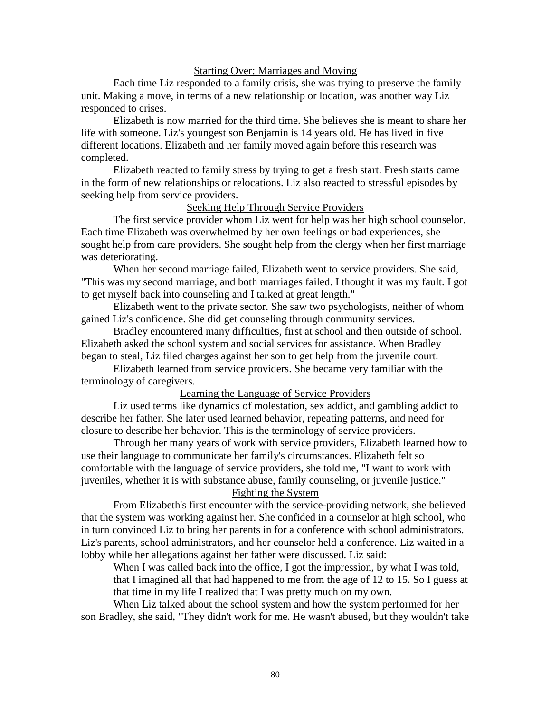## Starting Over: Marriages and Moving

Each time Liz responded to a family crisis, she was trying to preserve the family unit. Making a move, in terms of a new relationship or location, was another way Liz responded to crises.

Elizabeth is now married for the third time. She believes she is meant to share her life with someone. Liz's youngest son Benjamin is 14 years old. He has lived in five different locations. Elizabeth and her family moved again before this research was completed.

Elizabeth reacted to family stress by trying to get a fresh start. Fresh starts came in the form of new relationships or relocations. Liz also reacted to stressful episodes by seeking help from service providers.

# Seeking Help Through Service Providers

The first service provider whom Liz went for help was her high school counselor. Each time Elizabeth was overwhelmed by her own feelings or bad experiences, she sought help from care providers. She sought help from the clergy when her first marriage was deteriorating.

When her second marriage failed, Elizabeth went to service providers. She said, "This was my second marriage, and both marriages failed. I thought it was my fault. I got to get myself back into counseling and I talked at great length."

Elizabeth went to the private sector. She saw two psychologists, neither of whom gained Liz's confidence. She did get counseling through community services.

Bradley encountered many difficulties, first at school and then outside of school. Elizabeth asked the school system and social services for assistance. When Bradley began to steal, Liz filed charges against her son to get help from the juvenile court.

Elizabeth learned from service providers. She became very familiar with the terminology of caregivers.

#### Learning the Language of Service Providers

Liz used terms like dynamics of molestation, sex addict, and gambling addict to describe her father. She later used learned behavior, repeating patterns, and need for closure to describe her behavior. This is the terminology of service providers.

Through her many years of work with service providers, Elizabeth learned how to use their language to communicate her family's circumstances. Elizabeth felt so comfortable with the language of service providers, she told me, "I want to work with juveniles, whether it is with substance abuse, family counseling, or juvenile justice."

# Fighting the System

From Elizabeth's first encounter with the service-providing network, she believed that the system was working against her. She confided in a counselor at high school, who in turn convinced Liz to bring her parents in for a conference with school administrators. Liz's parents, school administrators, and her counselor held a conference. Liz waited in a lobby while her allegations against her father were discussed. Liz said:

When I was called back into the office, I got the impression, by what I was told, that I imagined all that had happened to me from the age of 12 to 15. So I guess at that time in my life I realized that I was pretty much on my own.

When Liz talked about the school system and how the system performed for her son Bradley, she said, "They didn't work for me. He wasn't abused, but they wouldn't take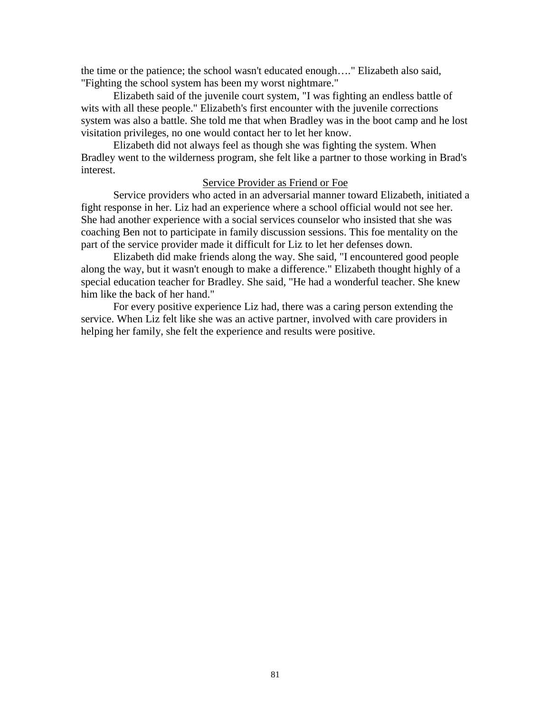the time or the patience; the school wasn't educated enough…." Elizabeth also said, "Fighting the school system has been my worst nightmare."

Elizabeth said of the juvenile court system, "I was fighting an endless battle of wits with all these people." Elizabeth's first encounter with the juvenile corrections system was also a battle. She told me that when Bradley was in the boot camp and he lost visitation privileges, no one would contact her to let her know.

Elizabeth did not always feel as though she was fighting the system. When Bradley went to the wilderness program, she felt like a partner to those working in Brad's interest.

## Service Provider as Friend or Foe

Service providers who acted in an adversarial manner toward Elizabeth, initiated a fight response in her. Liz had an experience where a school official would not see her. She had another experience with a social services counselor who insisted that she was coaching Ben not to participate in family discussion sessions. This foe mentality on the part of the service provider made it difficult for Liz to let her defenses down.

Elizabeth did make friends along the way. She said, "I encountered good people along the way, but it wasn't enough to make a difference." Elizabeth thought highly of a special education teacher for Bradley. She said, "He had a wonderful teacher. She knew him like the back of her hand."

For every positive experience Liz had, there was a caring person extending the service. When Liz felt like she was an active partner, involved with care providers in helping her family, she felt the experience and results were positive.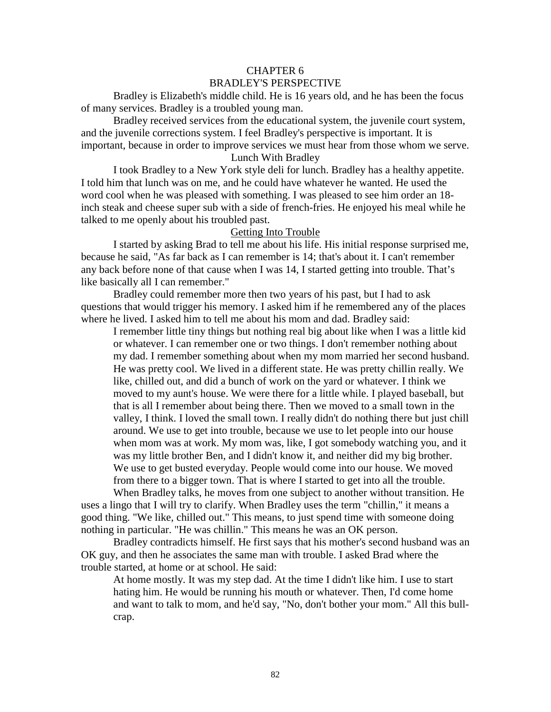# CHAPTER 6 BRADLEY'S PERSPECTIVE

Bradley is Elizabeth's middle child. He is 16 years old, and he has been the focus of many services. Bradley is a troubled young man.

Bradley received services from the educational system, the juvenile court system, and the juvenile corrections system. I feel Bradley's perspective is important. It is important, because in order to improve services we must hear from those whom we serve.

# Lunch With Bradley

I took Bradley to a New York style deli for lunch. Bradley has a healthy appetite. I told him that lunch was on me, and he could have whatever he wanted. He used the word cool when he was pleased with something. I was pleased to see him order an 18 inch steak and cheese super sub with a side of french-fries. He enjoyed his meal while he talked to me openly about his troubled past.

# Getting Into Trouble

I started by asking Brad to tell me about his life. His initial response surprised me, because he said, "As far back as I can remember is 14; that's about it. I can't remember any back before none of that cause when I was 14, I started getting into trouble. That's like basically all I can remember."

Bradley could remember more then two years of his past, but I had to ask questions that would trigger his memory. I asked him if he remembered any of the places where he lived. I asked him to tell me about his mom and dad. Bradley said:

I remember little tiny things but nothing real big about like when I was a little kid or whatever. I can remember one or two things. I don't remember nothing about my dad. I remember something about when my mom married her second husband. He was pretty cool. We lived in a different state. He was pretty chillin really. We like, chilled out, and did a bunch of work on the yard or whatever. I think we moved to my aunt's house. We were there for a little while. I played baseball, but that is all I remember about being there. Then we moved to a small town in the valley, I think. I loved the small town. I really didn't do nothing there but just chill around. We use to get into trouble, because we use to let people into our house when mom was at work. My mom was, like, I got somebody watching you, and it was my little brother Ben, and I didn't know it, and neither did my big brother. We use to get busted everyday. People would come into our house. We moved from there to a bigger town. That is where I started to get into all the trouble.

When Bradley talks, he moves from one subject to another without transition. He uses a lingo that I will try to clarify. When Bradley uses the term "chillin," it means a good thing. "We like, chilled out." This means, to just spend time with someone doing nothing in particular. "He was chillin." This means he was an OK person.

Bradley contradicts himself. He first says that his mother's second husband was an OK guy, and then he associates the same man with trouble. I asked Brad where the trouble started, at home or at school. He said:

At home mostly. It was my step dad. At the time I didn't like him. I use to start hating him. He would be running his mouth or whatever. Then, I'd come home and want to talk to mom, and he'd say, "No, don't bother your mom." All this bullcrap.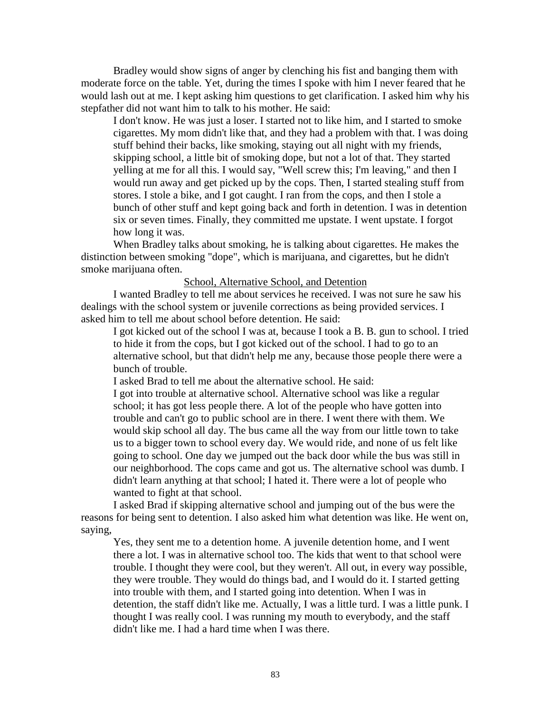Bradley would show signs of anger by clenching his fist and banging them with moderate force on the table. Yet, during the times I spoke with him I never feared that he would lash out at me. I kept asking him questions to get clarification. I asked him why his stepfather did not want him to talk to his mother. He said:

I don't know. He was just a loser. I started not to like him, and I started to smoke cigarettes. My mom didn't like that, and they had a problem with that. I was doing stuff behind their backs, like smoking, staying out all night with my friends, skipping school, a little bit of smoking dope, but not a lot of that. They started yelling at me for all this. I would say, "Well screw this; I'm leaving," and then I would run away and get picked up by the cops. Then, I started stealing stuff from stores. I stole a bike, and I got caught. I ran from the cops, and then I stole a bunch of other stuff and kept going back and forth in detention. I was in detention six or seven times. Finally, they committed me upstate. I went upstate. I forgot how long it was.

When Bradley talks about smoking, he is talking about cigarettes. He makes the distinction between smoking "dope", which is marijuana, and cigarettes, but he didn't smoke marijuana often.

# School, Alternative School, and Detention

I wanted Bradley to tell me about services he received. I was not sure he saw his dealings with the school system or juvenile corrections as being provided services. I asked him to tell me about school before detention. He said:

I got kicked out of the school I was at, because I took a B. B. gun to school. I tried to hide it from the cops, but I got kicked out of the school. I had to go to an alternative school, but that didn't help me any, because those people there were a bunch of trouble.

I asked Brad to tell me about the alternative school. He said:

I got into trouble at alternative school. Alternative school was like a regular school; it has got less people there. A lot of the people who have gotten into trouble and can't go to public school are in there. I went there with them. We would skip school all day. The bus came all the way from our little town to take us to a bigger town to school every day. We would ride, and none of us felt like going to school. One day we jumped out the back door while the bus was still in our neighborhood. The cops came and got us. The alternative school was dumb. I didn't learn anything at that school; I hated it. There were a lot of people who wanted to fight at that school.

I asked Brad if skipping alternative school and jumping out of the bus were the reasons for being sent to detention. I also asked him what detention was like. He went on, saying,

Yes, they sent me to a detention home. A juvenile detention home, and I went there a lot. I was in alternative school too. The kids that went to that school were trouble. I thought they were cool, but they weren't. All out, in every way possible, they were trouble. They would do things bad, and I would do it. I started getting into trouble with them, and I started going into detention. When I was in detention, the staff didn't like me. Actually, I was a little turd. I was a little punk. I thought I was really cool. I was running my mouth to everybody, and the staff didn't like me. I had a hard time when I was there.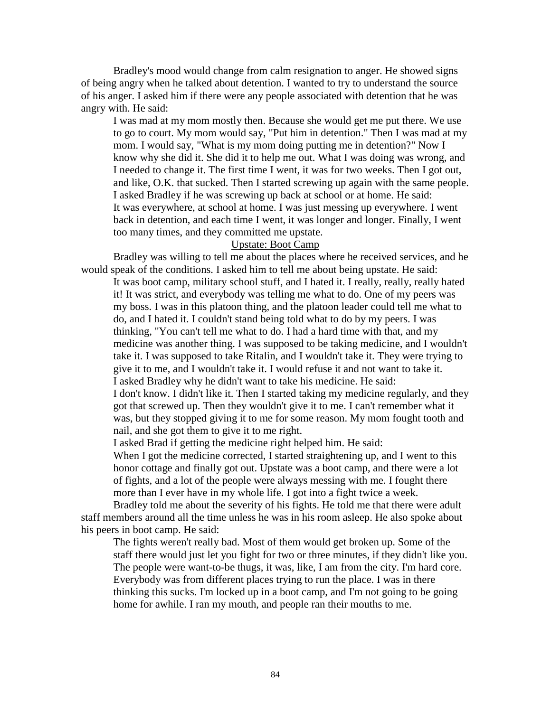Bradley's mood would change from calm resignation to anger. He showed signs of being angry when he talked about detention. I wanted to try to understand the source of his anger. I asked him if there were any people associated with detention that he was angry with. He said:

I was mad at my mom mostly then. Because she would get me put there. We use to go to court. My mom would say, "Put him in detention." Then I was mad at my mom. I would say, "What is my mom doing putting me in detention?" Now I know why she did it. She did it to help me out. What I was doing was wrong, and I needed to change it. The first time I went, it was for two weeks. Then I got out, and like, O.K. that sucked. Then I started screwing up again with the same people. I asked Bradley if he was screwing up back at school or at home. He said: It was everywhere, at school at home. I was just messing up everywhere. I went back in detention, and each time I went, it was longer and longer. Finally, I went too many times, and they committed me upstate.

## Upstate: Boot Camp

Bradley was willing to tell me about the places where he received services, and he would speak of the conditions. I asked him to tell me about being upstate. He said:

It was boot camp, military school stuff, and I hated it. I really, really, really hated it! It was strict, and everybody was telling me what to do. One of my peers was my boss. I was in this platoon thing, and the platoon leader could tell me what to do, and I hated it. I couldn't stand being told what to do by my peers. I was thinking, "You can't tell me what to do. I had a hard time with that, and my medicine was another thing. I was supposed to be taking medicine, and I wouldn't take it. I was supposed to take Ritalin, and I wouldn't take it. They were trying to give it to me, and I wouldn't take it. I would refuse it and not want to take it. I asked Bradley why he didn't want to take his medicine. He said: I don't know. I didn't like it. Then I started taking my medicine regularly, and they

got that screwed up. Then they wouldn't give it to me. I can't remember what it was, but they stopped giving it to me for some reason. My mom fought tooth and nail, and she got them to give it to me right.

I asked Brad if getting the medicine right helped him. He said:

When I got the medicine corrected, I started straightening up, and I went to this honor cottage and finally got out. Upstate was a boot camp, and there were a lot of fights, and a lot of the people were always messing with me. I fought there more than I ever have in my whole life. I got into a fight twice a week.

Bradley told me about the severity of his fights. He told me that there were adult staff members around all the time unless he was in his room asleep. He also spoke about his peers in boot camp. He said:

The fights weren't really bad. Most of them would get broken up. Some of the staff there would just let you fight for two or three minutes, if they didn't like you. The people were want-to-be thugs, it was, like, I am from the city. I'm hard core. Everybody was from different places trying to run the place. I was in there thinking this sucks. I'm locked up in a boot camp, and I'm not going to be going home for awhile. I ran my mouth, and people ran their mouths to me.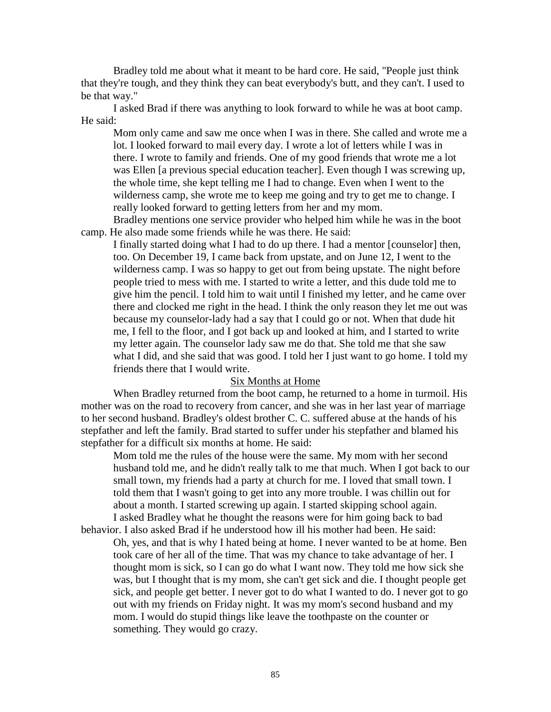Bradley told me about what it meant to be hard core. He said, "People just think that they're tough, and they think they can beat everybody's butt, and they can't. I used to be that way."

I asked Brad if there was anything to look forward to while he was at boot camp. He said:

Mom only came and saw me once when I was in there. She called and wrote me a lot. I looked forward to mail every day. I wrote a lot of letters while I was in there. I wrote to family and friends. One of my good friends that wrote me a lot was Ellen [a previous special education teacher]. Even though I was screwing up, the whole time, she kept telling me I had to change. Even when I went to the wilderness camp, she wrote me to keep me going and try to get me to change. I really looked forward to getting letters from her and my mom.

Bradley mentions one service provider who helped him while he was in the boot camp. He also made some friends while he was there. He said:

I finally started doing what I had to do up there. I had a mentor [counselor] then, too. On December 19, I came back from upstate, and on June 12, I went to the wilderness camp. I was so happy to get out from being upstate. The night before people tried to mess with me. I started to write a letter, and this dude told me to give him the pencil. I told him to wait until I finished my letter, and he came over there and clocked me right in the head. I think the only reason they let me out was because my counselor-lady had a say that I could go or not. When that dude hit me, I fell to the floor, and I got back up and looked at him, and I started to write my letter again. The counselor lady saw me do that. She told me that she saw what I did, and she said that was good. I told her I just want to go home. I told my friends there that I would write.

### Six Months at Home

When Bradley returned from the boot camp, he returned to a home in turmoil. His mother was on the road to recovery from cancer, and she was in her last year of marriage to her second husband. Bradley's oldest brother C. C. suffered abuse at the hands of his stepfather and left the family. Brad started to suffer under his stepfather and blamed his stepfather for a difficult six months at home. He said:

Mom told me the rules of the house were the same. My mom with her second husband told me, and he didn't really talk to me that much. When I got back to our small town, my friends had a party at church for me. I loved that small town. I told them that I wasn't going to get into any more trouble. I was chillin out for about a month. I started screwing up again. I started skipping school again. I asked Bradley what he thought the reasons were for him going back to bad

behavior. I also asked Brad if he understood how ill his mother had been. He said: Oh, yes, and that is why I hated being at home. I never wanted to be at home. Ben took care of her all of the time. That was my chance to take advantage of her. I thought mom is sick, so I can go do what I want now. They told me how sick she was, but I thought that is my mom, she can't get sick and die. I thought people get sick, and people get better. I never got to do what I wanted to do. I never got to go out with my friends on Friday night. It was my mom's second husband and my mom. I would do stupid things like leave the toothpaste on the counter or something. They would go crazy.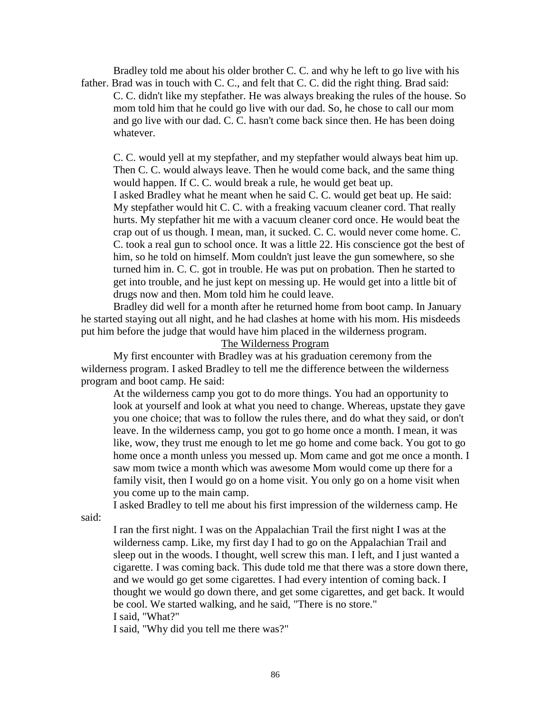Bradley told me about his older brother C. C. and why he left to go live with his father. Brad was in touch with C. C., and felt that C. C. did the right thing. Brad said: C. C. didn't like my stepfather. He was always breaking the rules of the house. So mom told him that he could go live with our dad. So, he chose to call our mom and go live with our dad. C. C. hasn't come back since then. He has been doing whatever.

C. C. would yell at my stepfather, and my stepfather would always beat him up. Then C. C. would always leave. Then he would come back, and the same thing would happen. If C. C. would break a rule, he would get beat up. I asked Bradley what he meant when he said C. C. would get beat up. He said: My stepfather would hit C. C. with a freaking vacuum cleaner cord. That really hurts. My stepfather hit me with a vacuum cleaner cord once. He would beat the crap out of us though. I mean, man, it sucked. C. C. would never come home. C. C. took a real gun to school once. It was a little 22. His conscience got the best of him, so he told on himself. Mom couldn't just leave the gun somewhere, so she turned him in. C. C. got in trouble. He was put on probation. Then he started to get into trouble, and he just kept on messing up. He would get into a little bit of drugs now and then. Mom told him he could leave.

Bradley did well for a month after he returned home from boot camp. In January he started staying out all night, and he had clashes at home with his mom. His misdeeds put him before the judge that would have him placed in the wilderness program.

The Wilderness Program

My first encounter with Bradley was at his graduation ceremony from the wilderness program. I asked Bradley to tell me the difference between the wilderness program and boot camp. He said:

At the wilderness camp you got to do more things. You had an opportunity to look at yourself and look at what you need to change. Whereas, upstate they gave you one choice; that was to follow the rules there, and do what they said, or don't leave. In the wilderness camp, you got to go home once a month. I mean, it was like, wow, they trust me enough to let me go home and come back. You got to go home once a month unless you messed up. Mom came and got me once a month. I saw mom twice a month which was awesome Mom would come up there for a family visit, then I would go on a home visit. You only go on a home visit when you come up to the main camp.

I asked Bradley to tell me about his first impression of the wilderness camp. He

said:

I ran the first night. I was on the Appalachian Trail the first night I was at the wilderness camp. Like, my first day I had to go on the Appalachian Trail and sleep out in the woods. I thought, well screw this man. I left, and I just wanted a cigarette. I was coming back. This dude told me that there was a store down there, and we would go get some cigarettes. I had every intention of coming back. I thought we would go down there, and get some cigarettes, and get back. It would be cool. We started walking, and he said, "There is no store." I said, "What?"

I said, "Why did you tell me there was?"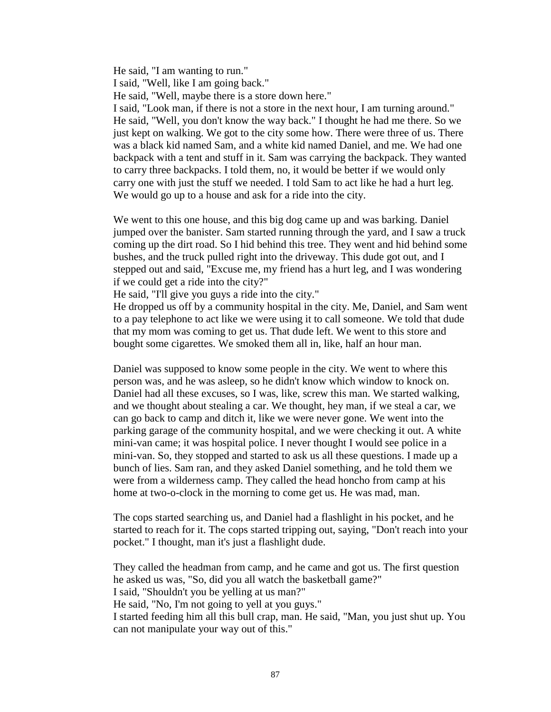He said, "I am wanting to run." I said, "Well, like I am going back." He said, "Well, maybe there is a store down here." I said, "Look man, if there is not a store in the next hour, I am turning around." He said, "Well, you don't know the way back." I thought he had me there. So we just kept on walking. We got to the city some how. There were three of us. There was a black kid named Sam, and a white kid named Daniel, and me. We had one backpack with a tent and stuff in it. Sam was carrying the backpack. They wanted to carry three backpacks. I told them, no, it would be better if we would only carry one with just the stuff we needed. I told Sam to act like he had a hurt leg. We would go up to a house and ask for a ride into the city.

We went to this one house, and this big dog came up and was barking. Daniel jumped over the banister. Sam started running through the yard, and I saw a truck coming up the dirt road. So I hid behind this tree. They went and hid behind some bushes, and the truck pulled right into the driveway. This dude got out, and I stepped out and said, "Excuse me, my friend has a hurt leg, and I was wondering if we could get a ride into the city?"

He said, "I'll give you guys a ride into the city."

He dropped us off by a community hospital in the city. Me, Daniel, and Sam went to a pay telephone to act like we were using it to call someone. We told that dude that my mom was coming to get us. That dude left. We went to this store and bought some cigarettes. We smoked them all in, like, half an hour man.

Daniel was supposed to know some people in the city. We went to where this person was, and he was asleep, so he didn't know which window to knock on. Daniel had all these excuses, so I was, like, screw this man. We started walking, and we thought about stealing a car. We thought, hey man, if we steal a car, we can go back to camp and ditch it, like we were never gone. We went into the parking garage of the community hospital, and we were checking it out. A white mini-van came; it was hospital police. I never thought I would see police in a mini-van. So, they stopped and started to ask us all these questions. I made up a bunch of lies. Sam ran, and they asked Daniel something, and he told them we were from a wilderness camp. They called the head honcho from camp at his home at two-o-clock in the morning to come get us. He was mad, man.

The cops started searching us, and Daniel had a flashlight in his pocket, and he started to reach for it. The cops started tripping out, saying, "Don't reach into your pocket." I thought, man it's just a flashlight dude.

They called the headman from camp, and he came and got us. The first question he asked us was, "So, did you all watch the basketball game?" I said, "Shouldn't you be yelling at us man?" He said, "No, I'm not going to yell at you guys." I started feeding him all this bull crap, man. He said, "Man, you just shut up. You can not manipulate your way out of this."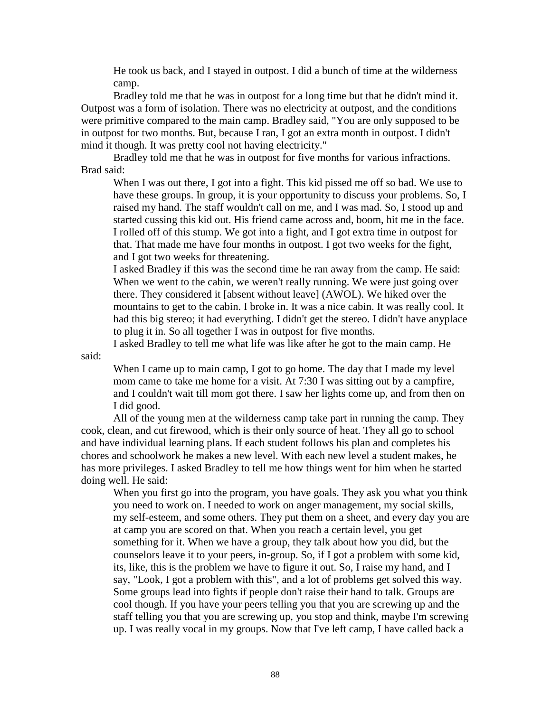He took us back, and I stayed in outpost. I did a bunch of time at the wilderness camp.

Bradley told me that he was in outpost for a long time but that he didn't mind it. Outpost was a form of isolation. There was no electricity at outpost, and the conditions were primitive compared to the main camp. Bradley said, "You are only supposed to be in outpost for two months. But, because I ran, I got an extra month in outpost. I didn't mind it though. It was pretty cool not having electricity."

Bradley told me that he was in outpost for five months for various infractions. Brad said:

When I was out there, I got into a fight. This kid pissed me off so bad. We use to have these groups. In group, it is your opportunity to discuss your problems. So, I raised my hand. The staff wouldn't call on me, and I was mad. So, I stood up and started cussing this kid out. His friend came across and, boom, hit me in the face. I rolled off of this stump. We got into a fight, and I got extra time in outpost for that. That made me have four months in outpost. I got two weeks for the fight, and I got two weeks for threatening.

I asked Bradley if this was the second time he ran away from the camp. He said: When we went to the cabin, we weren't really running. We were just going over there. They considered it [absent without leave] (AWOL). We hiked over the mountains to get to the cabin. I broke in. It was a nice cabin. It was really cool. It had this big stereo; it had everything. I didn't get the stereo. I didn't have anyplace to plug it in. So all together I was in outpost for five months.

I asked Bradley to tell me what life was like after he got to the main camp. He

said:

When I came up to main camp, I got to go home. The day that I made my level mom came to take me home for a visit. At 7:30 I was sitting out by a campfire, and I couldn't wait till mom got there. I saw her lights come up, and from then on I did good.

All of the young men at the wilderness camp take part in running the camp. They cook, clean, and cut firewood, which is their only source of heat. They all go to school and have individual learning plans. If each student follows his plan and completes his chores and schoolwork he makes a new level. With each new level a student makes, he has more privileges. I asked Bradley to tell me how things went for him when he started doing well. He said:

When you first go into the program, you have goals. They ask you what you think you need to work on. I needed to work on anger management, my social skills, my self-esteem, and some others. They put them on a sheet, and every day you are at camp you are scored on that. When you reach a certain level, you get something for it. When we have a group, they talk about how you did, but the counselors leave it to your peers, in-group. So, if I got a problem with some kid, its, like, this is the problem we have to figure it out. So, I raise my hand, and I say, "Look, I got a problem with this", and a lot of problems get solved this way. Some groups lead into fights if people don't raise their hand to talk. Groups are cool though. If you have your peers telling you that you are screwing up and the staff telling you that you are screwing up, you stop and think, maybe I'm screwing up. I was really vocal in my groups. Now that I've left camp, I have called back a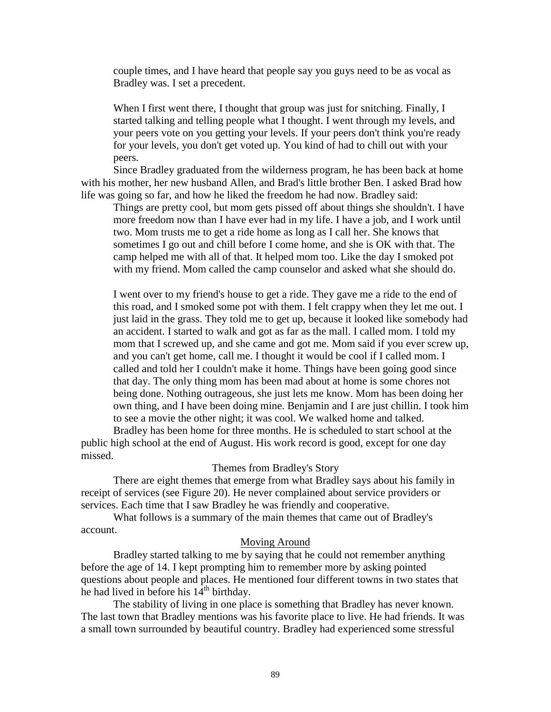couple times, and I have heard that people say you guys need to be as vocal as Bradley was. I set a precedent.

When I first went there, I thought that group was just for snitching. Finally, I started talking and telling people what I thought. I went through my levels, and your peers vote on you getting your levels. If your peers don't think you're ready for your levels, you don't get voted up. You kind of had to chill out with your peers.

Since Bradley graduated from the wilderness program, he has been back at home with his mother, her new husband Allen, and Brad's little brother Ben. I asked Brad how life was going so far, and how he liked the freedom he had now. Bradley said:

Things are pretty cool, but mom gets pissed off about things she shouldn't. I have more freedom now than I have ever had in my life. I have a job, and I work until two. Mom trusts me to get a ride home as long as I call her. She knows that sometimes I go out and chill before I come home, and she is OK with that. The camp helped me with all of that. It helped mom too. Like the day I smoked pot with my friend. Mom called the camp counselor and asked what she should do.

I went over to my friend's house to get a ride. They gave me a ride to the end of this road, and I smoked some pot with them. I felt crappy when they let me out. I just laid in the grass. They told me to get up, because it looked like somebody had an accident. I started to walk and got as far as the mall. I called mom. I told my mom that I screwed up, and she came and got me. Mom said if you ever screw up, and you can't get home, call me. I thought it would be cool if I called mom. I called and told her I couldn't make it home. Things have been going good since that day. The only thing mom has been mad about at home is some chores not being done. Nothing outrageous, she just lets me know. Mom has been doing her own thing, and I have been doing mine. Benjamin and I are just chillin. I took him to see a movie the other night; it was cool. We walked home and talked.

Bradley has been home for three months. He is scheduled to start school at the public high school at the end of August. His work record is good, except for one day missed.

#### Themes from Bradley's Story

There are eight themes that emerge from what Bradley says about his family in receipt of services (see Figure 20). He never complained about service providers or services. Each time that I saw Bradley he was friendly and cooperative.

What follows is a summary of the main themes that came out of Bradley's account.

## Moving Around

Bradley started talking to me by saying that he could not remember anything before the age of 14. I kept prompting him to remember more by asking pointed questions about people and places. He mentioned four different towns in two states that he had lived in before his  $14<sup>th</sup>$  birthday.

The stability of living in one place is something that Bradley has never known. The last town that Bradley mentions was his favorite place to live. He had friends. It was a small town surrounded by beautiful country. Bradley had experienced some stressful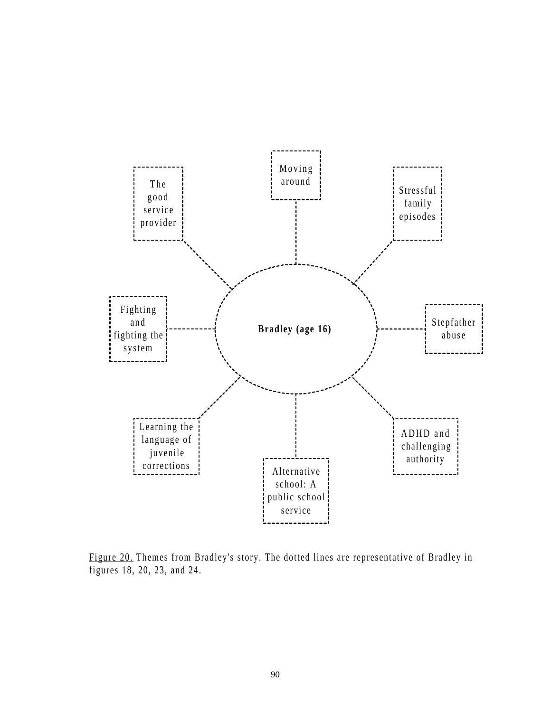

Figure 20. Themes from Bradley's story. The dotted lines are representative of Bradley in figures 18, 20, 23, and 24.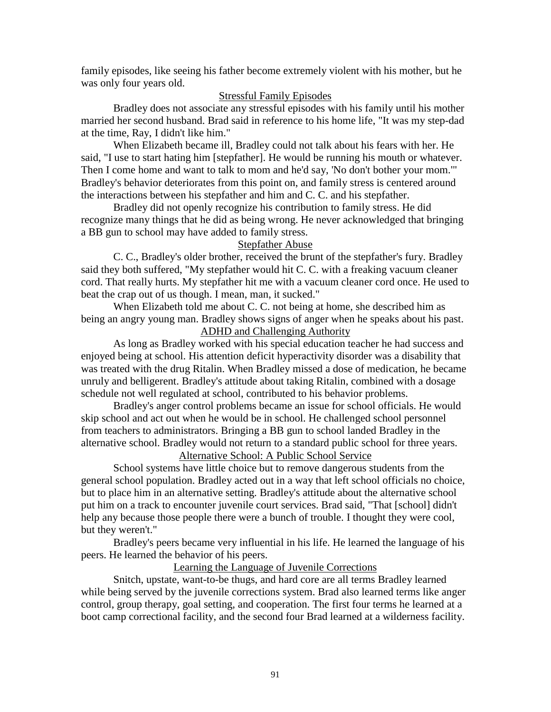family episodes, like seeing his father become extremely violent with his mother, but he was only four years old.

# Stressful Family Episodes

Bradley does not associate any stressful episodes with his family until his mother married her second husband. Brad said in reference to his home life, "It was my step-dad at the time, Ray, I didn't like him."

When Elizabeth became ill, Bradley could not talk about his fears with her. He said, "I use to start hating him [stepfather]. He would be running his mouth or whatever. Then I come home and want to talk to mom and he'd say, 'No don't bother your mom.'" Bradley's behavior deteriorates from this point on, and family stress is centered around the interactions between his stepfather and him and C. C. and his stepfather.

Bradley did not openly recognize his contribution to family stress. He did recognize many things that he did as being wrong. He never acknowledged that bringing a BB gun to school may have added to family stress.

# Stepfather Abuse

C. C., Bradley's older brother, received the brunt of the stepfather's fury. Bradley said they both suffered, "My stepfather would hit C. C. with a freaking vacuum cleaner cord. That really hurts. My stepfather hit me with a vacuum cleaner cord once. He used to beat the crap out of us though. I mean, man, it sucked."

When Elizabeth told me about C. C. not being at home, she described him as being an angry young man. Bradley shows signs of anger when he speaks about his past.

# ADHD and Challenging Authority

As long as Bradley worked with his special education teacher he had success and enjoyed being at school. His attention deficit hyperactivity disorder was a disability that was treated with the drug Ritalin. When Bradley missed a dose of medication, he became unruly and belligerent. Bradley's attitude about taking Ritalin, combined with a dosage schedule not well regulated at school, contributed to his behavior problems.

Bradley's anger control problems became an issue for school officials. He would skip school and act out when he would be in school. He challenged school personnel from teachers to administrators. Bringing a BB gun to school landed Bradley in the alternative school. Bradley would not return to a standard public school for three years. Alternative School: A Public School Service

School systems have little choice but to remove dangerous students from the general school population. Bradley acted out in a way that left school officials no choice, but to place him in an alternative setting. Bradley's attitude about the alternative school put him on a track to encounter juvenile court services. Brad said, "That [school] didn't help any because those people there were a bunch of trouble. I thought they were cool, but they weren't."

Bradley's peers became very influential in his life. He learned the language of his peers. He learned the behavior of his peers.

# Learning the Language of Juvenile Corrections

Snitch, upstate, want-to-be thugs, and hard core are all terms Bradley learned while being served by the juvenile corrections system. Brad also learned terms like anger control, group therapy, goal setting, and cooperation. The first four terms he learned at a boot camp correctional facility, and the second four Brad learned at a wilderness facility.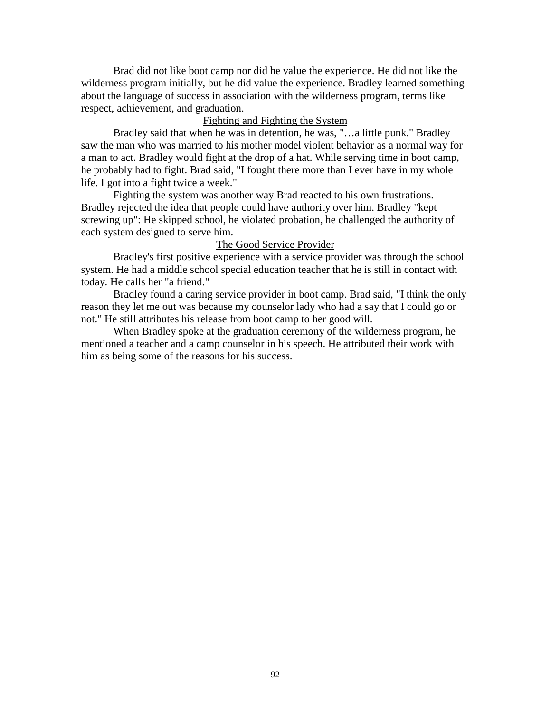Brad did not like boot camp nor did he value the experience. He did not like the wilderness program initially, but he did value the experience. Bradley learned something about the language of success in association with the wilderness program, terms like respect, achievement, and graduation.

# Fighting and Fighting the System

Bradley said that when he was in detention, he was, "…a little punk." Bradley saw the man who was married to his mother model violent behavior as a normal way for a man to act. Bradley would fight at the drop of a hat. While serving time in boot camp, he probably had to fight. Brad said, "I fought there more than I ever have in my whole life. I got into a fight twice a week."

Fighting the system was another way Brad reacted to his own frustrations. Bradley rejected the idea that people could have authority over him. Bradley "kept screwing up": He skipped school, he violated probation, he challenged the authority of each system designed to serve him.

# The Good Service Provider

Bradley's first positive experience with a service provider was through the school system. He had a middle school special education teacher that he is still in contact with today. He calls her "a friend."

Bradley found a caring service provider in boot camp. Brad said, "I think the only reason they let me out was because my counselor lady who had a say that I could go or not." He still attributes his release from boot camp to her good will.

When Bradley spoke at the graduation ceremony of the wilderness program, he mentioned a teacher and a camp counselor in his speech. He attributed their work with him as being some of the reasons for his success.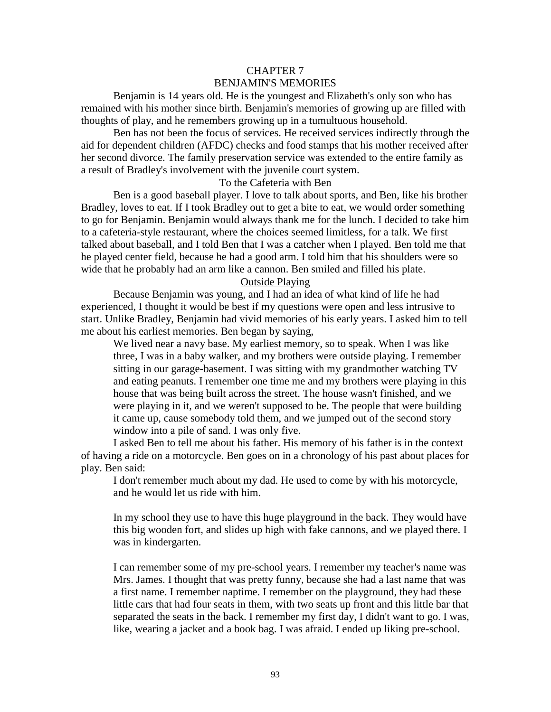# CHAPTER 7 BENJAMIN'S MEMORIES

Benjamin is 14 years old. He is the youngest and Elizabeth's only son who has remained with his mother since birth. Benjamin's memories of growing up are filled with thoughts of play, and he remembers growing up in a tumultuous household.

Ben has not been the focus of services. He received services indirectly through the aid for dependent children (AFDC) checks and food stamps that his mother received after her second divorce. The family preservation service was extended to the entire family as a result of Bradley's involvement with the juvenile court system.

# To the Cafeteria with Ben

Ben is a good baseball player. I love to talk about sports, and Ben, like his brother Bradley, loves to eat. If I took Bradley out to get a bite to eat, we would order something to go for Benjamin. Benjamin would always thank me for the lunch. I decided to take him to a cafeteria-style restaurant, where the choices seemed limitless, for a talk. We first talked about baseball, and I told Ben that I was a catcher when I played. Ben told me that he played center field, because he had a good arm. I told him that his shoulders were so wide that he probably had an arm like a cannon. Ben smiled and filled his plate.

# Outside Playing

Because Benjamin was young, and I had an idea of what kind of life he had experienced, I thought it would be best if my questions were open and less intrusive to start. Unlike Bradley, Benjamin had vivid memories of his early years. I asked him to tell me about his earliest memories. Ben began by saying,

We lived near a navy base. My earliest memory, so to speak. When I was like three, I was in a baby walker, and my brothers were outside playing. I remember sitting in our garage-basement. I was sitting with my grandmother watching TV and eating peanuts. I remember one time me and my brothers were playing in this house that was being built across the street. The house wasn't finished, and we were playing in it, and we weren't supposed to be. The people that were building it came up, cause somebody told them, and we jumped out of the second story window into a pile of sand. I was only five.

I asked Ben to tell me about his father. His memory of his father is in the context of having a ride on a motorcycle. Ben goes on in a chronology of his past about places for play. Ben said:

I don't remember much about my dad. He used to come by with his motorcycle, and he would let us ride with him.

In my school they use to have this huge playground in the back. They would have this big wooden fort, and slides up high with fake cannons, and we played there. I was in kindergarten.

I can remember some of my pre-school years. I remember my teacher's name was Mrs. James. I thought that was pretty funny, because she had a last name that was a first name. I remember naptime. I remember on the playground, they had these little cars that had four seats in them, with two seats up front and this little bar that separated the seats in the back. I remember my first day, I didn't want to go. I was, like, wearing a jacket and a book bag. I was afraid. I ended up liking pre-school.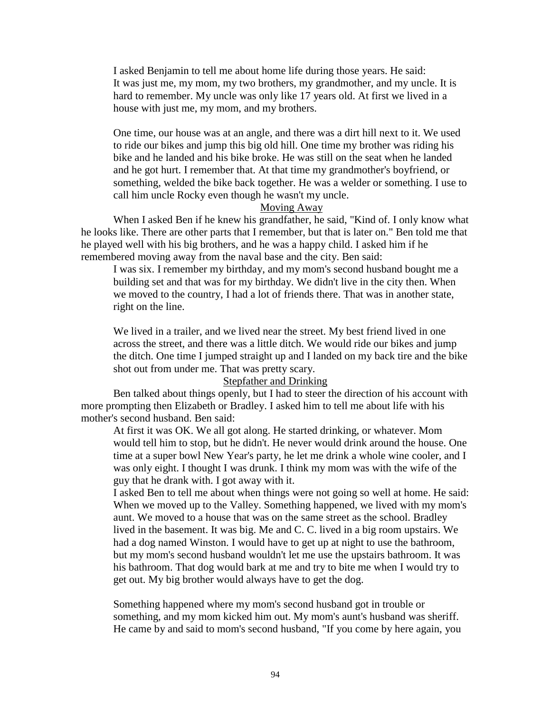I asked Benjamin to tell me about home life during those years. He said: It was just me, my mom, my two brothers, my grandmother, and my uncle. It is hard to remember. My uncle was only like 17 years old. At first we lived in a house with just me, my mom, and my brothers.

One time, our house was at an angle, and there was a dirt hill next to it. We used to ride our bikes and jump this big old hill. One time my brother was riding his bike and he landed and his bike broke. He was still on the seat when he landed and he got hurt. I remember that. At that time my grandmother's boyfriend, or something, welded the bike back together. He was a welder or something. I use to call him uncle Rocky even though he wasn't my uncle.

# Moving Away

When I asked Ben if he knew his grandfather, he said, "Kind of. I only know what he looks like. There are other parts that I remember, but that is later on." Ben told me that he played well with his big brothers, and he was a happy child. I asked him if he remembered moving away from the naval base and the city. Ben said:

I was six. I remember my birthday, and my mom's second husband bought me a building set and that was for my birthday. We didn't live in the city then. When we moved to the country, I had a lot of friends there. That was in another state, right on the line.

We lived in a trailer, and we lived near the street. My best friend lived in one across the street, and there was a little ditch. We would ride our bikes and jump the ditch. One time I jumped straight up and I landed on my back tire and the bike shot out from under me. That was pretty scary.

# Stepfather and Drinking

Ben talked about things openly, but I had to steer the direction of his account with more prompting then Elizabeth or Bradley. I asked him to tell me about life with his mother's second husband. Ben said:

At first it was OK. We all got along. He started drinking, or whatever. Mom would tell him to stop, but he didn't. He never would drink around the house. One time at a super bowl New Year's party, he let me drink a whole wine cooler, and I was only eight. I thought I was drunk. I think my mom was with the wife of the guy that he drank with. I got away with it.

I asked Ben to tell me about when things were not going so well at home. He said: When we moved up to the Valley. Something happened, we lived with my mom's aunt. We moved to a house that was on the same street as the school. Bradley lived in the basement. It was big. Me and C. C. lived in a big room upstairs. We had a dog named Winston. I would have to get up at night to use the bathroom, but my mom's second husband wouldn't let me use the upstairs bathroom. It was his bathroom. That dog would bark at me and try to bite me when I would try to get out. My big brother would always have to get the dog.

Something happened where my mom's second husband got in trouble or something, and my mom kicked him out. My mom's aunt's husband was sheriff. He came by and said to mom's second husband, "If you come by here again, you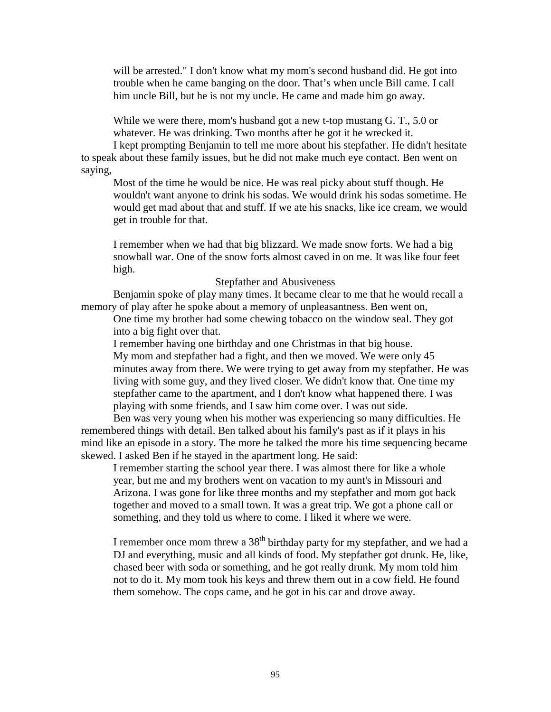will be arrested." I don't know what my mom's second husband did. He got into trouble when he came banging on the door. That's when uncle Bill came. I call him uncle Bill, but he is not my uncle. He came and made him go away.

While we were there, mom's husband got a new t-top mustang G. T., 5.0 or whatever. He was drinking. Two months after he got it he wrecked it.

I kept prompting Benjamin to tell me more about his stepfather. He didn't hesitate to speak about these family issues, but he did not make much eye contact. Ben went on saying,

Most of the time he would be nice. He was real picky about stuff though. He wouldn't want anyone to drink his sodas. We would drink his sodas sometime. He would get mad about that and stuff. If we ate his snacks, like ice cream, we would get in trouble for that.

I remember when we had that big blizzard. We made snow forts. We had a big snowball war. One of the snow forts almost caved in on me. It was like four feet high.

## Stepfather and Abusiveness

Benjamin spoke of play many times. It became clear to me that he would recall a memory of play after he spoke about a memory of unpleasantness. Ben went on,

One time my brother had some chewing tobacco on the window seal. They got into a big fight over that.

I remember having one birthday and one Christmas in that big house.

My mom and stepfather had a fight, and then we moved. We were only 45 minutes away from there. We were trying to get away from my stepfather. He was living with some guy, and they lived closer. We didn't know that. One time my stepfather came to the apartment, and I don't know what happened there. I was playing with some friends, and I saw him come over. I was out side.

Ben was very young when his mother was experiencing so many difficulties. He remembered things with detail. Ben talked about his family's past as if it plays in his mind like an episode in a story. The more he talked the more his time sequencing became skewed. I asked Ben if he stayed in the apartment long. He said:

I remember starting the school year there. I was almost there for like a whole year, but me and my brothers went on vacation to my aunt's in Missouri and Arizona. I was gone for like three months and my stepfather and mom got back together and moved to a small town. It was a great trip. We got a phone call or something, and they told us where to come. I liked it where we were.

I remember once mom threw a 38<sup>th</sup> birthday party for my stepfather, and we had a DJ and everything, music and all kinds of food. My stepfather got drunk. He, like, chased beer with soda or something, and he got really drunk. My mom told him not to do it. My mom took his keys and threw them out in a cow field. He found them somehow. The cops came, and he got in his car and drove away.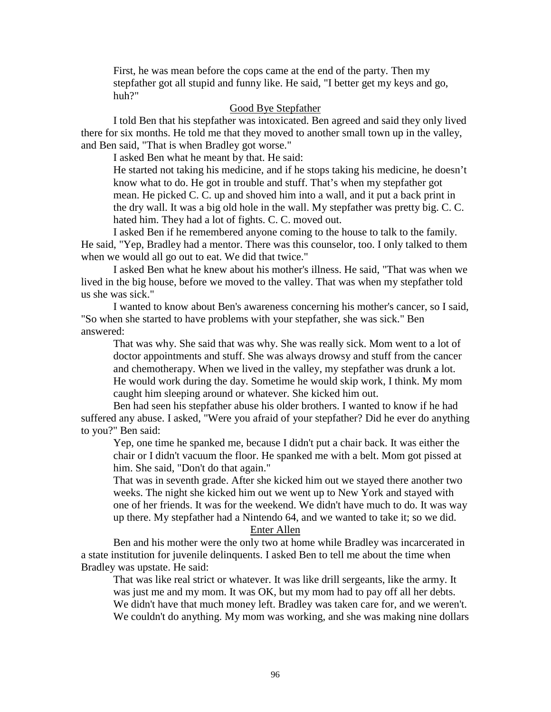First, he was mean before the cops came at the end of the party. Then my stepfather got all stupid and funny like. He said, "I better get my keys and go, huh?"

# Good Bye Stepfather

I told Ben that his stepfather was intoxicated. Ben agreed and said they only lived there for six months. He told me that they moved to another small town up in the valley, and Ben said, "That is when Bradley got worse."

I asked Ben what he meant by that. He said:

He started not taking his medicine, and if he stops taking his medicine, he doesn't know what to do. He got in trouble and stuff. That's when my stepfather got mean. He picked C. C. up and shoved him into a wall, and it put a back print in the dry wall. It was a big old hole in the wall. My stepfather was pretty big. C. C. hated him. They had a lot of fights. C. C. moved out.

I asked Ben if he remembered anyone coming to the house to talk to the family. He said, "Yep, Bradley had a mentor. There was this counselor, too. I only talked to them when we would all go out to eat. We did that twice."

I asked Ben what he knew about his mother's illness. He said, "That was when we lived in the big house, before we moved to the valley. That was when my stepfather told us she was sick."

I wanted to know about Ben's awareness concerning his mother's cancer, so I said, "So when she started to have problems with your stepfather, she was sick." Ben answered:

That was why. She said that was why. She was really sick. Mom went to a lot of doctor appointments and stuff. She was always drowsy and stuff from the cancer and chemotherapy. When we lived in the valley, my stepfather was drunk a lot. He would work during the day. Sometime he would skip work, I think. My mom caught him sleeping around or whatever. She kicked him out.

Ben had seen his stepfather abuse his older brothers. I wanted to know if he had suffered any abuse. I asked, "Were you afraid of your stepfather? Did he ever do anything to you?" Ben said:

Yep, one time he spanked me, because I didn't put a chair back. It was either the chair or I didn't vacuum the floor. He spanked me with a belt. Mom got pissed at him. She said, "Don't do that again."

That was in seventh grade. After she kicked him out we stayed there another two weeks. The night she kicked him out we went up to New York and stayed with one of her friends. It was for the weekend. We didn't have much to do. It was way up there. My stepfather had a Nintendo 64, and we wanted to take it; so we did. Enter Allen

Ben and his mother were the only two at home while Bradley was incarcerated in a state institution for juvenile delinquents. I asked Ben to tell me about the time when Bradley was upstate. He said:

That was like real strict or whatever. It was like drill sergeants, like the army. It was just me and my mom. It was OK, but my mom had to pay off all her debts. We didn't have that much money left. Bradley was taken care for, and we weren't. We couldn't do anything. My mom was working, and she was making nine dollars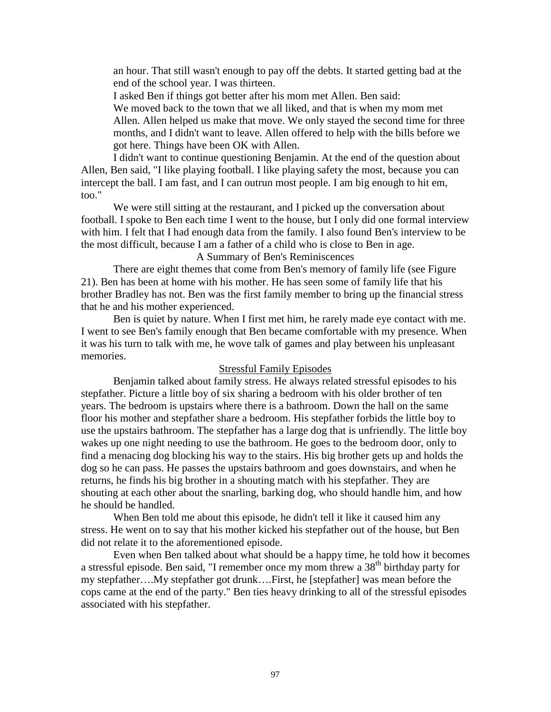an hour. That still wasn't enough to pay off the debts. It started getting bad at the end of the school year. I was thirteen.

I asked Ben if things got better after his mom met Allen. Ben said:

We moved back to the town that we all liked, and that is when my mom met Allen. Allen helped us make that move. We only stayed the second time for three months, and I didn't want to leave. Allen offered to help with the bills before we got here. Things have been OK with Allen.

I didn't want to continue questioning Benjamin. At the end of the question about Allen, Ben said, "I like playing football. I like playing safety the most, because you can intercept the ball. I am fast, and I can outrun most people. I am big enough to hit em, too."

We were still sitting at the restaurant, and I picked up the conversation about football. I spoke to Ben each time I went to the house, but I only did one formal interview with him. I felt that I had enough data from the family. I also found Ben's interview to be the most difficult, because I am a father of a child who is close to Ben in age.

A Summary of Ben's Reminiscences

There are eight themes that come from Ben's memory of family life (see Figure 21). Ben has been at home with his mother. He has seen some of family life that his brother Bradley has not. Ben was the first family member to bring up the financial stress that he and his mother experienced.

Ben is quiet by nature. When I first met him, he rarely made eye contact with me. I went to see Ben's family enough that Ben became comfortable with my presence. When it was his turn to talk with me, he wove talk of games and play between his unpleasant memories.

## Stressful Family Episodes

Benjamin talked about family stress. He always related stressful episodes to his stepfather. Picture a little boy of six sharing a bedroom with his older brother of ten years. The bedroom is upstairs where there is a bathroom. Down the hall on the same floor his mother and stepfather share a bedroom. His stepfather forbids the little boy to use the upstairs bathroom. The stepfather has a large dog that is unfriendly. The little boy wakes up one night needing to use the bathroom. He goes to the bedroom door, only to find a menacing dog blocking his way to the stairs. His big brother gets up and holds the dog so he can pass. He passes the upstairs bathroom and goes downstairs, and when he returns, he finds his big brother in a shouting match with his stepfather. They are shouting at each other about the snarling, barking dog, who should handle him, and how he should be handled.

When Ben told me about this episode, he didn't tell it like it caused him any stress. He went on to say that his mother kicked his stepfather out of the house, but Ben did not relate it to the aforementioned episode.

Even when Ben talked about what should be a happy time, he told how it becomes a stressful episode. Ben said, "I remember once my mom threw a  $38<sup>th</sup>$  birthday party for my stepfather….My stepfather got drunk….First, he [stepfather] was mean before the cops came at the end of the party." Ben ties heavy drinking to all of the stressful episodes associated with his stepfather.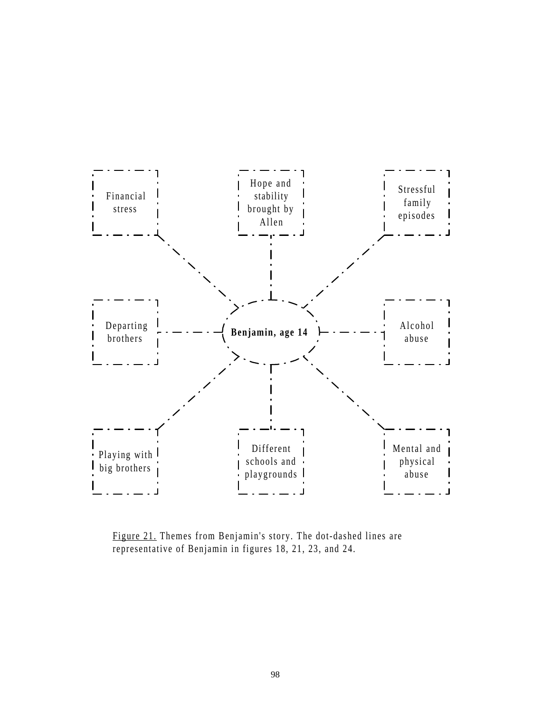

Figure 21. Themes from Benjamin's story. The dot-dashed lines are representative of Benjamin in figures 18, 21, 23, and 24.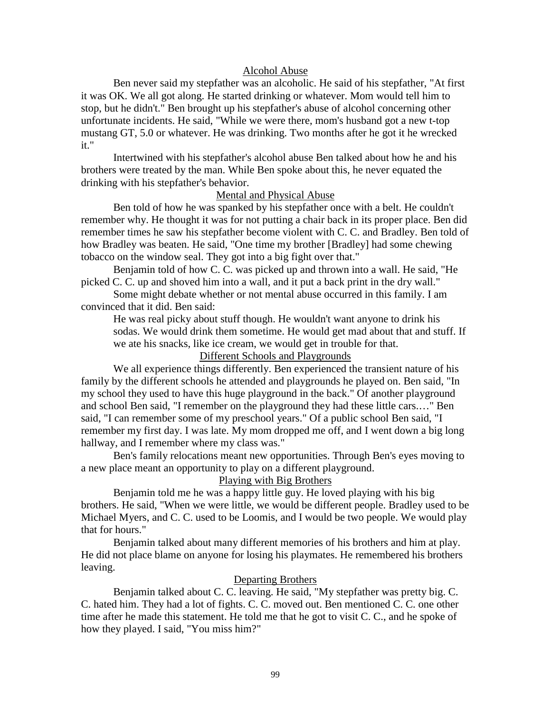## Alcohol Abuse

Ben never said my stepfather was an alcoholic. He said of his stepfather, "At first it was OK. We all got along. He started drinking or whatever. Mom would tell him to stop, but he didn't." Ben brought up his stepfather's abuse of alcohol concerning other unfortunate incidents. He said, "While we were there, mom's husband got a new t-top mustang GT, 5.0 or whatever. He was drinking. Two months after he got it he wrecked it."

Intertwined with his stepfather's alcohol abuse Ben talked about how he and his brothers were treated by the man. While Ben spoke about this, he never equated the drinking with his stepfather's behavior.

# Mental and Physical Abuse

Ben told of how he was spanked by his stepfather once with a belt. He couldn't remember why. He thought it was for not putting a chair back in its proper place. Ben did remember times he saw his stepfather become violent with C. C. and Bradley. Ben told of how Bradley was beaten. He said, "One time my brother [Bradley] had some chewing tobacco on the window seal. They got into a big fight over that."

Benjamin told of how C. C. was picked up and thrown into a wall. He said, "He picked C. C. up and shoved him into a wall, and it put a back print in the dry wall."

Some might debate whether or not mental abuse occurred in this family. I am convinced that it did. Ben said:

He was real picky about stuff though. He wouldn't want anyone to drink his sodas. We would drink them sometime. He would get mad about that and stuff. If we ate his snacks, like ice cream, we would get in trouble for that.

# Different Schools and Playgrounds

We all experience things differently. Ben experienced the transient nature of his family by the different schools he attended and playgrounds he played on. Ben said, "In my school they used to have this huge playground in the back." Of another playground and school Ben said, "I remember on the playground they had these little cars.…" Ben said, "I can remember some of my preschool years." Of a public school Ben said, "I remember my first day. I was late. My mom dropped me off, and I went down a big long hallway, and I remember where my class was."

Ben's family relocations meant new opportunities. Through Ben's eyes moving to a new place meant an opportunity to play on a different playground.

# Playing with Big Brothers

Benjamin told me he was a happy little guy. He loved playing with his big brothers. He said, "When we were little, we would be different people. Bradley used to be Michael Myers, and C. C. used to be Loomis, and I would be two people. We would play that for hours."

Benjamin talked about many different memories of his brothers and him at play. He did not place blame on anyone for losing his playmates. He remembered his brothers leaving.

# Departing Brothers

Benjamin talked about C. C. leaving. He said, "My stepfather was pretty big. C. C. hated him. They had a lot of fights. C. C. moved out. Ben mentioned C. C. one other time after he made this statement. He told me that he got to visit C. C., and he spoke of how they played. I said, "You miss him?"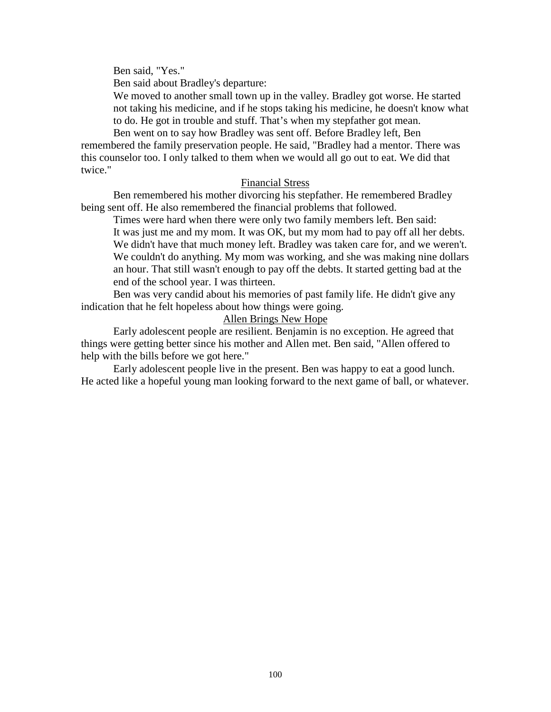Ben said, "Yes."

Ben said about Bradley's departure:

We moved to another small town up in the valley. Bradley got worse. He started not taking his medicine, and if he stops taking his medicine, he doesn't know what to do. He got in trouble and stuff. That's when my stepfather got mean.

Ben went on to say how Bradley was sent off. Before Bradley left, Ben remembered the family preservation people. He said, "Bradley had a mentor. There was this counselor too. I only talked to them when we would all go out to eat. We did that twice."

# Financial Stress

Ben remembered his mother divorcing his stepfather. He remembered Bradley being sent off. He also remembered the financial problems that followed.

Times were hard when there were only two family members left. Ben said: It was just me and my mom. It was OK, but my mom had to pay off all her debts. We didn't have that much money left. Bradley was taken care for, and we weren't. We couldn't do anything. My mom was working, and she was making nine dollars an hour. That still wasn't enough to pay off the debts. It started getting bad at the end of the school year. I was thirteen.

Ben was very candid about his memories of past family life. He didn't give any indication that he felt hopeless about how things were going.

# Allen Brings New Hope

Early adolescent people are resilient. Benjamin is no exception. He agreed that things were getting better since his mother and Allen met. Ben said, "Allen offered to help with the bills before we got here."

Early adolescent people live in the present. Ben was happy to eat a good lunch. He acted like a hopeful young man looking forward to the next game of ball, or whatever.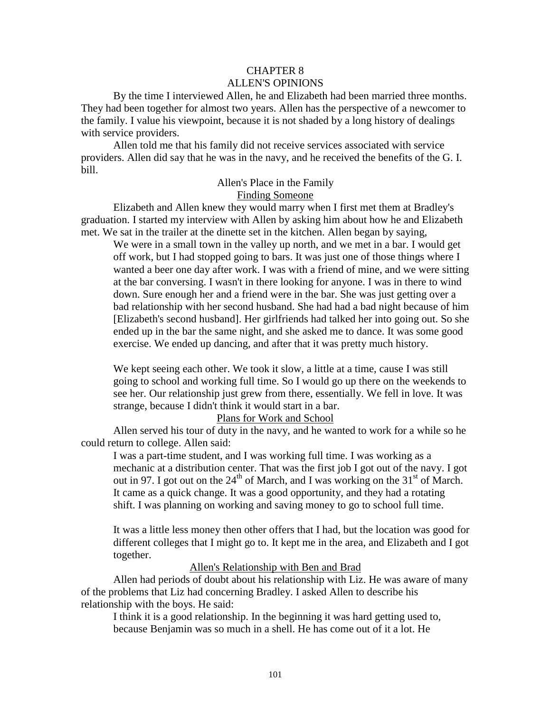# CHAPTER 8

### ALLEN'S OPINIONS

By the time I interviewed Allen, he and Elizabeth had been married three months. They had been together for almost two years. Allen has the perspective of a newcomer to the family. I value his viewpoint, because it is not shaded by a long history of dealings with service providers.

Allen told me that his family did not receive services associated with service providers. Allen did say that he was in the navy, and he received the benefits of the G. I. bill.

#### Allen's Place in the Family Finding Someone

Elizabeth and Allen knew they would marry when I first met them at Bradley's graduation. I started my interview with Allen by asking him about how he and Elizabeth met. We sat in the trailer at the dinette set in the kitchen. Allen began by saying,

We were in a small town in the valley up north, and we met in a bar. I would get off work, but I had stopped going to bars. It was just one of those things where I wanted a beer one day after work. I was with a friend of mine, and we were sitting at the bar conversing. I wasn't in there looking for anyone. I was in there to wind down. Sure enough her and a friend were in the bar. She was just getting over a bad relationship with her second husband. She had had a bad night because of him [Elizabeth's second husband]. Her girlfriends had talked her into going out. So she ended up in the bar the same night, and she asked me to dance. It was some good exercise. We ended up dancing, and after that it was pretty much history.

We kept seeing each other. We took it slow, a little at a time, cause I was still going to school and working full time. So I would go up there on the weekends to see her. Our relationship just grew from there, essentially. We fell in love. It was strange, because I didn't think it would start in a bar.

#### Plans for Work and School

Allen served his tour of duty in the navy, and he wanted to work for a while so he could return to college. Allen said:

I was a part-time student, and I was working full time. I was working as a mechanic at a distribution center. That was the first job I got out of the navy. I got out in 97. I got out on the  $24<sup>th</sup>$  of March, and I was working on the  $31<sup>st</sup>$  of March. It came as a quick change. It was a good opportunity, and they had a rotating shift. I was planning on working and saving money to go to school full time.

It was a little less money then other offers that I had, but the location was good for different colleges that I might go to. It kept me in the area, and Elizabeth and I got together.

Allen's Relationship with Ben and Brad

Allen had periods of doubt about his relationship with Liz. He was aware of many of the problems that Liz had concerning Bradley. I asked Allen to describe his relationship with the boys. He said:

I think it is a good relationship. In the beginning it was hard getting used to, because Benjamin was so much in a shell. He has come out of it a lot. He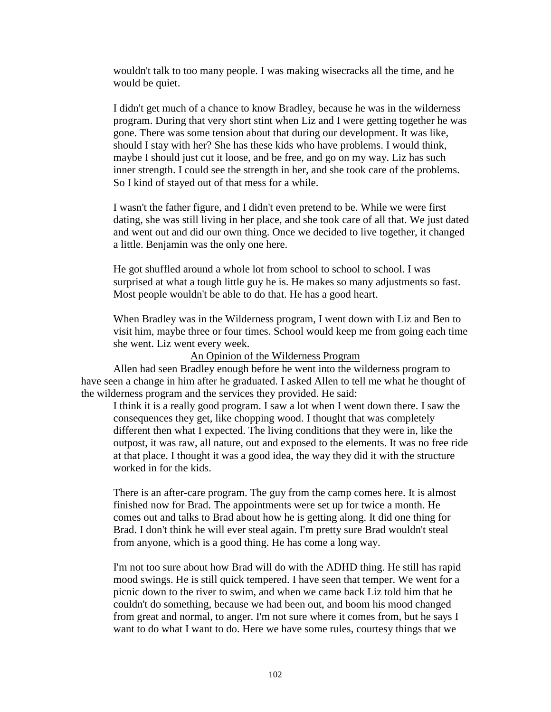wouldn't talk to too many people. I was making wisecracks all the time, and he would be quiet.

I didn't get much of a chance to know Bradley, because he was in the wilderness program. During that very short stint when Liz and I were getting together he was gone. There was some tension about that during our development. It was like, should I stay with her? She has these kids who have problems. I would think, maybe I should just cut it loose, and be free, and go on my way. Liz has such inner strength. I could see the strength in her, and she took care of the problems. So I kind of stayed out of that mess for a while.

I wasn't the father figure, and I didn't even pretend to be. While we were first dating, she was still living in her place, and she took care of all that. We just dated and went out and did our own thing. Once we decided to live together, it changed a little. Benjamin was the only one here.

He got shuffled around a whole lot from school to school to school. I was surprised at what a tough little guy he is. He makes so many adjustments so fast. Most people wouldn't be able to do that. He has a good heart.

When Bradley was in the Wilderness program, I went down with Liz and Ben to visit him, maybe three or four times. School would keep me from going each time she went. Liz went every week.

An Opinion of the Wilderness Program

Allen had seen Bradley enough before he went into the wilderness program to have seen a change in him after he graduated. I asked Allen to tell me what he thought of the wilderness program and the services they provided. He said:

I think it is a really good program. I saw a lot when I went down there. I saw the consequences they get, like chopping wood. I thought that was completely different then what I expected. The living conditions that they were in, like the outpost, it was raw, all nature, out and exposed to the elements. It was no free ride at that place. I thought it was a good idea, the way they did it with the structure worked in for the kids.

There is an after-care program. The guy from the camp comes here. It is almost finished now for Brad. The appointments were set up for twice a month. He comes out and talks to Brad about how he is getting along. It did one thing for Brad. I don't think he will ever steal again. I'm pretty sure Brad wouldn't steal from anyone, which is a good thing. He has come a long way.

I'm not too sure about how Brad will do with the ADHD thing. He still has rapid mood swings. He is still quick tempered. I have seen that temper. We went for a picnic down to the river to swim, and when we came back Liz told him that he couldn't do something, because we had been out, and boom his mood changed from great and normal, to anger. I'm not sure where it comes from, but he says I want to do what I want to do. Here we have some rules, courtesy things that we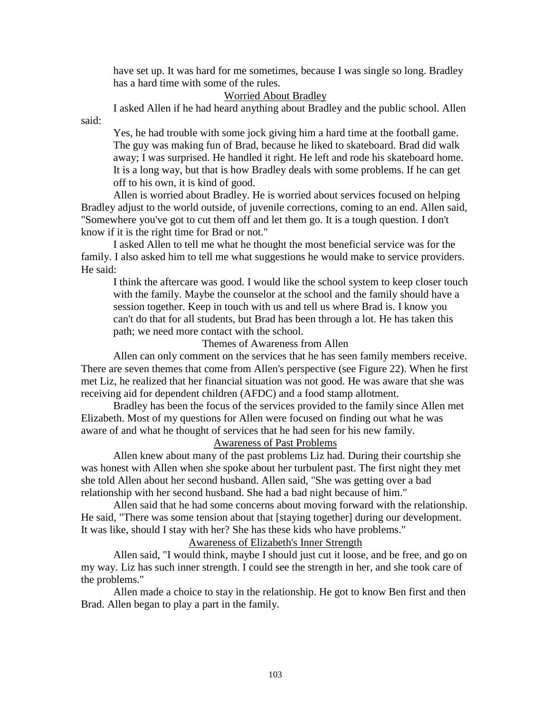have set up. It was hard for me sometimes, because I was single so long. Bradley has a hard time with some of the rules.

#### Worried About Bradley

I asked Allen if he had heard anything about Bradley and the public school. Allen

said:

Yes, he had trouble with some jock giving him a hard time at the football game. The guy was making fun of Brad, because he liked to skateboard. Brad did walk away; I was surprised. He handled it right. He left and rode his skateboard home. It is a long way, but that is how Bradley deals with some problems. If he can get off to his own, it is kind of good.

Allen is worried about Bradley. He is worried about services focused on helping Bradley adjust to the world outside, of juvenile corrections, coming to an end. Allen said, "Somewhere you've got to cut them off and let them go. It is a tough question. I don't know if it is the right time for Brad or not."

I asked Allen to tell me what he thought the most beneficial service was for the family. I also asked him to tell me what suggestions he would make to service providers. He said:

I think the aftercare was good. I would like the school system to keep closer touch with the family. Maybe the counselor at the school and the family should have a session together. Keep in touch with us and tell us where Brad is. I know you can't do that for all students, but Brad has been through a lot. He has taken this path; we need more contact with the school.

#### Themes of Awareness from Allen

Allen can only comment on the services that he has seen family members receive. There are seven themes that come from Allen's perspective (see Figure 22). When he first met Liz, he realized that her financial situation was not good. He was aware that she was receiving aid for dependent children (AFDC) and a food stamp allotment.

Bradley has been the focus of the services provided to the family since Allen met Elizabeth. Most of my questions for Allen were focused on finding out what he was aware of and what he thought of services that he had seen for his new family.

# Awareness of Past Problems

Allen knew about many of the past problems Liz had. During their courtship she was honest with Allen when she spoke about her turbulent past. The first night they met she told Allen about her second husband. Allen said, "She was getting over a bad relationship with her second husband. She had a bad night because of him."

Allen said that he had some concerns about moving forward with the relationship. He said, "There was some tension about that [staying together] during our development. It was like, should I stay with her? She has these kids who have problems."

#### Awareness of Elizabeth's Inner Strength

Allen said, "I would think, maybe I should just cut it loose, and be free, and go on my way. Liz has such inner strength. I could see the strength in her, and she took care of the problems."

Allen made a choice to stay in the relationship. He got to know Ben first and then Brad. Allen began to play a part in the family.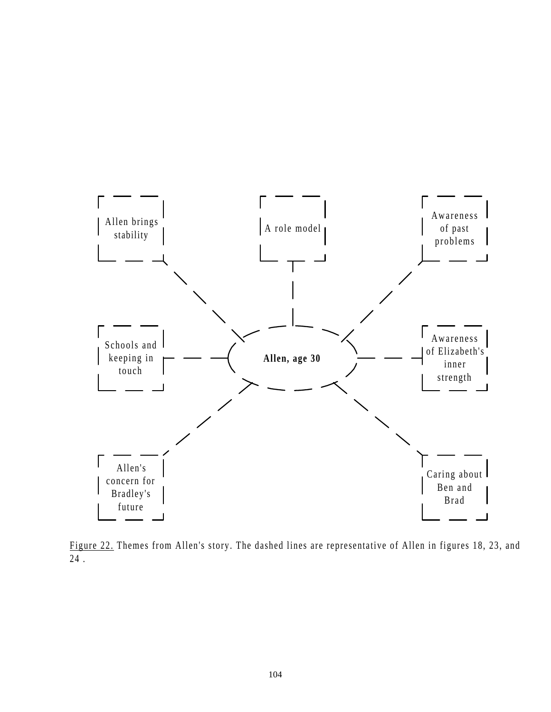

Figure 22. Themes from Allen's story. The dashed lines are representative of Allen in figures 18, 23, and 24 .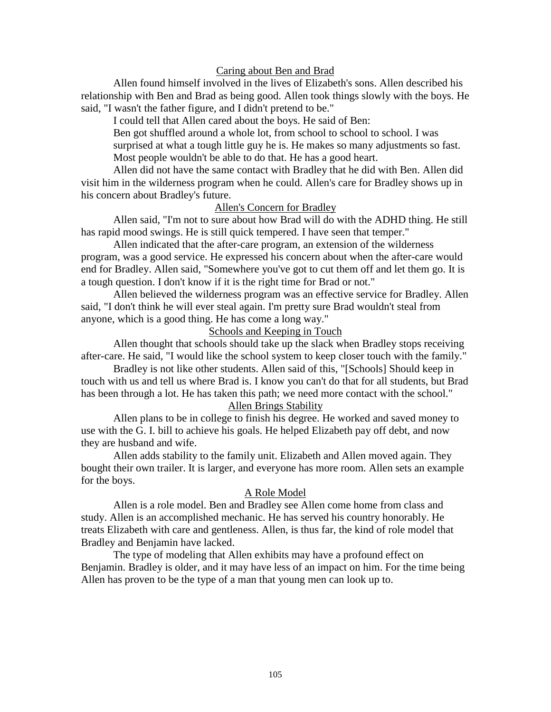### Caring about Ben and Brad

Allen found himself involved in the lives of Elizabeth's sons. Allen described his relationship with Ben and Brad as being good. Allen took things slowly with the boys. He said, "I wasn't the father figure, and I didn't pretend to be."

I could tell that Allen cared about the boys. He said of Ben:

Ben got shuffled around a whole lot, from school to school to school. I was surprised at what a tough little guy he is. He makes so many adjustments so fast. Most people wouldn't be able to do that. He has a good heart.

Allen did not have the same contact with Bradley that he did with Ben. Allen did visit him in the wilderness program when he could. Allen's care for Bradley shows up in his concern about Bradley's future.

### Allen's Concern for Bradley

Allen said, "I'm not to sure about how Brad will do with the ADHD thing. He still has rapid mood swings. He is still quick tempered. I have seen that temper."

Allen indicated that the after-care program, an extension of the wilderness program, was a good service. He expressed his concern about when the after-care would end for Bradley. Allen said, "Somewhere you've got to cut them off and let them go. It is a tough question. I don't know if it is the right time for Brad or not."

Allen believed the wilderness program was an effective service for Bradley. Allen said, "I don't think he will ever steal again. I'm pretty sure Brad wouldn't steal from anyone, which is a good thing. He has come a long way."

### Schools and Keeping in Touch

Allen thought that schools should take up the slack when Bradley stops receiving after-care. He said, "I would like the school system to keep closer touch with the family."

Bradley is not like other students. Allen said of this, "[Schools] Should keep in touch with us and tell us where Brad is. I know you can't do that for all students, but Brad has been through a lot. He has taken this path; we need more contact with the school."

### Allen Brings Stability

Allen plans to be in college to finish his degree. He worked and saved money to use with the G. I. bill to achieve his goals. He helped Elizabeth pay off debt, and now they are husband and wife.

Allen adds stability to the family unit. Elizabeth and Allen moved again. They bought their own trailer. It is larger, and everyone has more room. Allen sets an example for the boys.

#### A Role Model

Allen is a role model. Ben and Bradley see Allen come home from class and study. Allen is an accomplished mechanic. He has served his country honorably. He treats Elizabeth with care and gentleness. Allen, is thus far, the kind of role model that Bradley and Benjamin have lacked.

The type of modeling that Allen exhibits may have a profound effect on Benjamin. Bradley is older, and it may have less of an impact on him. For the time being Allen has proven to be the type of a man that young men can look up to.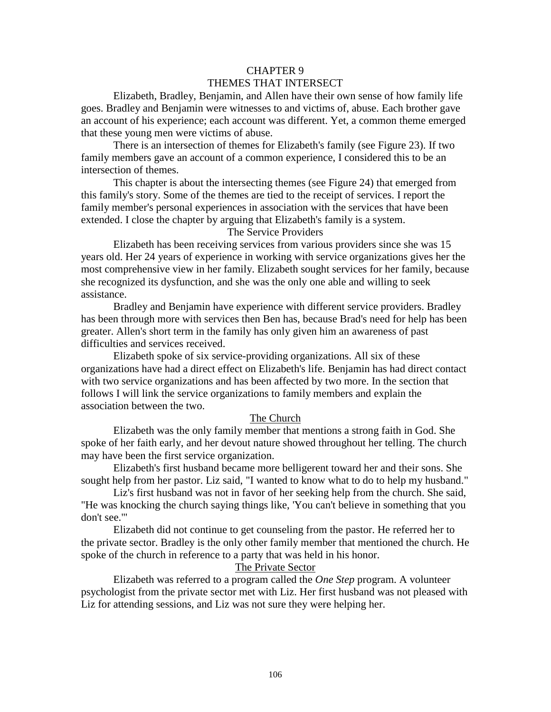# CHAPTER 9 THEMES THAT INTERSECT

Elizabeth, Bradley, Benjamin, and Allen have their own sense of how family life goes. Bradley and Benjamin were witnesses to and victims of, abuse. Each brother gave an account of his experience; each account was different. Yet, a common theme emerged that these young men were victims of abuse.

There is an intersection of themes for Elizabeth's family (see Figure 23). If two family members gave an account of a common experience, I considered this to be an intersection of themes.

This chapter is about the intersecting themes (see Figure 24) that emerged from this family's story. Some of the themes are tied to the receipt of services. I report the family member's personal experiences in association with the services that have been extended. I close the chapter by arguing that Elizabeth's family is a system.

The Service Providers

Elizabeth has been receiving services from various providers since she was 15 years old. Her 24 years of experience in working with service organizations gives her the most comprehensive view in her family. Elizabeth sought services for her family, because she recognized its dysfunction, and she was the only one able and willing to seek assistance.

Bradley and Benjamin have experience with different service providers. Bradley has been through more with services then Ben has, because Brad's need for help has been greater. Allen's short term in the family has only given him an awareness of past difficulties and services received.

Elizabeth spoke of six service-providing organizations. All six of these organizations have had a direct effect on Elizabeth's life. Benjamin has had direct contact with two service organizations and has been affected by two more. In the section that follows I will link the service organizations to family members and explain the association between the two.

### The Church

Elizabeth was the only family member that mentions a strong faith in God. She spoke of her faith early, and her devout nature showed throughout her telling. The church may have been the first service organization.

Elizabeth's first husband became more belligerent toward her and their sons. She sought help from her pastor. Liz said, "I wanted to know what to do to help my husband."

Liz's first husband was not in favor of her seeking help from the church. She said, "He was knocking the church saying things like, 'You can't believe in something that you don't see.'"

Elizabeth did not continue to get counseling from the pastor. He referred her to the private sector. Bradley is the only other family member that mentioned the church. He spoke of the church in reference to a party that was held in his honor.

### The Private Sector

Elizabeth was referred to a program called the *One Step* program. A volunteer psychologist from the private sector met with Liz. Her first husband was not pleased with Liz for attending sessions, and Liz was not sure they were helping her.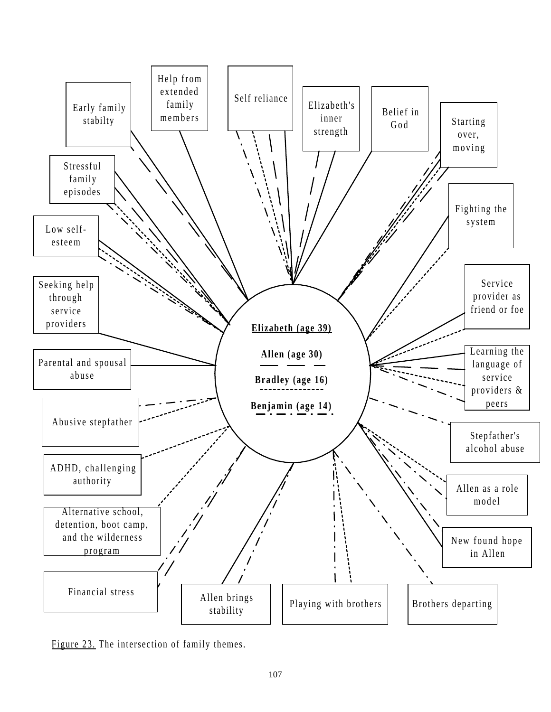

Figure 23. The intersection of family themes.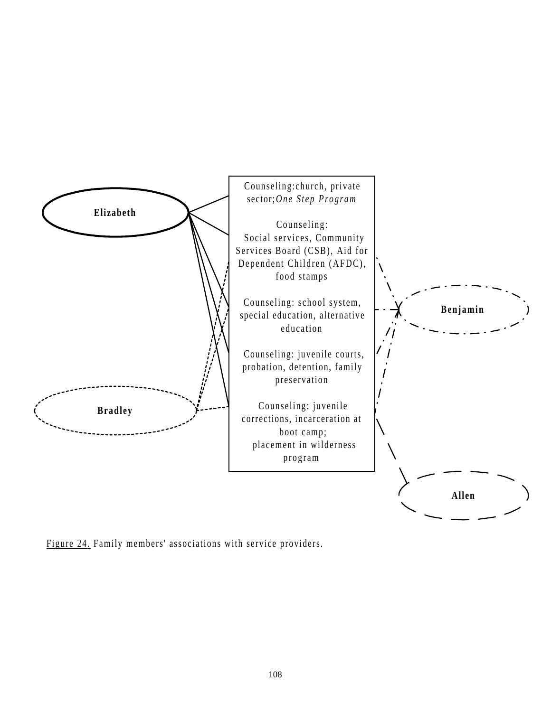

Figure 24. Family members' associations with service providers.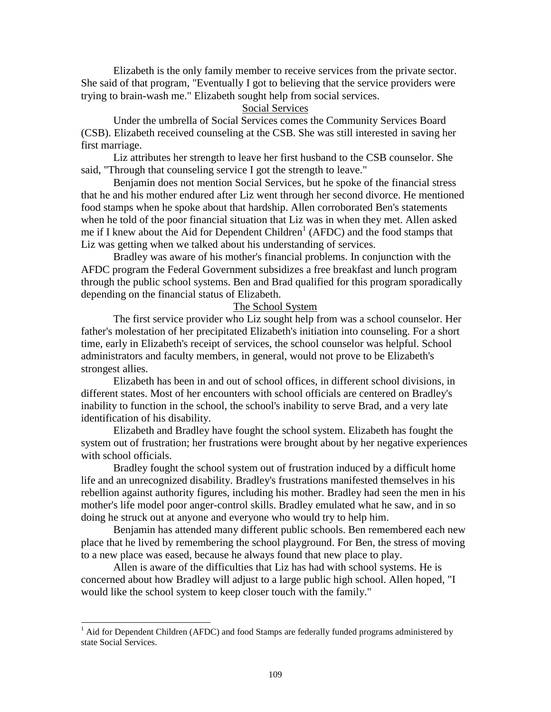Elizabeth is the only family member to receive services from the private sector. She said of that program, "Eventually I got to believing that the service providers were trying to brain-wash me." Elizabeth sought help from social services.

### Social Services

Under the umbrella of Social Services comes the Community Services Board (CSB). Elizabeth received counseling at the CSB. She was still interested in saving her first marriage.

Liz attributes her strength to leave her first husband to the CSB counselor. She said, "Through that counseling service I got the strength to leave."

Benjamin does not mention Social Services, but he spoke of the financial stress that he and his mother endured after Liz went through her second divorce. He mentioned food stamps when he spoke about that hardship. Allen corroborated Ben's statements when he told of the poor financial situation that Liz was in when they met. Allen asked me if I knew about the Aid for Dependent Children<sup>1</sup> (AFDC) and the food stamps that Liz was getting when we talked about his understanding of services.

Bradley was aware of his mother's financial problems. In conjunction with the AFDC program the Federal Government subsidizes a free breakfast and lunch program through the public school systems. Ben and Brad qualified for this program sporadically depending on the financial status of Elizabeth.

### The School System

The first service provider who Liz sought help from was a school counselor. Her father's molestation of her precipitated Elizabeth's initiation into counseling. For a short time, early in Elizabeth's receipt of services, the school counselor was helpful. School administrators and faculty members, in general, would not prove to be Elizabeth's strongest allies.

Elizabeth has been in and out of school offices, in different school divisions, in different states. Most of her encounters with school officials are centered on Bradley's inability to function in the school, the school's inability to serve Brad, and a very late identification of his disability.

Elizabeth and Bradley have fought the school system. Elizabeth has fought the system out of frustration; her frustrations were brought about by her negative experiences with school officials.

Bradley fought the school system out of frustration induced by a difficult home life and an unrecognized disability. Bradley's frustrations manifested themselves in his rebellion against authority figures, including his mother. Bradley had seen the men in his mother's life model poor anger-control skills. Bradley emulated what he saw, and in so doing he struck out at anyone and everyone who would try to help him.

Benjamin has attended many different public schools. Ben remembered each new place that he lived by remembering the school playground. For Ben, the stress of moving to a new place was eased, because he always found that new place to play.

Allen is aware of the difficulties that Liz has had with school systems. He is concerned about how Bradley will adjust to a large public high school. Allen hoped, "I would like the school system to keep closer touch with the family."

<sup>&</sup>lt;sup>1</sup> Aid for Dependent Children (AFDC) and food Stamps are federally funded programs administered by state Social Services.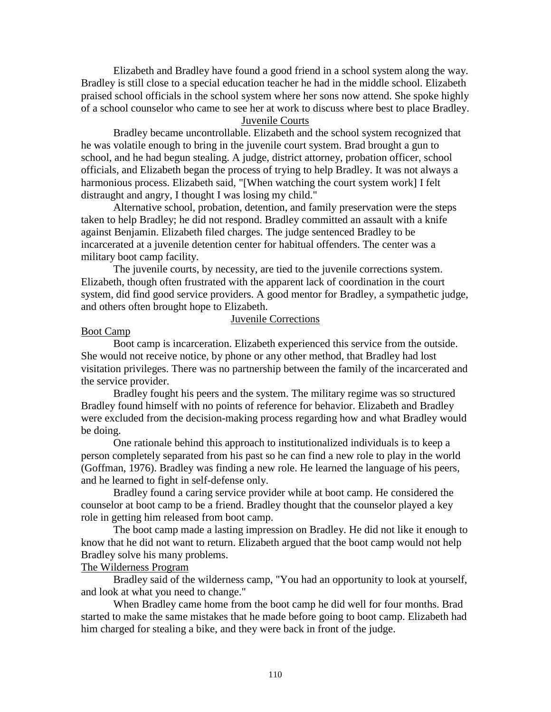Elizabeth and Bradley have found a good friend in a school system along the way. Bradley is still close to a special education teacher he had in the middle school. Elizabeth praised school officials in the school system where her sons now attend. She spoke highly of a school counselor who came to see her at work to discuss where best to place Bradley.

Juvenile Courts

Bradley became uncontrollable. Elizabeth and the school system recognized that he was volatile enough to bring in the juvenile court system. Brad brought a gun to school, and he had begun stealing. A judge, district attorney, probation officer, school officials, and Elizabeth began the process of trying to help Bradley. It was not always a harmonious process. Elizabeth said, "[When watching the court system work] I felt distraught and angry, I thought I was losing my child."

Alternative school, probation, detention, and family preservation were the steps taken to help Bradley; he did not respond. Bradley committed an assault with a knife against Benjamin. Elizabeth filed charges. The judge sentenced Bradley to be incarcerated at a juvenile detention center for habitual offenders. The center was a military boot camp facility.

The juvenile courts, by necessity, are tied to the juvenile corrections system. Elizabeth, though often frustrated with the apparent lack of coordination in the court system, did find good service providers. A good mentor for Bradley, a sympathetic judge, and others often brought hope to Elizabeth.

### Juvenile Corrections

### Boot Camp

Boot camp is incarceration. Elizabeth experienced this service from the outside. She would not receive notice, by phone or any other method, that Bradley had lost visitation privileges. There was no partnership between the family of the incarcerated and the service provider.

Bradley fought his peers and the system. The military regime was so structured Bradley found himself with no points of reference for behavior. Elizabeth and Bradley were excluded from the decision-making process regarding how and what Bradley would be doing.

One rationale behind this approach to institutionalized individuals is to keep a person completely separated from his past so he can find a new role to play in the world (Goffman, 1976). Bradley was finding a new role. He learned the language of his peers, and he learned to fight in self-defense only.

Bradley found a caring service provider while at boot camp. He considered the counselor at boot camp to be a friend. Bradley thought that the counselor played a key role in getting him released from boot camp.

The boot camp made a lasting impression on Bradley. He did not like it enough to know that he did not want to return. Elizabeth argued that the boot camp would not help Bradley solve his many problems.

#### The Wilderness Program

Bradley said of the wilderness camp, "You had an opportunity to look at yourself, and look at what you need to change."

When Bradley came home from the boot camp he did well for four months. Brad started to make the same mistakes that he made before going to boot camp. Elizabeth had him charged for stealing a bike, and they were back in front of the judge.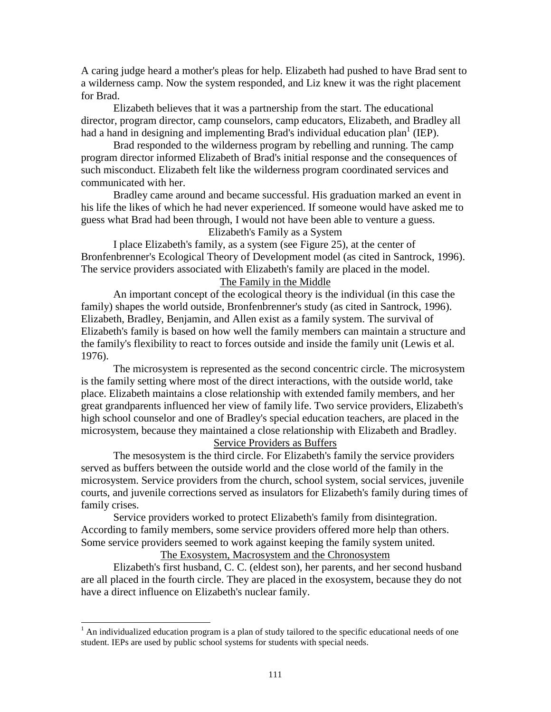A caring judge heard a mother's pleas for help. Elizabeth had pushed to have Brad sent to a wilderness camp. Now the system responded, and Liz knew it was the right placement for Brad.

Elizabeth believes that it was a partnership from the start. The educational director, program director, camp counselors, camp educators, Elizabeth, and Bradley all had a hand in designing and implementing Brad's individual education plan<sup>1</sup> (IEP).

Brad responded to the wilderness program by rebelling and running. The camp program director informed Elizabeth of Brad's initial response and the consequences of such misconduct. Elizabeth felt like the wilderness program coordinated services and communicated with her.

Bradley came around and became successful. His graduation marked an event in his life the likes of which he had never experienced. If someone would have asked me to guess what Brad had been through, I would not have been able to venture a guess.

Elizabeth's Family as a System

I place Elizabeth's family, as a system (see Figure 25), at the center of Bronfenbrenner's Ecological Theory of Development model (as cited in Santrock, 1996). The service providers associated with Elizabeth's family are placed in the model.

The Family in the Middle

An important concept of the ecological theory is the individual (in this case the family) shapes the world outside, Bronfenbrenner's study (as cited in Santrock, 1996). Elizabeth, Bradley, Benjamin, and Allen exist as a family system. The survival of Elizabeth's family is based on how well the family members can maintain a structure and the family's flexibility to react to forces outside and inside the family unit (Lewis et al. 1976).

The microsystem is represented as the second concentric circle. The microsystem is the family setting where most of the direct interactions, with the outside world, take place. Elizabeth maintains a close relationship with extended family members, and her great grandparents influenced her view of family life. Two service providers, Elizabeth's high school counselor and one of Bradley's special education teachers, are placed in the microsystem, because they maintained a close relationship with Elizabeth and Bradley.

Service Providers as Buffers

The mesosystem is the third circle. For Elizabeth's family the service providers served as buffers between the outside world and the close world of the family in the microsystem. Service providers from the church, school system, social services, juvenile courts, and juvenile corrections served as insulators for Elizabeth's family during times of family crises.

Service providers worked to protect Elizabeth's family from disintegration. According to family members, some service providers offered more help than others. Some service providers seemed to work against keeping the family system united.

The Exosystem, Macrosystem and the Chronosystem

Elizabeth's first husband, C. C. (eldest son), her parents, and her second husband are all placed in the fourth circle. They are placed in the exosystem, because they do not have a direct influence on Elizabeth's nuclear family.

<sup>&</sup>lt;sup>1</sup> An individualized education program is a plan of study tailored to the specific educational needs of one student. IEPs are used by public school systems for students with special needs.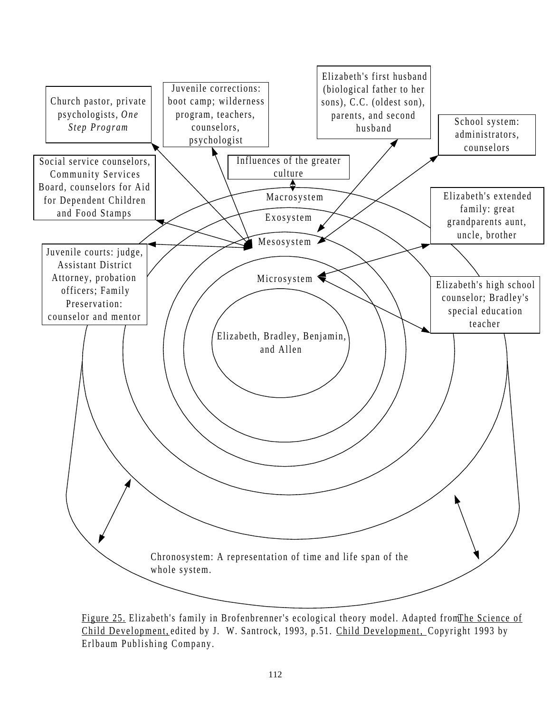

Figure 25. Elizabeth's family in Brofenbrenner's ecological theory model. Adapted from The Science of Child Development, edited by J. W. Santrock, 1993, p.51. Child Development, Copyright 1993 by Erlbaum Publishing Company.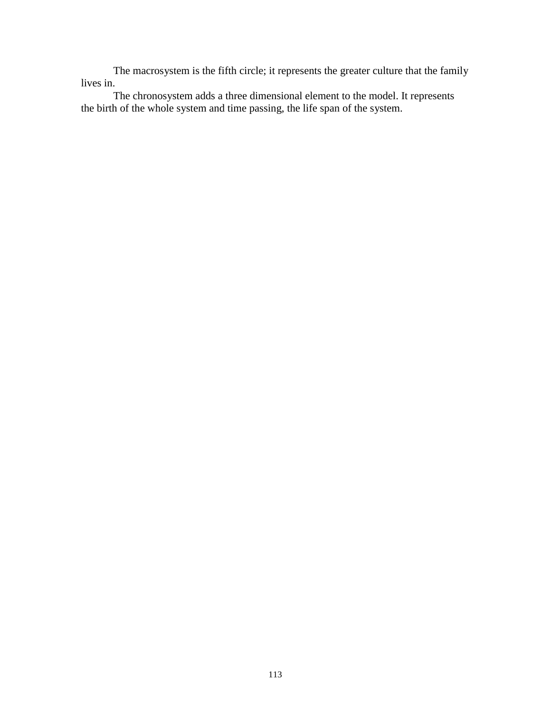The macrosystem is the fifth circle; it represents the greater culture that the family lives in.

The chronosystem adds a three dimensional element to the model. It represents the birth of the whole system and time passing, the life span of the system.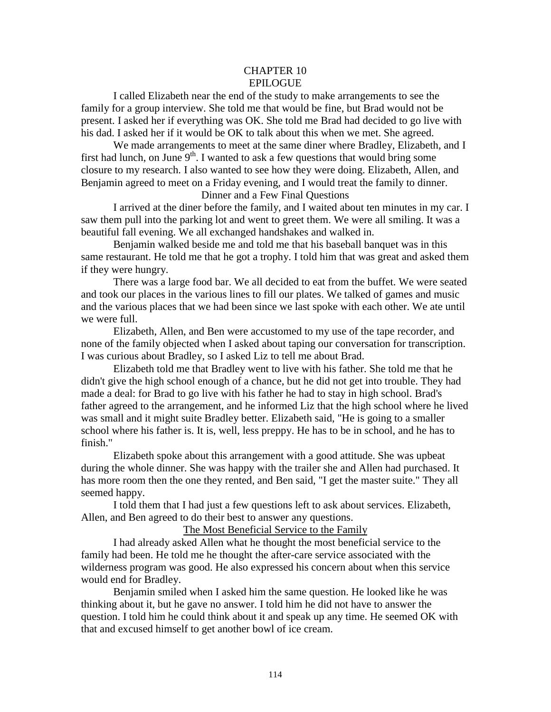### CHAPTER 10 EPILOGUE

I called Elizabeth near the end of the study to make arrangements to see the family for a group interview. She told me that would be fine, but Brad would not be present. I asked her if everything was OK. She told me Brad had decided to go live with his dad. I asked her if it would be OK to talk about this when we met. She agreed.

We made arrangements to meet at the same diner where Bradley, Elizabeth, and I first had lunch, on June  $9<sup>th</sup>$ . I wanted to ask a few questions that would bring some closure to my research. I also wanted to see how they were doing. Elizabeth, Allen, and Benjamin agreed to meet on a Friday evening, and I would treat the family to dinner.

### Dinner and a Few Final Questions

I arrived at the diner before the family, and I waited about ten minutes in my car. I saw them pull into the parking lot and went to greet them. We were all smiling. It was a beautiful fall evening. We all exchanged handshakes and walked in.

Benjamin walked beside me and told me that his baseball banquet was in this same restaurant. He told me that he got a trophy. I told him that was great and asked them if they were hungry.

There was a large food bar. We all decided to eat from the buffet. We were seated and took our places in the various lines to fill our plates. We talked of games and music and the various places that we had been since we last spoke with each other. We ate until we were full.

Elizabeth, Allen, and Ben were accustomed to my use of the tape recorder, and none of the family objected when I asked about taping our conversation for transcription. I was curious about Bradley, so I asked Liz to tell me about Brad.

Elizabeth told me that Bradley went to live with his father. She told me that he didn't give the high school enough of a chance, but he did not get into trouble. They had made a deal: for Brad to go live with his father he had to stay in high school. Brad's father agreed to the arrangement, and he informed Liz that the high school where he lived was small and it might suite Bradley better. Elizabeth said, "He is going to a smaller school where his father is. It is, well, less preppy. He has to be in school, and he has to finish."

Elizabeth spoke about this arrangement with a good attitude. She was upbeat during the whole dinner. She was happy with the trailer she and Allen had purchased. It has more room then the one they rented, and Ben said, "I get the master suite." They all seemed happy.

I told them that I had just a few questions left to ask about services. Elizabeth, Allen, and Ben agreed to do their best to answer any questions.

The Most Beneficial Service to the Family

I had already asked Allen what he thought the most beneficial service to the family had been. He told me he thought the after-care service associated with the wilderness program was good. He also expressed his concern about when this service would end for Bradley.

Benjamin smiled when I asked him the same question. He looked like he was thinking about it, but he gave no answer. I told him he did not have to answer the question. I told him he could think about it and speak up any time. He seemed OK with that and excused himself to get another bowl of ice cream.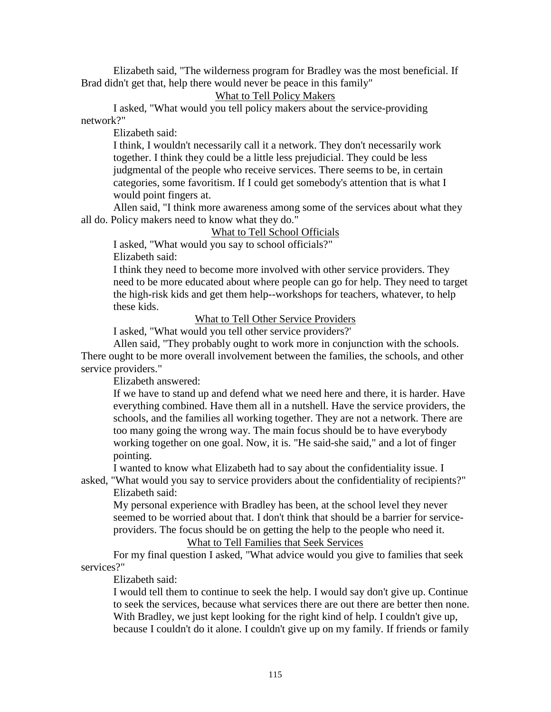Elizabeth said, "The wilderness program for Bradley was the most beneficial. If Brad didn't get that, help there would never be peace in this family"

# What to Tell Policy Makers

I asked, "What would you tell policy makers about the service-providing network?"

Elizabeth said:

I think, I wouldn't necessarily call it a network. They don't necessarily work together. I think they could be a little less prejudicial. They could be less judgmental of the people who receive services. There seems to be, in certain categories, some favoritism. If I could get somebody's attention that is what I would point fingers at.

Allen said, "I think more awareness among some of the services about what they all do. Policy makers need to know what they do."

## What to Tell School Officials

I asked, "What would you say to school officials?" Elizabeth said:

I think they need to become more involved with other service providers. They need to be more educated about where people can go for help. They need to target the high-risk kids and get them help--workshops for teachers, whatever, to help these kids.

### What to Tell Other Service Providers

I asked, "What would you tell other service providers?'

Allen said, "They probably ought to work more in conjunction with the schools. There ought to be more overall involvement between the families, the schools, and other service providers."

Elizabeth answered:

If we have to stand up and defend what we need here and there, it is harder. Have everything combined. Have them all in a nutshell. Have the service providers, the schools, and the families all working together. They are not a network. There are too many going the wrong way. The main focus should be to have everybody working together on one goal. Now, it is. "He said-she said," and a lot of finger pointing.

I wanted to know what Elizabeth had to say about the confidentiality issue. I

asked, "What would you say to service providers about the confidentiality of recipients?" Elizabeth said:

My personal experience with Bradley has been, at the school level they never seemed to be worried about that. I don't think that should be a barrier for serviceproviders. The focus should be on getting the help to the people who need it.

# What to Tell Families that Seek Services

For my final question I asked, "What advice would you give to families that seek services?"

Elizabeth said:

I would tell them to continue to seek the help. I would say don't give up. Continue to seek the services, because what services there are out there are better then none. With Bradley, we just kept looking for the right kind of help. I couldn't give up, because I couldn't do it alone. I couldn't give up on my family. If friends or family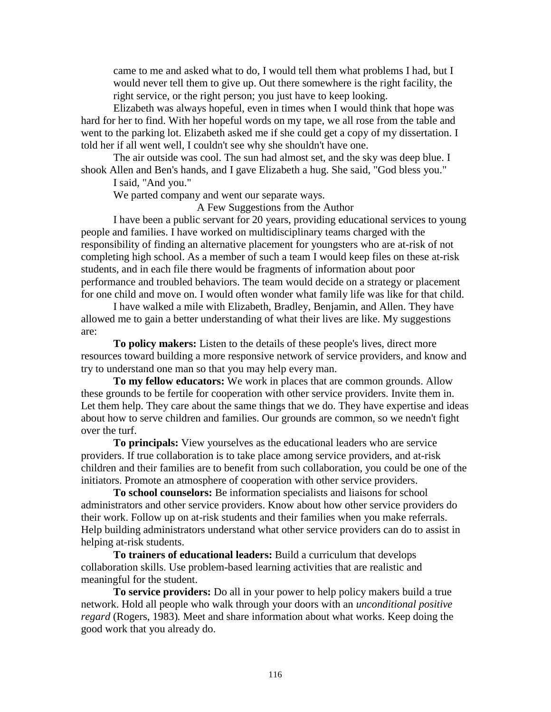came to me and asked what to do, I would tell them what problems I had, but I would never tell them to give up. Out there somewhere is the right facility, the right service, or the right person; you just have to keep looking.

Elizabeth was always hopeful, even in times when I would think that hope was hard for her to find. With her hopeful words on my tape, we all rose from the table and went to the parking lot. Elizabeth asked me if she could get a copy of my dissertation. I told her if all went well, I couldn't see why she shouldn't have one.

The air outside was cool. The sun had almost set, and the sky was deep blue. I shook Allen and Ben's hands, and I gave Elizabeth a hug. She said, "God bless you."

I said, "And you."

We parted company and went our separate ways.

A Few Suggestions from the Author

I have been a public servant for 20 years, providing educational services to young people and families. I have worked on multidisciplinary teams charged with the responsibility of finding an alternative placement for youngsters who are at-risk of not completing high school. As a member of such a team I would keep files on these at-risk students, and in each file there would be fragments of information about poor performance and troubled behaviors. The team would decide on a strategy or placement for one child and move on. I would often wonder what family life was like for that child.

I have walked a mile with Elizabeth, Bradley, Benjamin, and Allen. They have allowed me to gain a better understanding of what their lives are like. My suggestions are:

**To policy makers:** Listen to the details of these people's lives, direct more resources toward building a more responsive network of service providers, and know and try to understand one man so that you may help every man.

**To my fellow educators:** We work in places that are common grounds. Allow these grounds to be fertile for cooperation with other service providers. Invite them in. Let them help. They care about the same things that we do. They have expertise and ideas about how to serve children and families. Our grounds are common, so we needn't fight over the turf.

**To principals:** View yourselves as the educational leaders who are service providers. If true collaboration is to take place among service providers, and at-risk children and their families are to benefit from such collaboration, you could be one of the initiators. Promote an atmosphere of cooperation with other service providers.

**To school counselors:** Be information specialists and liaisons for school administrators and other service providers. Know about how other service providers do their work. Follow up on at-risk students and their families when you make referrals. Help building administrators understand what other service providers can do to assist in helping at-risk students.

**To trainers of educational leaders:** Build a curriculum that develops collaboration skills. Use problem-based learning activities that are realistic and meaningful for the student.

**To service providers:** Do all in your power to help policy makers build a true network. Hold all people who walk through your doors with an *unconditional positive regard* (Rogers, 1983)*.* Meet and share information about what works. Keep doing the good work that you already do.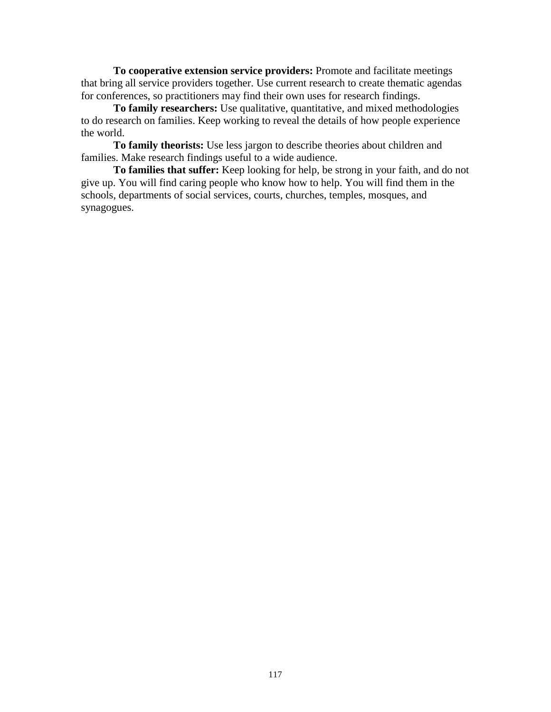**To cooperative extension service providers:** Promote and facilitate meetings that bring all service providers together. Use current research to create thematic agendas for conferences, so practitioners may find their own uses for research findings.

**To family researchers:** Use qualitative, quantitative, and mixed methodologies to do research on families. Keep working to reveal the details of how people experience the world.

**To family theorists:** Use less jargon to describe theories about children and families. Make research findings useful to a wide audience.

**To families that suffer:** Keep looking for help, be strong in your faith, and do not give up. You will find caring people who know how to help. You will find them in the schools, departments of social services, courts, churches, temples, mosques, and synagogues.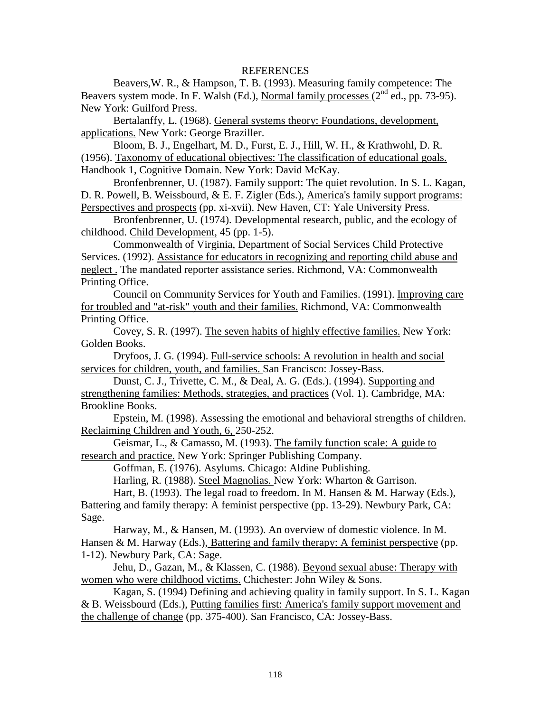#### REFERENCES

Beavers,W. R., & Hampson, T. B. (1993). Measuring family competence: The Beavers system mode. In F. Walsh (Ed.), Normal family processes  $(2<sup>nd</sup>$  ed., pp. 73-95). New York: Guilford Press.

Bertalanffy, L. (1968). General systems theory: Foundations, development, applications. New York: George Braziller.

Bloom, B. J., Engelhart, M. D., Furst, E. J., Hill, W. H., & Krathwohl, D. R. (1956). Taxonomy of educational objectives: The classification of educational goals. Handbook 1, Cognitive Domain. New York: David McKay.

Bronfenbrenner, U. (1987). Family support: The quiet revolution. In S. L. Kagan, D. R. Powell, B. Weissbourd, & E. F. Zigler (Eds.), America's family support programs: Perspectives and prospects (pp. xi-xvii). New Haven, CT: Yale University Press.

Bronfenbrenner, U. (1974). Developmental research, public, and the ecology of childhood. Child Development, 45 (pp. 1-5).

Commonwealth of Virginia, Department of Social Services Child Protective Services. (1992). Assistance for educators in recognizing and reporting child abuse and neglect . The mandated reporter assistance series. Richmond, VA: Commonwealth Printing Office.

Council on Community Services for Youth and Families. (1991). Improving care for troubled and "at-risk" youth and their families. Richmond, VA: Commonwealth Printing Office.

Covey, S. R. (1997). The seven habits of highly effective families. New York: Golden Books.

Dryfoos, J. G. (1994). Full-service schools: A revolution in health and social services for children, youth, and families. San Francisco: Jossey-Bass.

Dunst, C. J., Trivette, C. M., & Deal, A. G. (Eds.). (1994). Supporting and strengthening families: Methods, strategies, and practices (Vol. 1). Cambridge, MA: Brookline Books.

Epstein, M. (1998). Assessing the emotional and behavioral strengths of children. Reclaiming Children and Youth, 6, 250-252.

Geismar, L., & Camasso, M. (1993). The family function scale: A guide to research and practice. New York: Springer Publishing Company.

Goffman, E. (1976). Asylums. Chicago: Aldine Publishing.

Harling, R. (1988). Steel Magnolias. New York: Wharton & Garrison.

Hart, B. (1993). The legal road to freedom. In M. Hansen & M. Harway (Eds.),

Battering and family therapy: A feminist perspective (pp. 13-29). Newbury Park, CA: Sage.

Harway, M., & Hansen, M. (1993). An overview of domestic violence. In M. Hansen & M. Harway (Eds.), Battering and family therapy: A feminist perspective (pp. 1-12). Newbury Park, CA: Sage.

Jehu, D., Gazan, M., & Klassen, C. (1988). Beyond sexual abuse: Therapy with women who were childhood victims. Chichester: John Wiley & Sons.

Kagan, S. (1994) Defining and achieving quality in family support. In S. L. Kagan & B. Weissbourd (Eds.), Putting families first: America's family support movement and the challenge of change (pp. 375-400). San Francisco, CA: Jossey-Bass.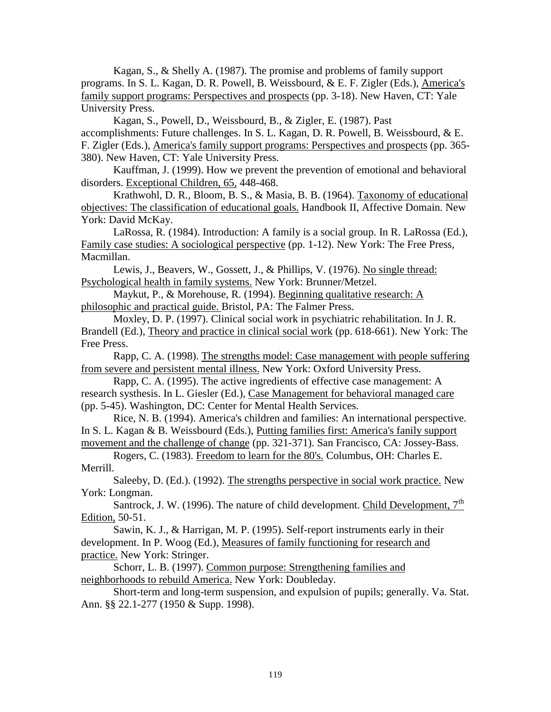Kagan, S., & Shelly A. (1987). The promise and problems of family support programs. In S. L. Kagan, D. R. Powell, B. Weissbourd, & E. F. Zigler (Eds.), America's family support programs: Perspectives and prospects (pp. 3-18). New Haven, CT: Yale University Press.

Kagan, S., Powell, D., Weissbourd, B., & Zigler, E. (1987). Past accomplishments: Future challenges. In S. L. Kagan, D. R. Powell, B. Weissbourd, & E. F. Zigler (Eds.), America's family support programs: Perspectives and prospects (pp. 365- 380). New Haven, CT: Yale University Press.

Kauffman, J. (1999). How we prevent the prevention of emotional and behavioral disorders. Exceptional Children, 65, 448-468.

Krathwohl, D. R., Bloom, B. S., & Masia, B. B. (1964). Taxonomy of educational objectives: The classification of educational goals. Handbook II, Affective Domain. New York: David McKay.

LaRossa, R. (1984). Introduction: A family is a social group. In R. LaRossa (Ed.), Family case studies: A sociological perspective (pp. 1-12). New York: The Free Press, Macmillan.

Lewis, J., Beavers, W., Gossett, J., & Phillips, V. (1976). No single thread: Psychological health in family systems. New York: Brunner/Metzel.

Maykut, P., & Morehouse, R. (1994). Beginning qualitative research: A philosophic and practical guide. Bristol, PA: The Falmer Press.

Moxley, D. P. (1997). Clinical social work in psychiatric rehabilitation. In J. R. Brandell (Ed.), Theory and practice in clinical social work (pp. 618-661). New York: The Free Press.

Rapp, C. A. (1998). The strengths model: Case management with people suffering from severe and persistent mental illness. New York: Oxford University Press.

Rapp, C. A. (1995). The active ingredients of effective case management: A research systhesis. In L. Giesler (Ed.), Case Management for behavioral managed care (pp. 5-45). Washington, DC: Center for Mental Health Services.

Rice, N. B. (1994). America's children and families: An international perspective. In S. L. Kagan & B. Weissbourd (Eds.), Putting families first: America's fanily support movement and the challenge of change (pp. 321-371). San Francisco, CA: Jossey-Bass.

Rogers, C. (1983). Freedom to learn for the 80's. Columbus, OH: Charles E. Merrill.

Saleeby, D. (Ed.). (1992). The strengths perspective in social work practice. New York: Longman.

Santrock, J. W. (1996). The nature of child development. Child Development,  $7<sup>th</sup>$ Edition, 50-51.

Sawin, K. J., & Harrigan, M. P. (1995). Self-report instruments early in their development. In P. Woog (Ed.), Measures of family functioning for research and practice. New York: Stringer.

Schorr, L. B. (1997). Common purpose: Strengthening families and neighborhoods to rebuild America. New York: Doubleday.

Short-term and long-term suspension, and expulsion of pupils; generally. Va. Stat. Ann. §§ 22.1-277 (1950 & Supp. 1998).